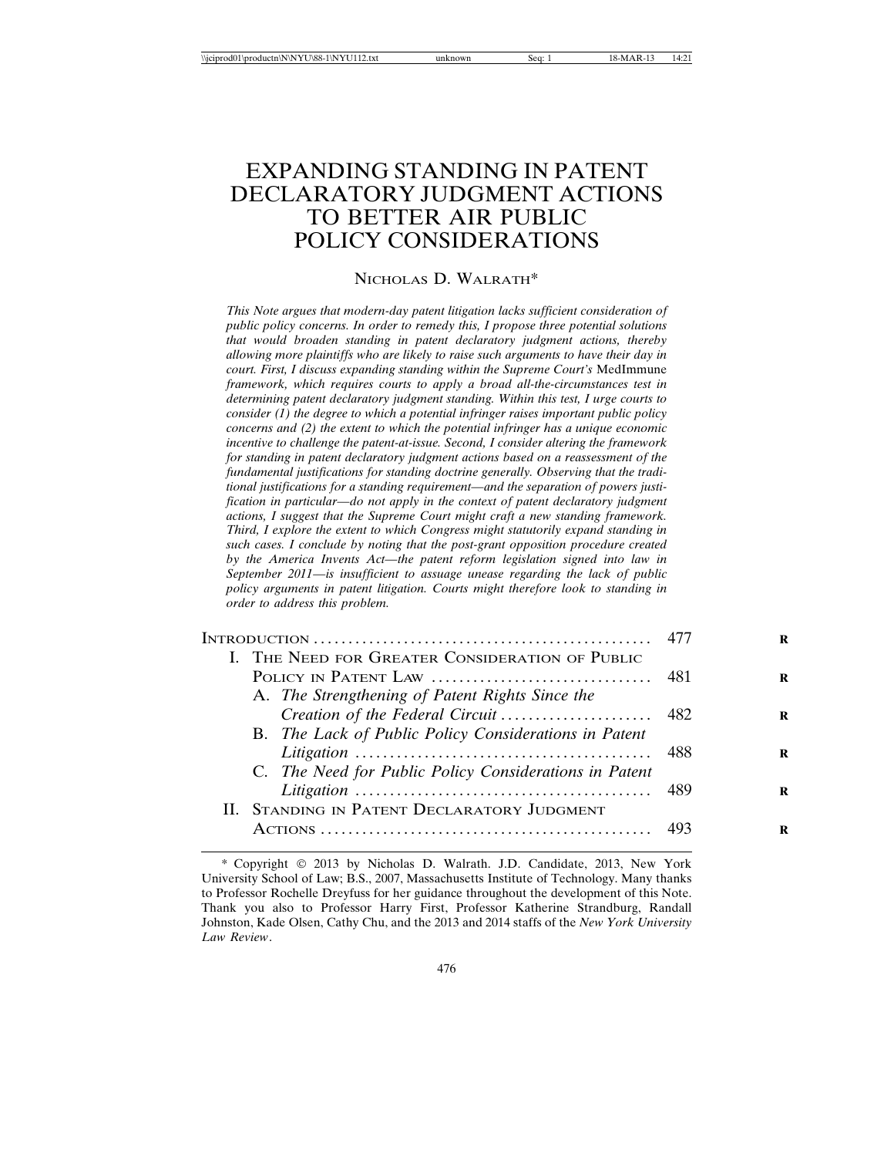# EXPANDING STANDING IN PATENT DECLARATORY JUDGMENT ACTIONS TO BETTER AIR PUBLIC POLICY CONSIDERATIONS

#### NICHOLAS D. WALRATH\*

*This Note argues that modern-day patent litigation lacks sufficient consideration of public policy concerns. In order to remedy this, I propose three potential solutions that would broaden standing in patent declaratory judgment actions, thereby allowing more plaintiffs who are likely to raise such arguments to have their day in court. First, I discuss expanding standing within the Supreme Court's* MedImmune *framework, which requires courts to apply a broad all-the-circumstances test in determining patent declaratory judgment standing. Within this test, I urge courts to consider (1) the degree to which a potential infringer raises important public policy concerns and (2) the extent to which the potential infringer has a unique economic incentive to challenge the patent-at-issue. Second, I consider altering the framework for standing in patent declaratory judgment actions based on a reassessment of the fundamental justifications for standing doctrine generally. Observing that the traditional justifications for a standing requirement—and the separation of powers justification in particular—do not apply in the context of patent declaratory judgment actions, I suggest that the Supreme Court might craft a new standing framework. Third, I explore the extent to which Congress might statutorily expand standing in such cases. I conclude by noting that the post-grant opposition procedure created by the America Invents Act—the patent reform legislation signed into law in September 2011—is insufficient to assuage unease regarding the lack of public policy arguments in patent litigation. Courts might therefore look to standing in order to address this problem.*

|                                             | I. THE NEED FOR GREATER CONSIDERATION OF PUBLIC        |  |
|---------------------------------------------|--------------------------------------------------------|--|
|                                             |                                                        |  |
|                                             | A. The Strengthening of Patent Rights Since the        |  |
|                                             |                                                        |  |
|                                             | B. The Lack of Public Policy Considerations in Patent  |  |
|                                             |                                                        |  |
|                                             | C. The Need for Public Policy Considerations in Patent |  |
|                                             |                                                        |  |
| II. STANDING IN PATENT DECLARATORY JUDGMENT |                                                        |  |
|                                             |                                                        |  |
|                                             |                                                        |  |

<sup>\*</sup> Copyright 2013 by Nicholas D. Walrath. J.D. Candidate, 2013, New York University School of Law; B.S., 2007, Massachusetts Institute of Technology. Many thanks to Professor Rochelle Dreyfuss for her guidance throughout the development of this Note. Thank you also to Professor Harry First, Professor Katherine Strandburg, Randall Johnston, Kade Olsen, Cathy Chu, and the 2013 and 2014 staffs of the *New York University Law Review*.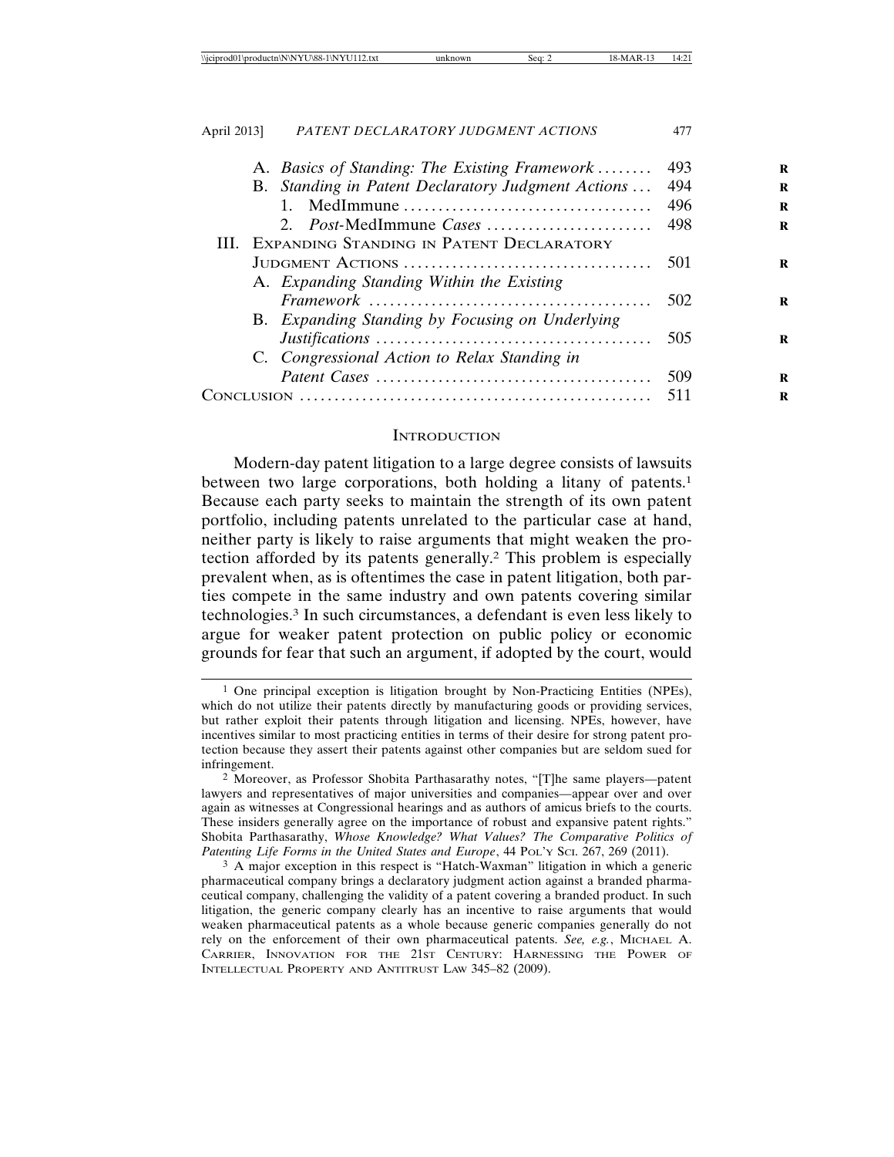| A. Basics of Standing: The Existing Framework      | 493  |
|----------------------------------------------------|------|
| B. Standing in Patent Declaratory Judgment Actions | 494  |
|                                                    | 496  |
| 2. <i>Post-MedImmune Cases</i>                     | -498 |
| III. EXPANDING STANDING IN PATENT DECLARATORY      |      |
|                                                    |      |
| A. Expanding Standing Within the Existing          |      |
|                                                    | 502  |
| B. Expanding Standing by Focusing on Underlying    |      |
|                                                    | 505  |
| C. Congressional Action to Relax Standing in       |      |
|                                                    |      |
|                                                    | 511  |

#### **INTRODUCTION**

Modern-day patent litigation to a large degree consists of lawsuits between two large corporations, both holding a litany of patents.<sup>1</sup> Because each party seeks to maintain the strength of its own patent portfolio, including patents unrelated to the particular case at hand, neither party is likely to raise arguments that might weaken the protection afforded by its patents generally.2 This problem is especially prevalent when, as is oftentimes the case in patent litigation, both parties compete in the same industry and own patents covering similar technologies.3 In such circumstances, a defendant is even less likely to argue for weaker patent protection on public policy or economic grounds for fear that such an argument, if adopted by the court, would

<sup>1</sup> One principal exception is litigation brought by Non-Practicing Entities (NPEs), which do not utilize their patents directly by manufacturing goods or providing services, but rather exploit their patents through litigation and licensing. NPEs, however, have incentives similar to most practicing entities in terms of their desire for strong patent protection because they assert their patents against other companies but are seldom sued for infringement.

<sup>2</sup> Moreover, as Professor Shobita Parthasarathy notes, "[T]he same players—patent lawyers and representatives of major universities and companies—appear over and over again as witnesses at Congressional hearings and as authors of amicus briefs to the courts. These insiders generally agree on the importance of robust and expansive patent rights." Shobita Parthasarathy, *Whose Knowledge? What Values? The Comparative Politics of Patenting Life Forms in the United States and Europe*, 44 POL'Y SCI. 267, 269 (2011).

<sup>3</sup> A major exception in this respect is "Hatch-Waxman" litigation in which a generic pharmaceutical company brings a declaratory judgment action against a branded pharmaceutical company, challenging the validity of a patent covering a branded product. In such litigation, the generic company clearly has an incentive to raise arguments that would weaken pharmaceutical patents as a whole because generic companies generally do not rely on the enforcement of their own pharmaceutical patents. *See, e.g.*, MICHAEL A. CARRIER, INNOVATION FOR THE 21ST CENTURY: HARNESSING THE POWER OF INTELLECTUAL PROPERTY AND ANTITRUST LAW 345–82 (2009).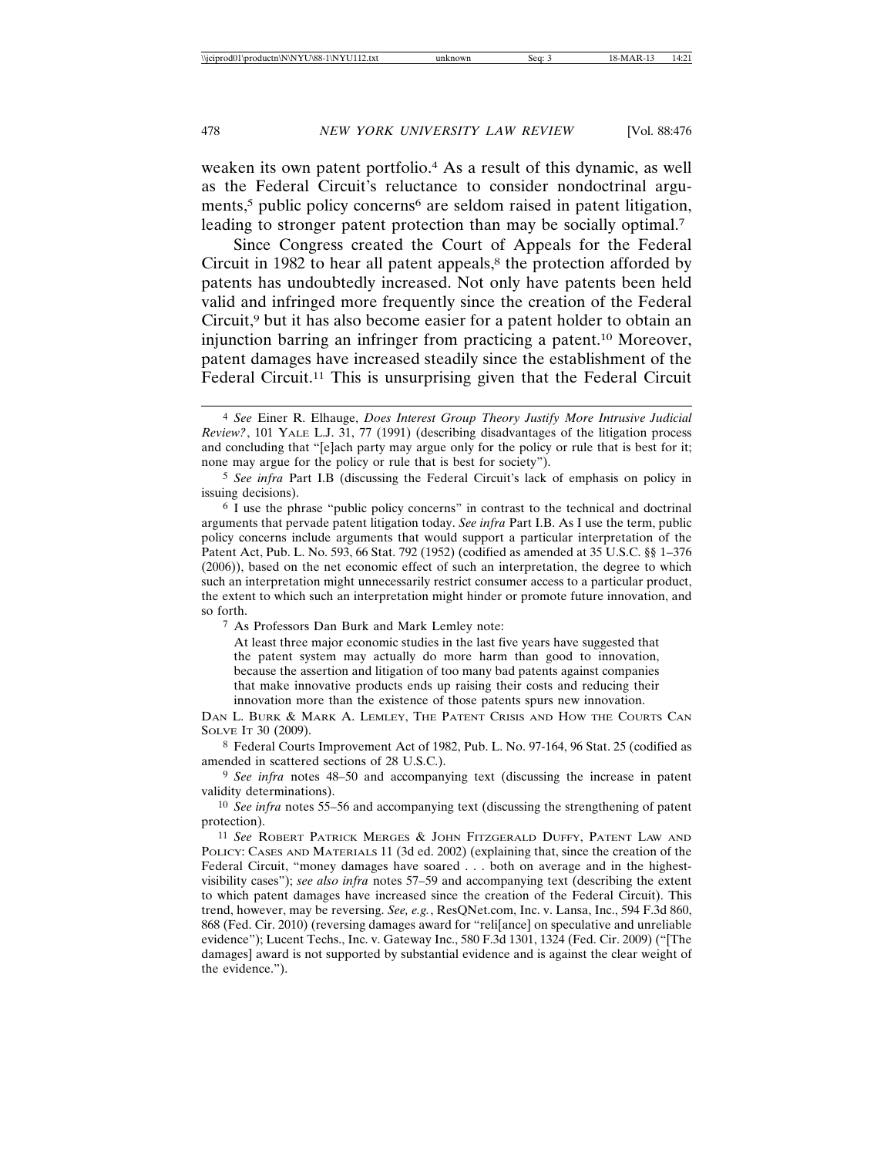weaken its own patent portfolio.4 As a result of this dynamic, as well as the Federal Circuit's reluctance to consider nondoctrinal arguments,<sup>5</sup> public policy concerns<sup>6</sup> are seldom raised in patent litigation, leading to stronger patent protection than may be socially optimal.<sup>7</sup>

Since Congress created the Court of Appeals for the Federal Circuit in 1982 to hear all patent appeals, $\frac{8}{3}$  the protection afforded by patents has undoubtedly increased. Not only have patents been held valid and infringed more frequently since the creation of the Federal Circuit,9 but it has also become easier for a patent holder to obtain an injunction barring an infringer from practicing a patent.10 Moreover, patent damages have increased steadily since the establishment of the Federal Circuit.<sup>11</sup> This is unsurprising given that the Federal Circuit

6 I use the phrase "public policy concerns" in contrast to the technical and doctrinal arguments that pervade patent litigation today. *See infra* Part I.B. As I use the term, public policy concerns include arguments that would support a particular interpretation of the Patent Act, Pub. L. No. 593, 66 Stat. 792 (1952) (codified as amended at 35 U.S.C. §§ 1–376 (2006)), based on the net economic effect of such an interpretation, the degree to which such an interpretation might unnecessarily restrict consumer access to a particular product, the extent to which such an interpretation might hinder or promote future innovation, and so forth.

7 As Professors Dan Burk and Mark Lemley note:

At least three major economic studies in the last five years have suggested that the patent system may actually do more harm than good to innovation, because the assertion and litigation of too many bad patents against companies that make innovative products ends up raising their costs and reducing their innovation more than the existence of those patents spurs new innovation.

DAN L. BURK & MARK A. LEMLEY, THE PATENT CRISIS AND HOW THE COURTS CAN SOLVE IT 30 (2009).

8 Federal Courts Improvement Act of 1982, Pub. L. No. 97-164, 96 Stat. 25 (codified as amended in scattered sections of 28 U.S.C.).

9 *See infra* notes 48–50 and accompanying text (discussing the increase in patent validity determinations).

10 *See infra* notes 55–56 and accompanying text (discussing the strengthening of patent protection).

11 *See* ROBERT PATRICK MERGES & JOHN FITZGERALD DUFFY, PATENT LAW AND POLICY: CASES AND MATERIALS 11 (3d ed. 2002) (explaining that, since the creation of the Federal Circuit, "money damages have soared . . . both on average and in the highestvisibility cases"); *see also infra* notes 57–59 and accompanying text (describing the extent to which patent damages have increased since the creation of the Federal Circuit). This trend, however, may be reversing. *See, e.g.*, ResQNet.com, Inc. v. Lansa, Inc., 594 F.3d 860, 868 (Fed. Cir. 2010) (reversing damages award for "reli[ance] on speculative and unreliable evidence"); Lucent Techs., Inc. v. Gateway Inc., 580 F.3d 1301, 1324 (Fed. Cir. 2009) ("[The damages] award is not supported by substantial evidence and is against the clear weight of the evidence.").

<sup>4</sup> *See* Einer R. Elhauge, *Does Interest Group Theory Justify More Intrusive Judicial Review?*, 101 YALE L.J. 31, 77 (1991) (describing disadvantages of the litigation process and concluding that "[e]ach party may argue only for the policy or rule that is best for it; none may argue for the policy or rule that is best for society").

<sup>5</sup> *See infra* Part I.B (discussing the Federal Circuit's lack of emphasis on policy in issuing decisions).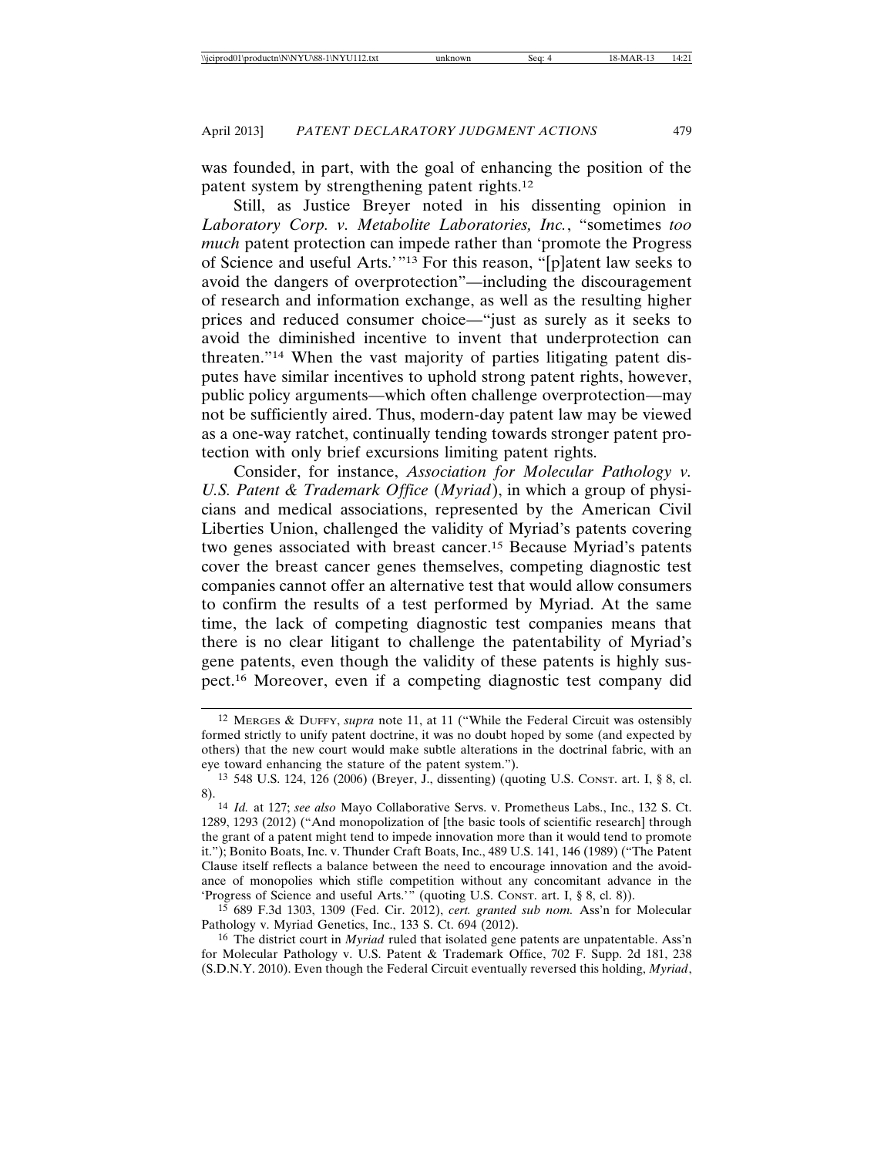was founded, in part, with the goal of enhancing the position of the patent system by strengthening patent rights.12

Still, as Justice Breyer noted in his dissenting opinion in *Laboratory Corp. v. Metabolite Laboratories, Inc.*, "sometimes *too much* patent protection can impede rather than 'promote the Progress of Science and useful Arts.'"13 For this reason, "[p]atent law seeks to avoid the dangers of overprotection"—including the discouragement of research and information exchange, as well as the resulting higher prices and reduced consumer choice—"just as surely as it seeks to avoid the diminished incentive to invent that underprotection can threaten."14 When the vast majority of parties litigating patent disputes have similar incentives to uphold strong patent rights, however, public policy arguments—which often challenge overprotection—may not be sufficiently aired. Thus, modern-day patent law may be viewed as a one-way ratchet, continually tending towards stronger patent protection with only brief excursions limiting patent rights.

Consider, for instance, *Association for Molecular Pathology v. U.S. Patent & Trademark Office* (*Myriad*), in which a group of physicians and medical associations, represented by the American Civil Liberties Union, challenged the validity of Myriad's patents covering two genes associated with breast cancer.15 Because Myriad's patents cover the breast cancer genes themselves, competing diagnostic test companies cannot offer an alternative test that would allow consumers to confirm the results of a test performed by Myriad. At the same time, the lack of competing diagnostic test companies means that there is no clear litigant to challenge the patentability of Myriad's gene patents, even though the validity of these patents is highly suspect.16 Moreover, even if a competing diagnostic test company did

15 689 F.3d 1303, 1309 (Fed. Cir. 2012), *cert. granted sub nom.* Ass'n for Molecular Pathology v. Myriad Genetics, Inc., 133 S. Ct. 694 (2012).

16 The district court in *Myriad* ruled that isolated gene patents are unpatentable. Ass'n for Molecular Pathology v. U.S. Patent & Trademark Office, 702 F. Supp. 2d 181, 238 (S.D.N.Y. 2010). Even though the Federal Circuit eventually reversed this holding, *Myriad*,

<sup>12</sup> MERGES & DUFFY, *supra* note 11, at 11 ("While the Federal Circuit was ostensibly formed strictly to unify patent doctrine, it was no doubt hoped by some (and expected by others) that the new court would make subtle alterations in the doctrinal fabric, with an eye toward enhancing the stature of the patent system.").

<sup>13</sup> 548 U.S. 124, 126 (2006) (Breyer, J., dissenting) (quoting U.S. CONST. art. I, § 8, cl. 8).

<sup>14</sup> *Id.* at 127; *see also* Mayo Collaborative Servs. v. Prometheus Labs., Inc., 132 S. Ct. 1289, 1293 (2012) ("And monopolization of [the basic tools of scientific research] through the grant of a patent might tend to impede innovation more than it would tend to promote it."); Bonito Boats, Inc. v. Thunder Craft Boats, Inc., 489 U.S. 141, 146 (1989) ("The Patent Clause itself reflects a balance between the need to encourage innovation and the avoidance of monopolies which stifle competition without any concomitant advance in the 'Progress of Science and useful Arts.'" (quoting U.S. CONST. art. I, § 8, cl. 8)).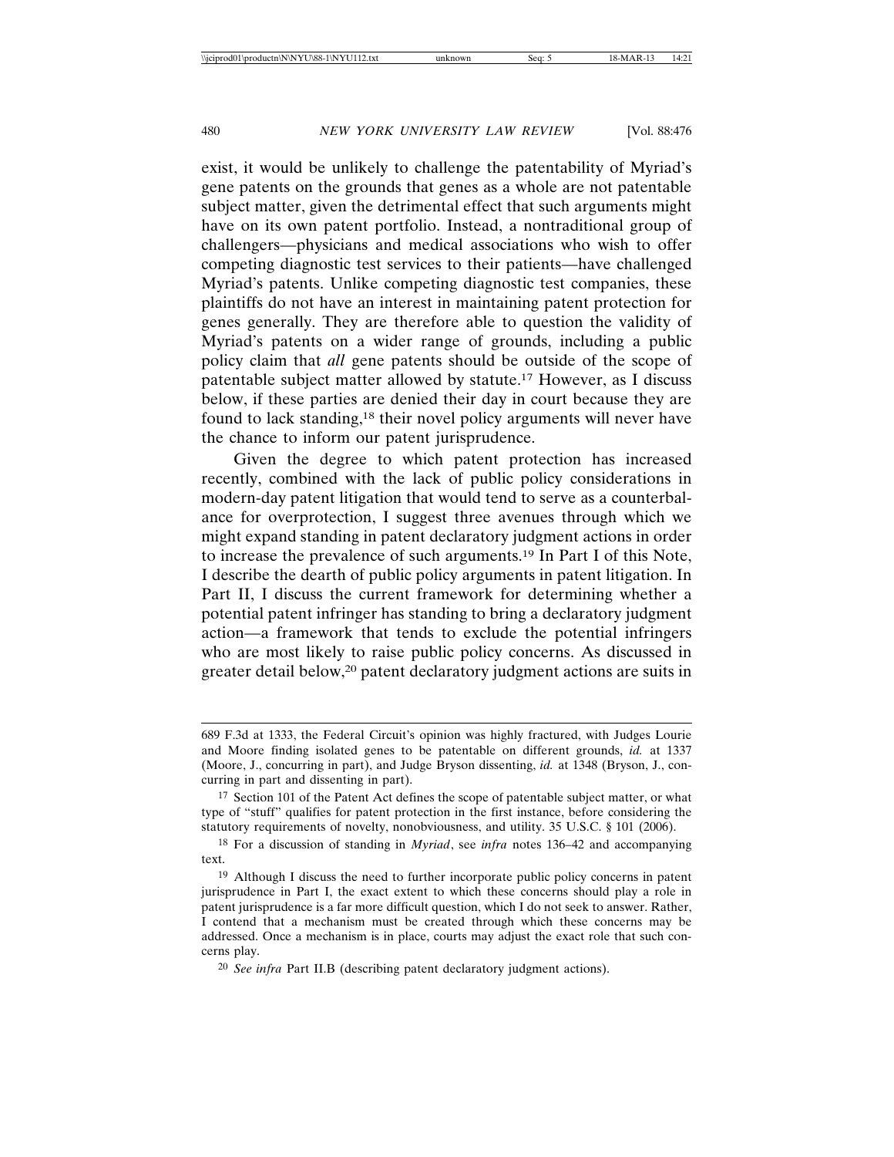exist, it would be unlikely to challenge the patentability of Myriad's gene patents on the grounds that genes as a whole are not patentable subject matter, given the detrimental effect that such arguments might have on its own patent portfolio. Instead, a nontraditional group of challengers—physicians and medical associations who wish to offer competing diagnostic test services to their patients—have challenged Myriad's patents. Unlike competing diagnostic test companies, these plaintiffs do not have an interest in maintaining patent protection for genes generally. They are therefore able to question the validity of Myriad's patents on a wider range of grounds, including a public policy claim that *all* gene patents should be outside of the scope of patentable subject matter allowed by statute.17 However, as I discuss below, if these parties are denied their day in court because they are found to lack standing,18 their novel policy arguments will never have the chance to inform our patent jurisprudence.

Given the degree to which patent protection has increased recently, combined with the lack of public policy considerations in modern-day patent litigation that would tend to serve as a counterbalance for overprotection, I suggest three avenues through which we might expand standing in patent declaratory judgment actions in order to increase the prevalence of such arguments.19 In Part I of this Note, I describe the dearth of public policy arguments in patent litigation. In Part II, I discuss the current framework for determining whether a potential patent infringer has standing to bring a declaratory judgment action—a framework that tends to exclude the potential infringers who are most likely to raise public policy concerns. As discussed in greater detail below,20 patent declaratory judgment actions are suits in

<sup>689</sup> F.3d at 1333, the Federal Circuit's opinion was highly fractured, with Judges Lourie and Moore finding isolated genes to be patentable on different grounds, *id.* at 1337 (Moore, J., concurring in part), and Judge Bryson dissenting, *id.* at 1348 (Bryson, J., concurring in part and dissenting in part).

<sup>&</sup>lt;sup>17</sup> Section 101 of the Patent Act defines the scope of patentable subject matter, or what type of "stuff" qualifies for patent protection in the first instance, before considering the statutory requirements of novelty, nonobviousness, and utility. 35 U.S.C. § 101 (2006).

<sup>18</sup> For a discussion of standing in *Myriad*, see *infra* notes 136–42 and accompanying text.

<sup>19</sup> Although I discuss the need to further incorporate public policy concerns in patent jurisprudence in Part I, the exact extent to which these concerns should play a role in patent jurisprudence is a far more difficult question, which I do not seek to answer. Rather, I contend that a mechanism must be created through which these concerns may be addressed. Once a mechanism is in place, courts may adjust the exact role that such concerns play.

<sup>20</sup> *See infra* Part II.B (describing patent declaratory judgment actions).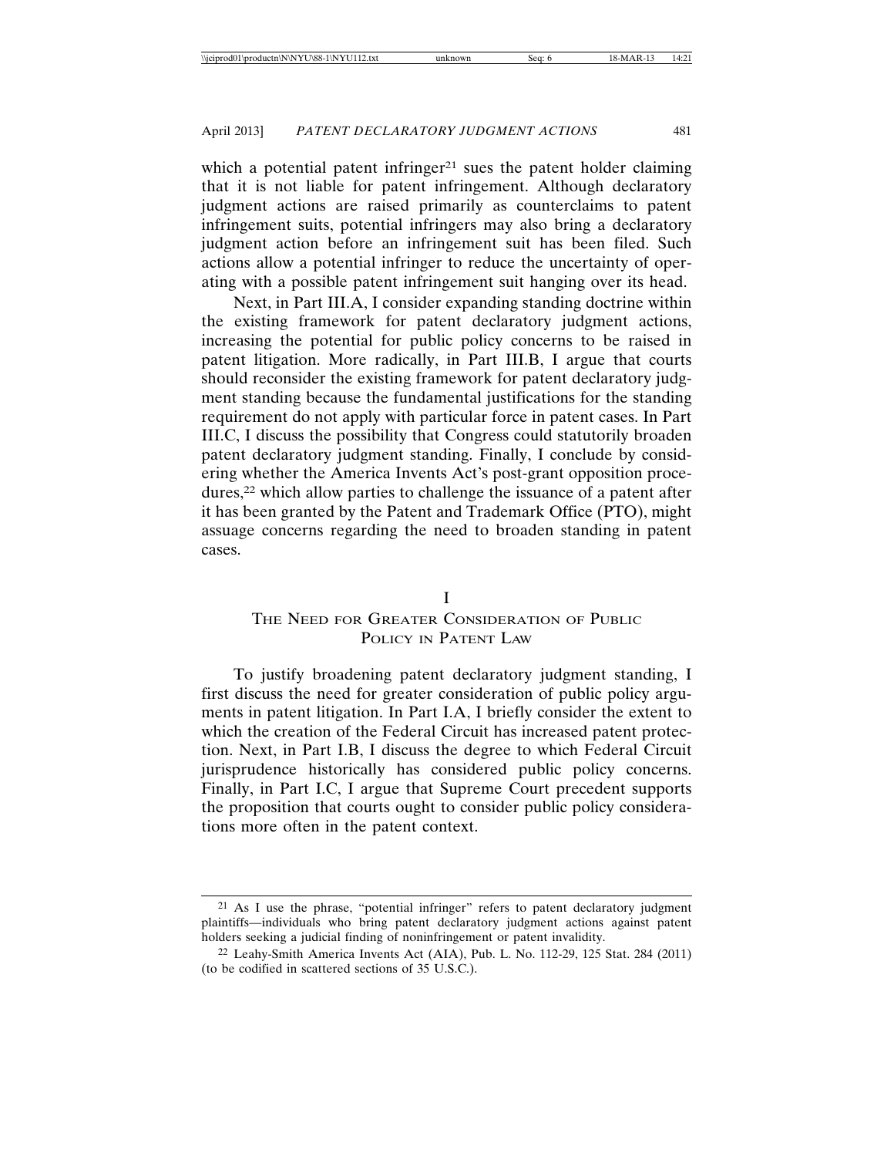which a potential patent infringer<sup>21</sup> sues the patent holder claiming that it is not liable for patent infringement. Although declaratory judgment actions are raised primarily as counterclaims to patent infringement suits, potential infringers may also bring a declaratory judgment action before an infringement suit has been filed. Such actions allow a potential infringer to reduce the uncertainty of operating with a possible patent infringement suit hanging over its head.

Next, in Part III.A, I consider expanding standing doctrine within the existing framework for patent declaratory judgment actions, increasing the potential for public policy concerns to be raised in patent litigation. More radically, in Part III.B, I argue that courts should reconsider the existing framework for patent declaratory judgment standing because the fundamental justifications for the standing requirement do not apply with particular force in patent cases. In Part III.C, I discuss the possibility that Congress could statutorily broaden patent declaratory judgment standing. Finally, I conclude by considering whether the America Invents Act's post-grant opposition procedures,<sup>22</sup> which allow parties to challenge the issuance of a patent after it has been granted by the Patent and Trademark Office (PTO), might assuage concerns regarding the need to broaden standing in patent cases.

### I

# THE NEED FOR GREATER CONSIDERATION OF PUBLIC POLICY IN PATENT LAW

To justify broadening patent declaratory judgment standing, I first discuss the need for greater consideration of public policy arguments in patent litigation. In Part I.A, I briefly consider the extent to which the creation of the Federal Circuit has increased patent protection. Next, in Part I.B, I discuss the degree to which Federal Circuit jurisprudence historically has considered public policy concerns. Finally, in Part I.C, I argue that Supreme Court precedent supports the proposition that courts ought to consider public policy considerations more often in the patent context.

<sup>21</sup> As I use the phrase, "potential infringer" refers to patent declaratory judgment plaintiffs—individuals who bring patent declaratory judgment actions against patent holders seeking a judicial finding of noninfringement or patent invalidity.

<sup>22</sup> Leahy-Smith America Invents Act (AIA), Pub. L. No. 112-29, 125 Stat. 284 (2011) (to be codified in scattered sections of 35 U.S.C.).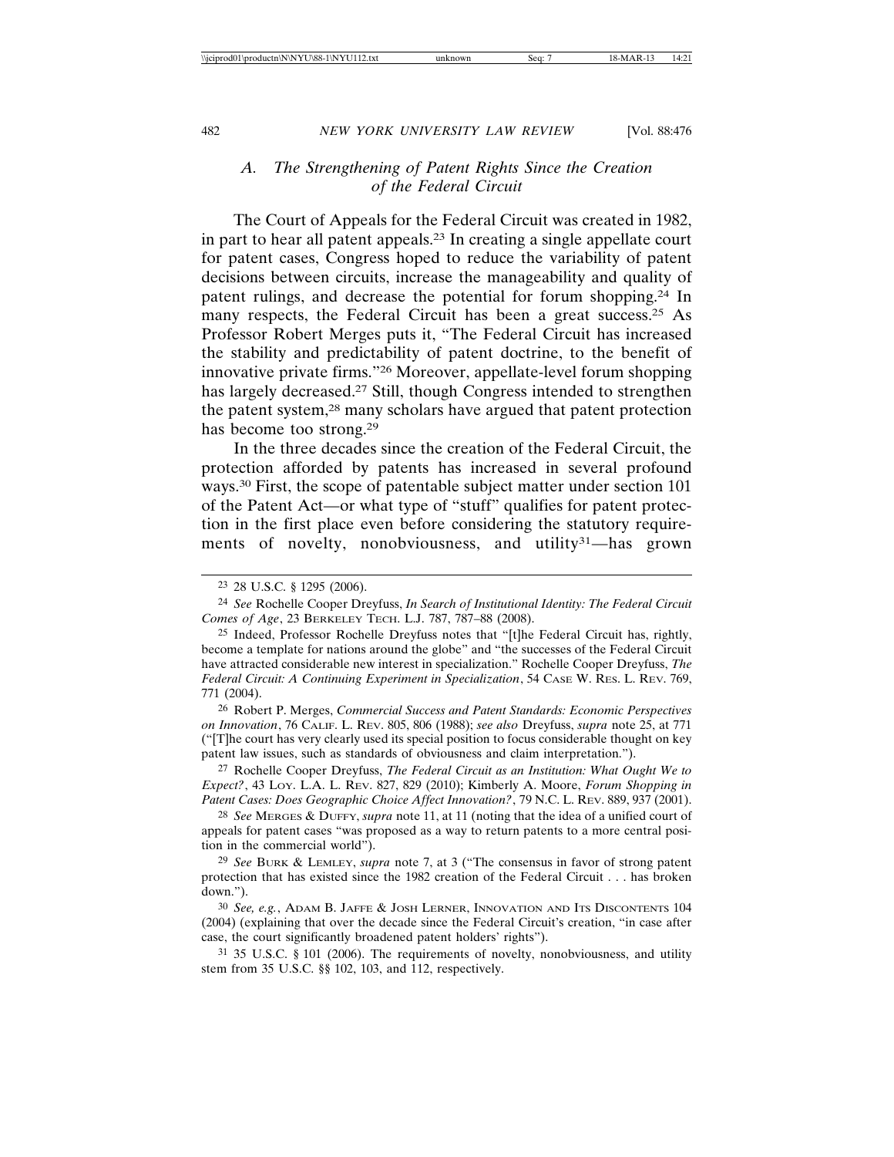## *A. The Strengthening of Patent Rights Since the Creation of the Federal Circuit*

The Court of Appeals for the Federal Circuit was created in 1982, in part to hear all patent appeals.23 In creating a single appellate court for patent cases, Congress hoped to reduce the variability of patent decisions between circuits, increase the manageability and quality of patent rulings, and decrease the potential for forum shopping.24 In many respects, the Federal Circuit has been a great success.<sup>25</sup> As Professor Robert Merges puts it, "The Federal Circuit has increased the stability and predictability of patent doctrine, to the benefit of innovative private firms."26 Moreover, appellate-level forum shopping has largely decreased.27 Still, though Congress intended to strengthen the patent system,28 many scholars have argued that patent protection has become too strong.29

In the three decades since the creation of the Federal Circuit, the protection afforded by patents has increased in several profound ways.30 First, the scope of patentable subject matter under section 101 of the Patent Act—or what type of "stuff" qualifies for patent protection in the first place even before considering the statutory requirements of novelty, nonobviousness, and utility<sup>31</sup>—has grown

<sup>23</sup> 28 U.S.C. § 1295 (2006).

<sup>24</sup> *See* Rochelle Cooper Dreyfuss, *In Search of Institutional Identity: The Federal Circuit Comes of Age*, 23 BERKELEY TECH. L.J. 787, 787–88 (2008).

<sup>25</sup> Indeed, Professor Rochelle Dreyfuss notes that "[t]he Federal Circuit has, rightly, become a template for nations around the globe" and "the successes of the Federal Circuit have attracted considerable new interest in specialization." Rochelle Cooper Dreyfuss, *The Federal Circuit: A Continuing Experiment in Specialization*, 54 CASE W. RES. L. REV. 769, 771 (2004).

<sup>26</sup> Robert P. Merges, *Commercial Success and Patent Standards: Economic Perspectives on Innovation*, 76 CALIF. L. REV. 805, 806 (1988); *see also* Dreyfuss, *supra* note 25, at 771 ("[T]he court has very clearly used its special position to focus considerable thought on key patent law issues, such as standards of obviousness and claim interpretation.").

<sup>27</sup> Rochelle Cooper Dreyfuss, *The Federal Circuit as an Institution: What Ought We to Expect?*, 43 LOY. L.A. L. REV. 827, 829 (2010); Kimberly A. Moore, *Forum Shopping in Patent Cases: Does Geographic Choice Affect Innovation?*, 79 N.C. L. REV. 889, 937 (2001).

<sup>28</sup> *See* MERGES & DUFFY, *supra* note 11, at 11 (noting that the idea of a unified court of appeals for patent cases "was proposed as a way to return patents to a more central position in the commercial world").

<sup>29</sup> *See* BURK & LEMLEY, *supra* note 7, at 3 ("The consensus in favor of strong patent protection that has existed since the 1982 creation of the Federal Circuit . . . has broken down.").

<sup>30</sup> *See, e.g.*, ADAM B. JAFFE & JOSH LERNER, INNOVATION AND ITS DISCONTENTS 104 (2004) (explaining that over the decade since the Federal Circuit's creation, "in case after case, the court significantly broadened patent holders' rights").

<sup>31</sup> 35 U.S.C. § 101 (2006). The requirements of novelty, nonobviousness, and utility stem from 35 U.S.C. §§ 102, 103, and 112, respectively.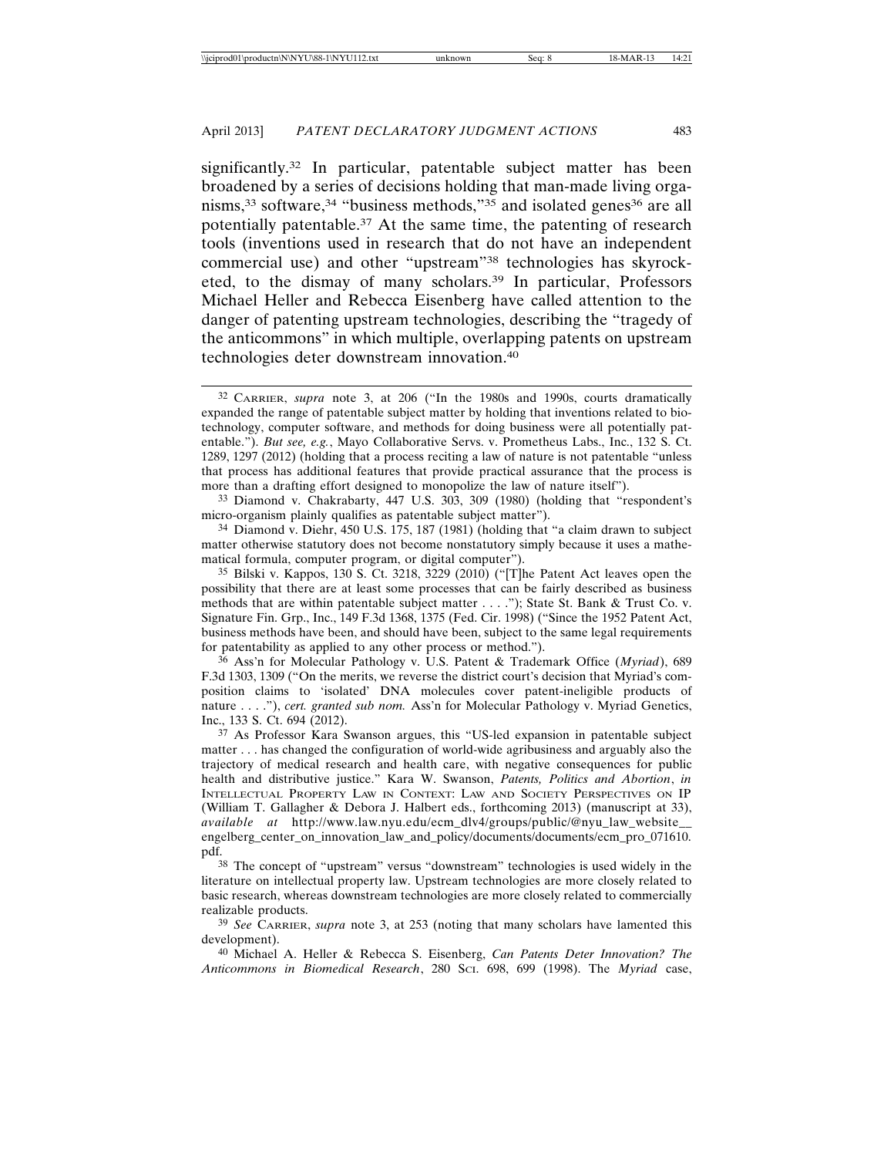significantly.<sup>32</sup> In particular, patentable subject matter has been broadened by a series of decisions holding that man-made living organisms,<sup>33</sup> software,<sup>34</sup> "business methods,"<sup>35</sup> and isolated genes<sup>36</sup> are all potentially patentable.37 At the same time, the patenting of research tools (inventions used in research that do not have an independent commercial use) and other "upstream"38 technologies has skyrocketed, to the dismay of many scholars.39 In particular, Professors Michael Heller and Rebecca Eisenberg have called attention to the danger of patenting upstream technologies, describing the "tragedy of the anticommons" in which multiple, overlapping patents on upstream technologies deter downstream innovation.40

33 Diamond v. Chakrabarty, 447 U.S. 303, 309 (1980) (holding that "respondent's micro-organism plainly qualifies as patentable subject matter").

34 Diamond v. Diehr, 450 U.S. 175, 187 (1981) (holding that "a claim drawn to subject matter otherwise statutory does not become nonstatutory simply because it uses a mathematical formula, computer program, or digital computer").

35 Bilski v. Kappos, 130 S. Ct. 3218, 3229 (2010) ("[T]he Patent Act leaves open the possibility that there are at least some processes that can be fairly described as business methods that are within patentable subject matter . . . ."); State St. Bank & Trust Co. v. Signature Fin. Grp., Inc., 149 F.3d 1368, 1375 (Fed. Cir. 1998) ("Since the 1952 Patent Act, business methods have been, and should have been, subject to the same legal requirements for patentability as applied to any other process or method.").

36 Ass'n for Molecular Pathology v. U.S. Patent & Trademark Office (*Myriad*), 689 F.3d 1303, 1309 ("On the merits, we reverse the district court's decision that Myriad's composition claims to 'isolated' DNA molecules cover patent-ineligible products of nature . . . ."), *cert. granted sub nom.* Ass'n for Molecular Pathology v. Myriad Genetics, Inc., 133 S. Ct. 694 (2012).

37 As Professor Kara Swanson argues, this "US-led expansion in patentable subject matter . . . has changed the configuration of world-wide agribusiness and arguably also the trajectory of medical research and health care, with negative consequences for public health and distributive justice." Kara W. Swanson, *Patents, Politics and Abortion*, *in* INTELLECTUAL PROPERTY LAW IN CONTEXT: LAW AND SOCIETY PERSPECTIVES ON IP (William T. Gallagher & Debora J. Halbert eds., forthcoming 2013) (manuscript at 33), *available at* http://www.law.nyu.edu/ecm\_dlv4/groups/public/@nyu\_law\_website\_\_ engelberg\_center\_on\_innovation\_law\_and\_policy/documents/documents/ecm\_pro\_071610. pdf.

38 The concept of "upstream" versus "downstream" technologies is used widely in the literature on intellectual property law. Upstream technologies are more closely related to basic research, whereas downstream technologies are more closely related to commercially realizable products.

39 *See* CARRIER, *supra* note 3, at 253 (noting that many scholars have lamented this development).

40 Michael A. Heller & Rebecca S. Eisenberg, *Can Patents Deter Innovation? The Anticommons in Biomedical Research*, 280 SCI. 698, 699 (1998). The *Myriad* case,

<sup>32</sup> CARRIER, *supra* note 3, at 206 ("In the 1980s and 1990s, courts dramatically expanded the range of patentable subject matter by holding that inventions related to biotechnology, computer software, and methods for doing business were all potentially patentable."). *But see, e.g.*, Mayo Collaborative Servs. v. Prometheus Labs., Inc., 132 S. Ct. 1289, 1297 (2012) (holding that a process reciting a law of nature is not patentable "unless that process has additional features that provide practical assurance that the process is more than a drafting effort designed to monopolize the law of nature itself").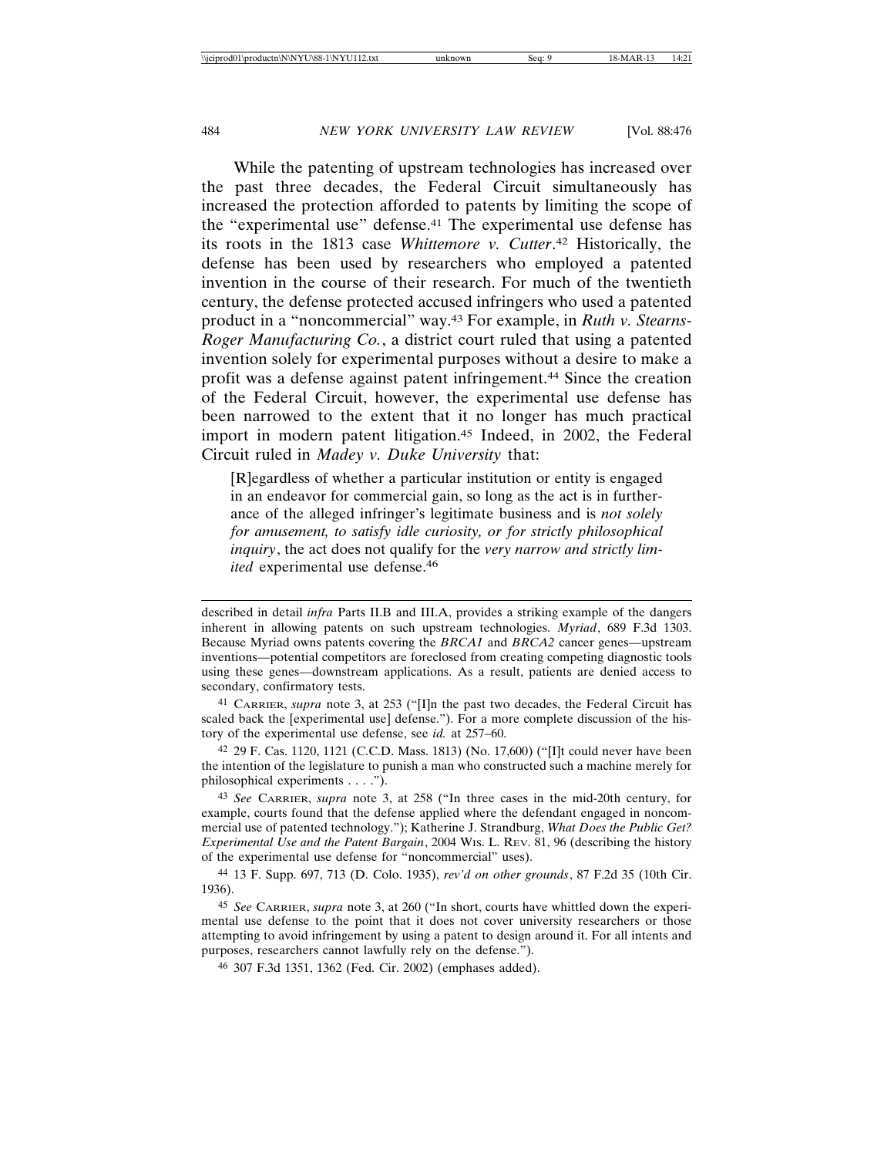While the patenting of upstream technologies has increased over the past three decades, the Federal Circuit simultaneously has increased the protection afforded to patents by limiting the scope of the "experimental use" defense.41 The experimental use defense has its roots in the 1813 case *Whittemore v. Cutter*. 42 Historically, the defense has been used by researchers who employed a patented invention in the course of their research. For much of the twentieth century, the defense protected accused infringers who used a patented product in a "noncommercial" way.43 For example, in *Ruth v. Stearns-Roger Manufacturing Co.*, a district court ruled that using a patented invention solely for experimental purposes without a desire to make a profit was a defense against patent infringement.44 Since the creation of the Federal Circuit, however, the experimental use defense has been narrowed to the extent that it no longer has much practical import in modern patent litigation.45 Indeed, in 2002, the Federal Circuit ruled in *Madey v. Duke University* that:

[R]egardless of whether a particular institution or entity is engaged in an endeavor for commercial gain, so long as the act is in furtherance of the alleged infringer's legitimate business and is *not solely for amusement, to satisfy idle curiosity, or for strictly philosophical inquiry*, the act does not qualify for the *very narrow and strictly limited* experimental use defense.<sup>46</sup>

described in detail *infra* Parts II.B and III.A, provides a striking example of the dangers inherent in allowing patents on such upstream technologies. *Myriad*, 689 F.3d 1303. Because Myriad owns patents covering the *BRCA1* and *BRCA2* cancer genes—upstream inventions—potential competitors are foreclosed from creating competing diagnostic tools using these genes—downstream applications. As a result, patients are denied access to secondary, confirmatory tests.

41 CARRIER, *supra* note 3, at 253 ("[I]n the past two decades, the Federal Circuit has scaled back the [experimental use] defense."). For a more complete discussion of the history of the experimental use defense, see *id.* at 257–60.

42 29 F. Cas. 1120, 1121 (C.C.D. Mass. 1813) (No. 17,600) ("[I]t could never have been the intention of the legislature to punish a man who constructed such a machine merely for philosophical experiments . . . .").

43 *See* CARRIER, *supra* note 3, at 258 ("In three cases in the mid-20th century, for example, courts found that the defense applied where the defendant engaged in noncommercial use of patented technology."); Katherine J. Strandburg, *What Does the Public Get? Experimental Use and the Patent Bargain*, 2004 WIS. L. REV. 81, 96 (describing the history of the experimental use defense for "noncommercial" uses).

44 13 F. Supp. 697, 713 (D. Colo. 1935), *rev'd on other grounds*, 87 F.2d 35 (10th Cir. 1936).

45 *See* CARRIER, *supra* note 3, at 260 ("In short, courts have whittled down the experimental use defense to the point that it does not cover university researchers or those attempting to avoid infringement by using a patent to design around it. For all intents and purposes, researchers cannot lawfully rely on the defense.").

46 307 F.3d 1351, 1362 (Fed. Cir. 2002) (emphases added).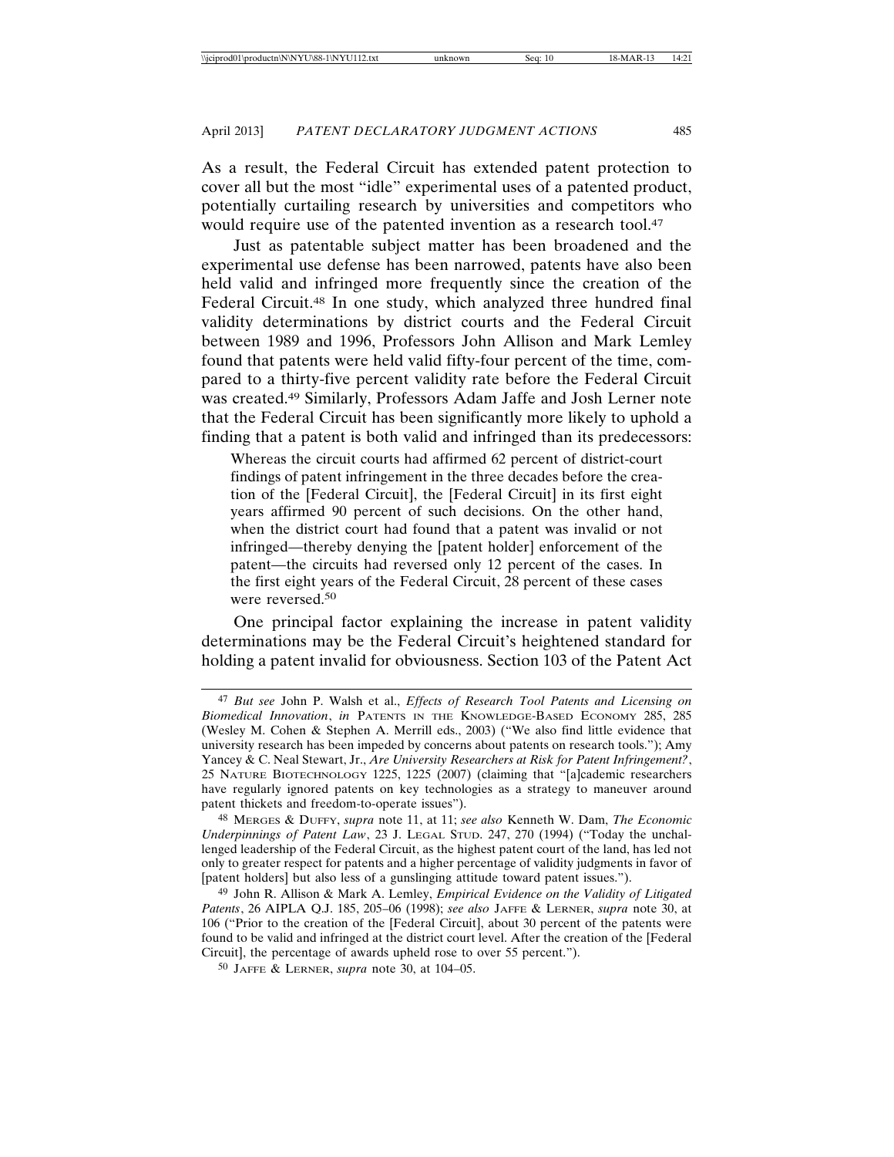As a result, the Federal Circuit has extended patent protection to cover all but the most "idle" experimental uses of a patented product, potentially curtailing research by universities and competitors who would require use of the patented invention as a research tool.<sup>47</sup>

Just as patentable subject matter has been broadened and the experimental use defense has been narrowed, patents have also been held valid and infringed more frequently since the creation of the Federal Circuit.48 In one study, which analyzed three hundred final validity determinations by district courts and the Federal Circuit between 1989 and 1996, Professors John Allison and Mark Lemley found that patents were held valid fifty-four percent of the time, compared to a thirty-five percent validity rate before the Federal Circuit was created.49 Similarly, Professors Adam Jaffe and Josh Lerner note that the Federal Circuit has been significantly more likely to uphold a finding that a patent is both valid and infringed than its predecessors:

Whereas the circuit courts had affirmed 62 percent of district-court findings of patent infringement in the three decades before the creation of the [Federal Circuit], the [Federal Circuit] in its first eight years affirmed 90 percent of such decisions. On the other hand, when the district court had found that a patent was invalid or not infringed—thereby denying the [patent holder] enforcement of the patent—the circuits had reversed only 12 percent of the cases. In the first eight years of the Federal Circuit, 28 percent of these cases were reversed.50

One principal factor explaining the increase in patent validity determinations may be the Federal Circuit's heightened standard for holding a patent invalid for obviousness. Section 103 of the Patent Act

48 MERGES & DUFFY, *supra* note 11, at 11; *see also* Kenneth W. Dam, *The Economic Underpinnings of Patent Law*, 23 J. LEGAL STUD. 247, 270 (1994) ("Today the unchallenged leadership of the Federal Circuit, as the highest patent court of the land, has led not only to greater respect for patents and a higher percentage of validity judgments in favor of [patent holders] but also less of a gunslinging attitude toward patent issues.").

49 John R. Allison & Mark A. Lemley, *Empirical Evidence on the Validity of Litigated Patents*, 26 AIPLA Q.J. 185, 205–06 (1998); *see also* JAFFE & LERNER, *supra* note 30, at 106 ("Prior to the creation of the [Federal Circuit], about 30 percent of the patents were found to be valid and infringed at the district court level. After the creation of the [Federal Circuit], the percentage of awards upheld rose to over 55 percent.").

50 JAFFE & LERNER, *supra* note 30, at 104–05.

<sup>47</sup> *But see* John P. Walsh et al., *Effects of Research Tool Patents and Licensing on Biomedical Innovation*, *in* PATENTS IN THE KNOWLEDGE-BASED ECONOMY 285, 285 (Wesley M. Cohen & Stephen A. Merrill eds., 2003) ("We also find little evidence that university research has been impeded by concerns about patents on research tools."); Amy Yancey & C. Neal Stewart, Jr., *Are University Researchers at Risk for Patent Infringement?*, 25 NATURE BIOTECHNOLOGY 1225, 1225 (2007) (claiming that "[a]cademic researchers have regularly ignored patents on key technologies as a strategy to maneuver around patent thickets and freedom-to-operate issues").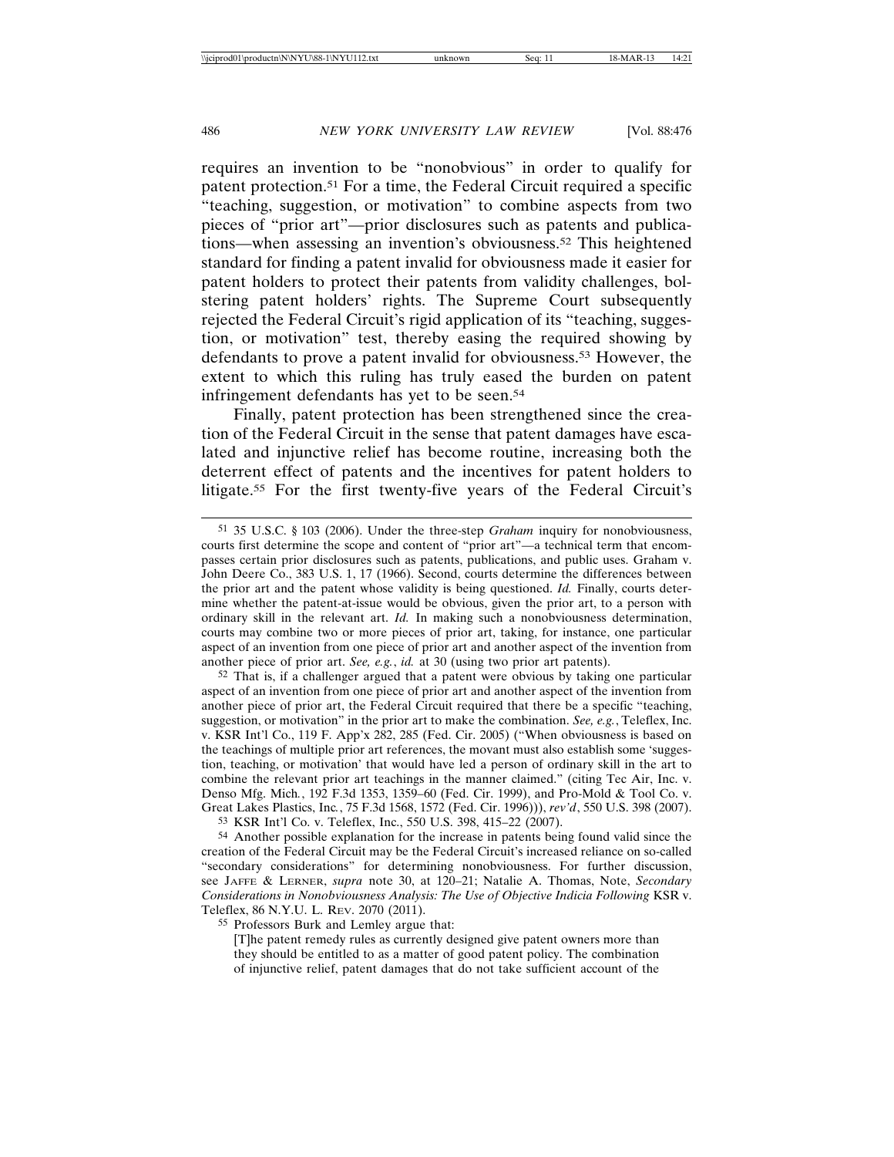requires an invention to be "nonobvious" in order to qualify for patent protection.51 For a time, the Federal Circuit required a specific "teaching, suggestion, or motivation" to combine aspects from two pieces of "prior art"—prior disclosures such as patents and publications—when assessing an invention's obviousness.52 This heightened standard for finding a patent invalid for obviousness made it easier for patent holders to protect their patents from validity challenges, bolstering patent holders' rights. The Supreme Court subsequently rejected the Federal Circuit's rigid application of its "teaching, suggestion, or motivation" test, thereby easing the required showing by defendants to prove a patent invalid for obviousness.53 However, the extent to which this ruling has truly eased the burden on patent infringement defendants has yet to be seen.<sup>54</sup>

Finally, patent protection has been strengthened since the creation of the Federal Circuit in the sense that patent damages have escalated and injunctive relief has become routine, increasing both the deterrent effect of patents and the incentives for patent holders to litigate.55 For the first twenty-five years of the Federal Circuit's

 $52$  That is, if a challenger argued that a patent were obvious by taking one particular aspect of an invention from one piece of prior art and another aspect of the invention from another piece of prior art, the Federal Circuit required that there be a specific "teaching, suggestion, or motivation" in the prior art to make the combination. *See, e.g.*, Teleflex, Inc. v. KSR Int'l Co., 119 F. App'x 282, 285 (Fed. Cir. 2005) ("When obviousness is based on the teachings of multiple prior art references, the movant must also establish some 'suggestion, teaching, or motivation' that would have led a person of ordinary skill in the art to combine the relevant prior art teachings in the manner claimed." (citing Tec Air, Inc. v. Denso Mfg. Mich*.*, 192 F.3d 1353, 1359–60 (Fed. Cir. 1999), and Pro-Mold & Tool Co. v. Great Lakes Plastics, Inc*.*, 75 F.3d 1568, 1572 (Fed. Cir. 1996))), *rev'd*, 550 U.S. 398 (2007). 53 KSR Int'l Co. v. Teleflex, Inc., 550 U.S. 398, 415–22 (2007).

54 Another possible explanation for the increase in patents being found valid since the creation of the Federal Circuit may be the Federal Circuit's increased reliance on so-called "secondary considerations" for determining nonobviousness. For further discussion, see JAFFE & LERNER, *supra* note 30, at 120–21; Natalie A. Thomas, Note, *Secondary Considerations in Nonobviousness Analysis: The Use of Objective Indicia Following* KSR v. Teleflex, 86 N.Y.U. L. REV. 2070 (2011).

55 Professors Burk and Lemley argue that:

[T]he patent remedy rules as currently designed give patent owners more than they should be entitled to as a matter of good patent policy. The combination of injunctive relief, patent damages that do not take sufficient account of the

<sup>51</sup> 35 U.S.C. § 103 (2006). Under the three-step *Graham* inquiry for nonobviousness, courts first determine the scope and content of "prior art"—a technical term that encompasses certain prior disclosures such as patents, publications, and public uses. Graham v. John Deere Co., 383 U.S. 1, 17 (1966). Second, courts determine the differences between the prior art and the patent whose validity is being questioned. *Id.* Finally, courts determine whether the patent-at-issue would be obvious, given the prior art, to a person with ordinary skill in the relevant art. *Id.* In making such a nonobviousness determination, courts may combine two or more pieces of prior art, taking, for instance, one particular aspect of an invention from one piece of prior art and another aspect of the invention from another piece of prior art. *See, e.g.*, *id.* at 30 (using two prior art patents).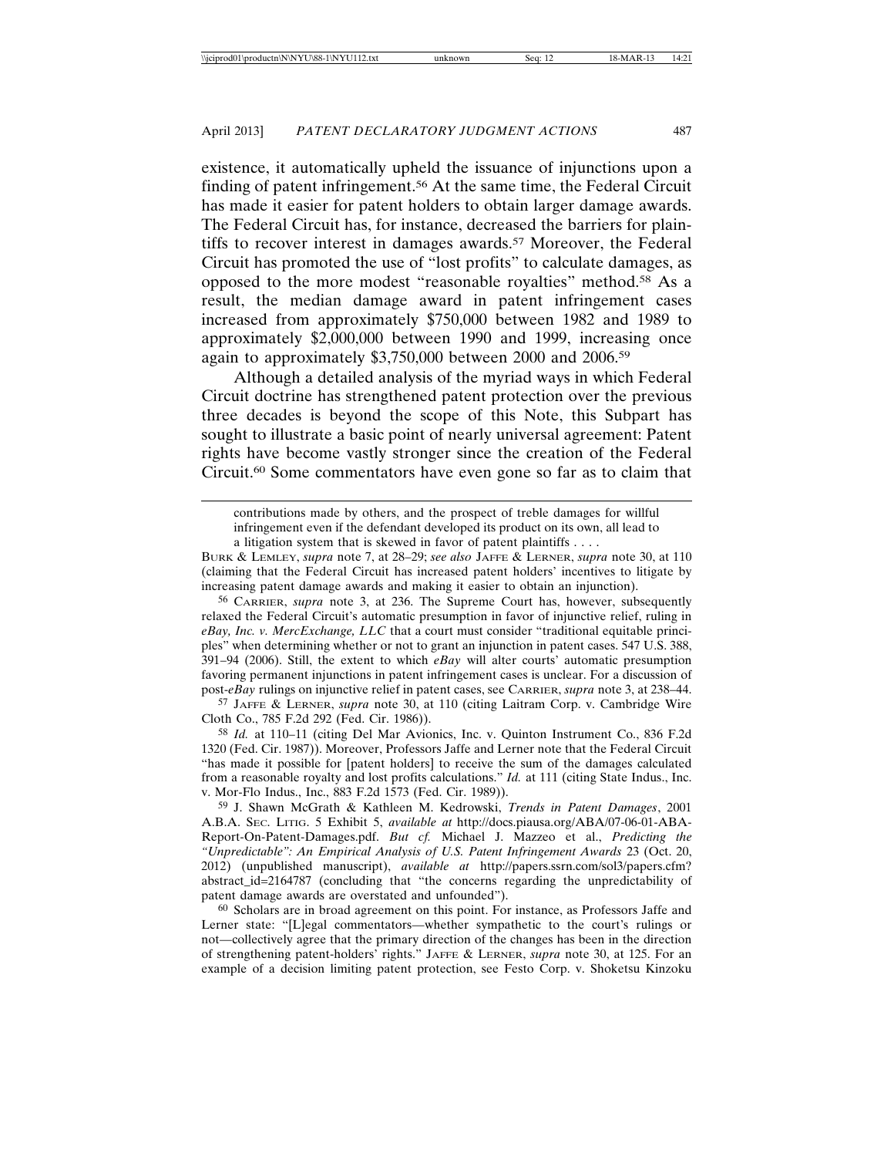existence, it automatically upheld the issuance of injunctions upon a finding of patent infringement.56 At the same time, the Federal Circuit has made it easier for patent holders to obtain larger damage awards. The Federal Circuit has, for instance, decreased the barriers for plaintiffs to recover interest in damages awards.<sup>57</sup> Moreover, the Federal Circuit has promoted the use of "lost profits" to calculate damages, as opposed to the more modest "reasonable royalties" method.58 As a result, the median damage award in patent infringement cases increased from approximately \$750,000 between 1982 and 1989 to approximately \$2,000,000 between 1990 and 1999, increasing once again to approximately \$3,750,000 between 2000 and 2006.59

Although a detailed analysis of the myriad ways in which Federal Circuit doctrine has strengthened patent protection over the previous three decades is beyond the scope of this Note, this Subpart has sought to illustrate a basic point of nearly universal agreement: Patent rights have become vastly stronger since the creation of the Federal Circuit.60 Some commentators have even gone so far as to claim that

57 JAFFE & LERNER, *supra* note 30, at 110 (citing Laitram Corp. v. Cambridge Wire Cloth Co., 785 F.2d 292 (Fed. Cir. 1986)).

58 *Id.* at 110–11 (citing Del Mar Avionics, Inc. v. Quinton Instrument Co., 836 F.2d 1320 (Fed. Cir. 1987)). Moreover, Professors Jaffe and Lerner note that the Federal Circuit "has made it possible for [patent holders] to receive the sum of the damages calculated from a reasonable royalty and lost profits calculations." *Id.* at 111 (citing State Indus., Inc. v. Mor-Flo Indus., Inc., 883 F.2d 1573 (Fed. Cir. 1989)).

59 J. Shawn McGrath & Kathleen M. Kedrowski, *Trends in Patent Damages*, 2001 A.B.A. SEC. LITIG. 5 Exhibit 5, *available at* http://docs.piausa.org/ABA/07-06-01-ABA-Report-On-Patent-Damages.pdf. *But cf.* Michael J. Mazzeo et al., *Predicting the "Unpredictable": An Empirical Analysis of U.S. Patent Infringement Awards* 23 (Oct. 20, 2012) (unpublished manuscript), *available at* http://papers.ssrn.com/sol3/papers.cfm? abstract\_id=2164787 (concluding that "the concerns regarding the unpredictability of patent damage awards are overstated and unfounded").

60 Scholars are in broad agreement on this point. For instance, as Professors Jaffe and Lerner state: "[L]egal commentators—whether sympathetic to the court's rulings or not—collectively agree that the primary direction of the changes has been in the direction of strengthening patent-holders' rights." JAFFE & LERNER, *supra* note 30, at 125. For an example of a decision limiting patent protection, see Festo Corp. v. Shoketsu Kinzoku

contributions made by others, and the prospect of treble damages for willful infringement even if the defendant developed its product on its own, all lead to a litigation system that is skewed in favor of patent plaintiffs . . . .

BURK & LEMLEY, *supra* note 7, at 28–29; *see also* JAFFE & LERNER, *supra* note 30, at 110 (claiming that the Federal Circuit has increased patent holders' incentives to litigate by increasing patent damage awards and making it easier to obtain an injunction).

<sup>56</sup> CARRIER, *supra* note 3, at 236. The Supreme Court has, however, subsequently relaxed the Federal Circuit's automatic presumption in favor of injunctive relief, ruling in *eBay, Inc. v. MercExchange, LLC* that a court must consider "traditional equitable principles" when determining whether or not to grant an injunction in patent cases. 547 U.S. 388, 391–94 (2006). Still, the extent to which *eBay* will alter courts' automatic presumption favoring permanent injunctions in patent infringement cases is unclear. For a discussion of post-*eBay* rulings on injunctive relief in patent cases, see CARRIER, *supra* note 3, at 238–44.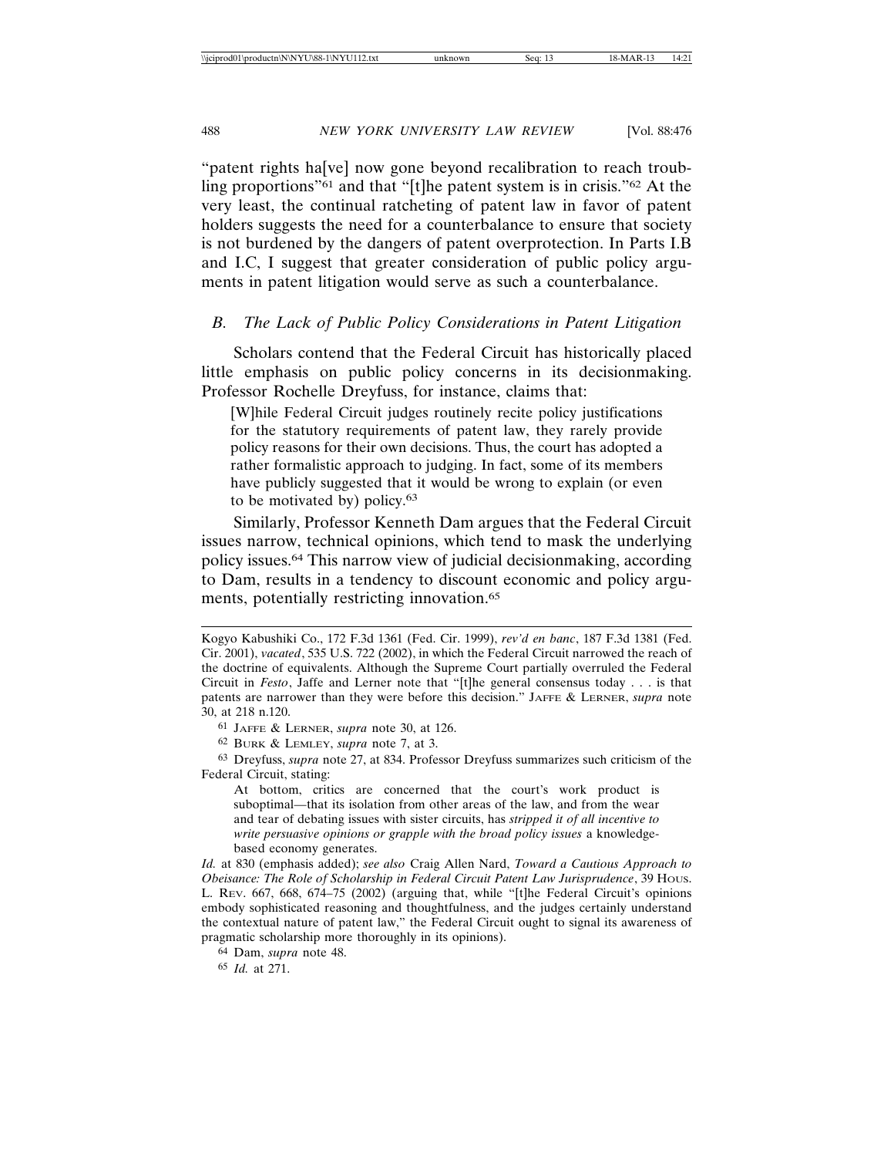"patent rights ha[ve] now gone beyond recalibration to reach troubling proportions"61 and that "[t]he patent system is in crisis."62 At the very least, the continual ratcheting of patent law in favor of patent holders suggests the need for a counterbalance to ensure that society is not burdened by the dangers of patent overprotection. In Parts I.B and I.C, I suggest that greater consideration of public policy arguments in patent litigation would serve as such a counterbalance.

#### *B. The Lack of Public Policy Considerations in Patent Litigation*

Scholars contend that the Federal Circuit has historically placed little emphasis on public policy concerns in its decisionmaking. Professor Rochelle Dreyfuss, for instance, claims that:

[W]hile Federal Circuit judges routinely recite policy justifications for the statutory requirements of patent law, they rarely provide policy reasons for their own decisions. Thus, the court has adopted a rather formalistic approach to judging. In fact, some of its members have publicly suggested that it would be wrong to explain (or even to be motivated by) policy.63

Similarly, Professor Kenneth Dam argues that the Federal Circuit issues narrow, technical opinions, which tend to mask the underlying policy issues.64 This narrow view of judicial decisionmaking, according to Dam, results in a tendency to discount economic and policy arguments, potentially restricting innovation.<sup>65</sup>

61 JAFFE & LERNER, *supra* note 30, at 126.

62 BURK & LEMLEY, *supra* note 7, at 3.

63 Dreyfuss, *supra* note 27, at 834. Professor Dreyfuss summarizes such criticism of the Federal Circuit, stating:

At bottom, critics are concerned that the court's work product is suboptimal—that its isolation from other areas of the law, and from the wear and tear of debating issues with sister circuits, has *stripped it of all incentive to write persuasive opinions or grapple with the broad policy issues* a knowledgebased economy generates.

*Id.* at 830 (emphasis added); *see also* Craig Allen Nard, *Toward a Cautious Approach to Obeisance: The Role of Scholarship in Federal Circuit Patent Law Jurisprudence*, 39 HOUS. L. REV. 667, 668, 674–75 (2002) (arguing that, while "[t]he Federal Circuit's opinions embody sophisticated reasoning and thoughtfulness, and the judges certainly understand the contextual nature of patent law," the Federal Circuit ought to signal its awareness of pragmatic scholarship more thoroughly in its opinions).

64 Dam, *supra* note 48.

65 *Id.* at 271.

Kogyo Kabushiki Co., 172 F.3d 1361 (Fed. Cir. 1999), *rev'd en banc*, 187 F.3d 1381 (Fed. Cir. 2001), *vacated*, 535 U.S. 722 (2002), in which the Federal Circuit narrowed the reach of the doctrine of equivalents. Although the Supreme Court partially overruled the Federal Circuit in *Festo*, Jaffe and Lerner note that "[t]he general consensus today . . . is that patents are narrower than they were before this decision." JAFFE & LERNER, *supra* note 30, at 218 n.120.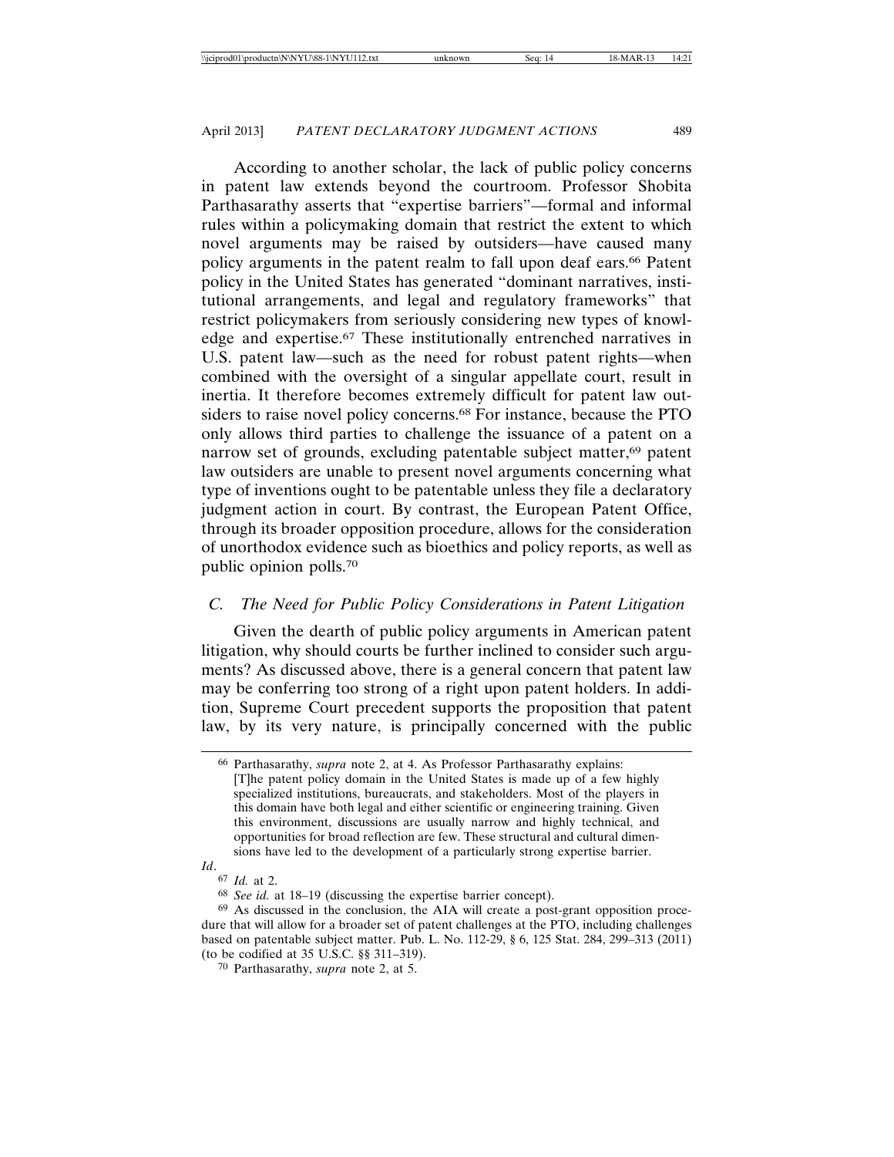According to another scholar, the lack of public policy concerns in patent law extends beyond the courtroom. Professor Shobita Parthasarathy asserts that "expertise barriers"—formal and informal rules within a policymaking domain that restrict the extent to which novel arguments may be raised by outsiders—have caused many policy arguments in the patent realm to fall upon deaf ears.66 Patent policy in the United States has generated "dominant narratives, institutional arrangements, and legal and regulatory frameworks" that restrict policymakers from seriously considering new types of knowledge and expertise.67 These institutionally entrenched narratives in U.S. patent law—such as the need for robust patent rights—when combined with the oversight of a singular appellate court, result in inertia. It therefore becomes extremely difficult for patent law outsiders to raise novel policy concerns.68 For instance, because the PTO only allows third parties to challenge the issuance of a patent on a narrow set of grounds, excluding patentable subject matter,<sup>69</sup> patent law outsiders are unable to present novel arguments concerning what type of inventions ought to be patentable unless they file a declaratory judgment action in court. By contrast, the European Patent Office, through its broader opposition procedure, allows for the consideration of unorthodox evidence such as bioethics and policy reports, as well as public opinion polls.70

### *C. The Need for Public Policy Considerations in Patent Litigation*

Given the dearth of public policy arguments in American patent litigation, why should courts be further inclined to consider such arguments? As discussed above, there is a general concern that patent law may be conferring too strong of a right upon patent holders. In addition, Supreme Court precedent supports the proposition that patent law, by its very nature, is principally concerned with the public

<sup>66</sup> Parthasarathy, *supra* note 2, at 4. As Professor Parthasarathy explains: [T]he patent policy domain in the United States is made up of a few highly specialized institutions, bureaucrats, and stakeholders. Most of the players in this domain have both legal and either scientific or engineering training. Given this environment, discussions are usually narrow and highly technical, and opportunities for broad reflection are few. These structural and cultural dimensions have led to the development of a particularly strong expertise barrier.

*Id*.

<sup>67</sup> *Id.* at 2.

<sup>68</sup> *See id.* at 18–19 (discussing the expertise barrier concept).

<sup>69</sup> As discussed in the conclusion, the AIA will create a post-grant opposition procedure that will allow for a broader set of patent challenges at the PTO, including challenges based on patentable subject matter. Pub. L. No. 112-29, § 6, 125 Stat. 284, 299–313 (2011) (to be codified at 35 U.S.C. §§ 311–319).

<sup>70</sup> Parthasarathy, *supra* note 2, at 5.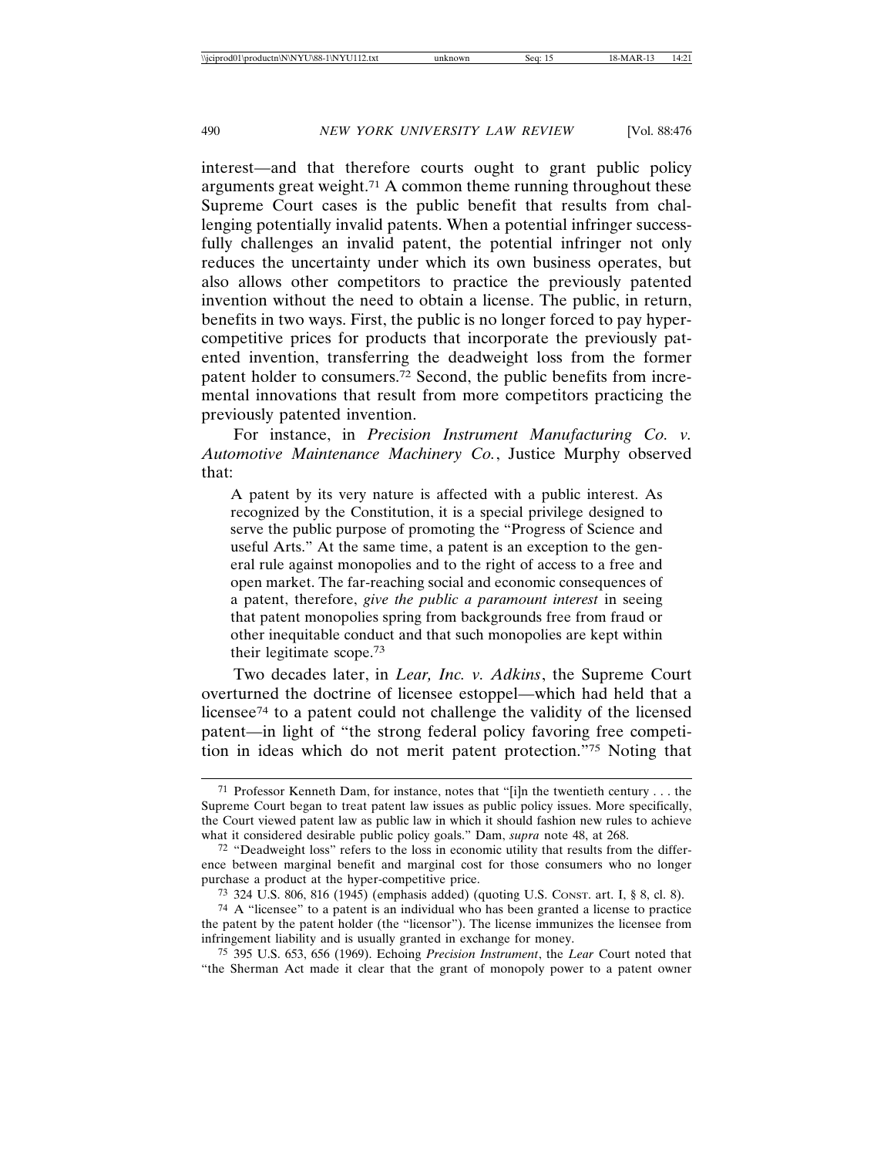interest—and that therefore courts ought to grant public policy arguments great weight.71 A common theme running throughout these Supreme Court cases is the public benefit that results from challenging potentially invalid patents. When a potential infringer successfully challenges an invalid patent, the potential infringer not only reduces the uncertainty under which its own business operates, but also allows other competitors to practice the previously patented invention without the need to obtain a license. The public, in return, benefits in two ways. First, the public is no longer forced to pay hypercompetitive prices for products that incorporate the previously patented invention, transferring the deadweight loss from the former patent holder to consumers.72 Second, the public benefits from incremental innovations that result from more competitors practicing the previously patented invention.

For instance, in *Precision Instrument Manufacturing Co. v. Automotive Maintenance Machinery Co.*, Justice Murphy observed that:

A patent by its very nature is affected with a public interest. As recognized by the Constitution, it is a special privilege designed to serve the public purpose of promoting the "Progress of Science and useful Arts." At the same time, a patent is an exception to the general rule against monopolies and to the right of access to a free and open market. The far-reaching social and economic consequences of a patent, therefore, *give the public a paramount interest* in seeing that patent monopolies spring from backgrounds free from fraud or other inequitable conduct and that such monopolies are kept within their legitimate scope.73

Two decades later, in *Lear, Inc. v. Adkins*, the Supreme Court overturned the doctrine of licensee estoppel—which had held that a licensee74 to a patent could not challenge the validity of the licensed patent—in light of "the strong federal policy favoring free competition in ideas which do not merit patent protection."75 Noting that

<sup>71</sup> Professor Kenneth Dam, for instance, notes that "[i]n the twentieth century . . . the Supreme Court began to treat patent law issues as public policy issues. More specifically, the Court viewed patent law as public law in which it should fashion new rules to achieve what it considered desirable public policy goals." Dam, *supra* note 48, at 268.

 $72$  "Deadweight loss" refers to the loss in economic utility that results from the difference between marginal benefit and marginal cost for those consumers who no longer purchase a product at the hyper-competitive price.

<sup>73</sup> 324 U.S. 806, 816 (1945) (emphasis added) (quoting U.S. CONST. art. I, § 8, cl. 8).

<sup>74</sup> A "licensee" to a patent is an individual who has been granted a license to practice the patent by the patent holder (the "licensor"). The license immunizes the licensee from infringement liability and is usually granted in exchange for money.

<sup>75</sup> 395 U.S. 653, 656 (1969). Echoing *Precision Instrument*, the *Lear* Court noted that "the Sherman Act made it clear that the grant of monopoly power to a patent owner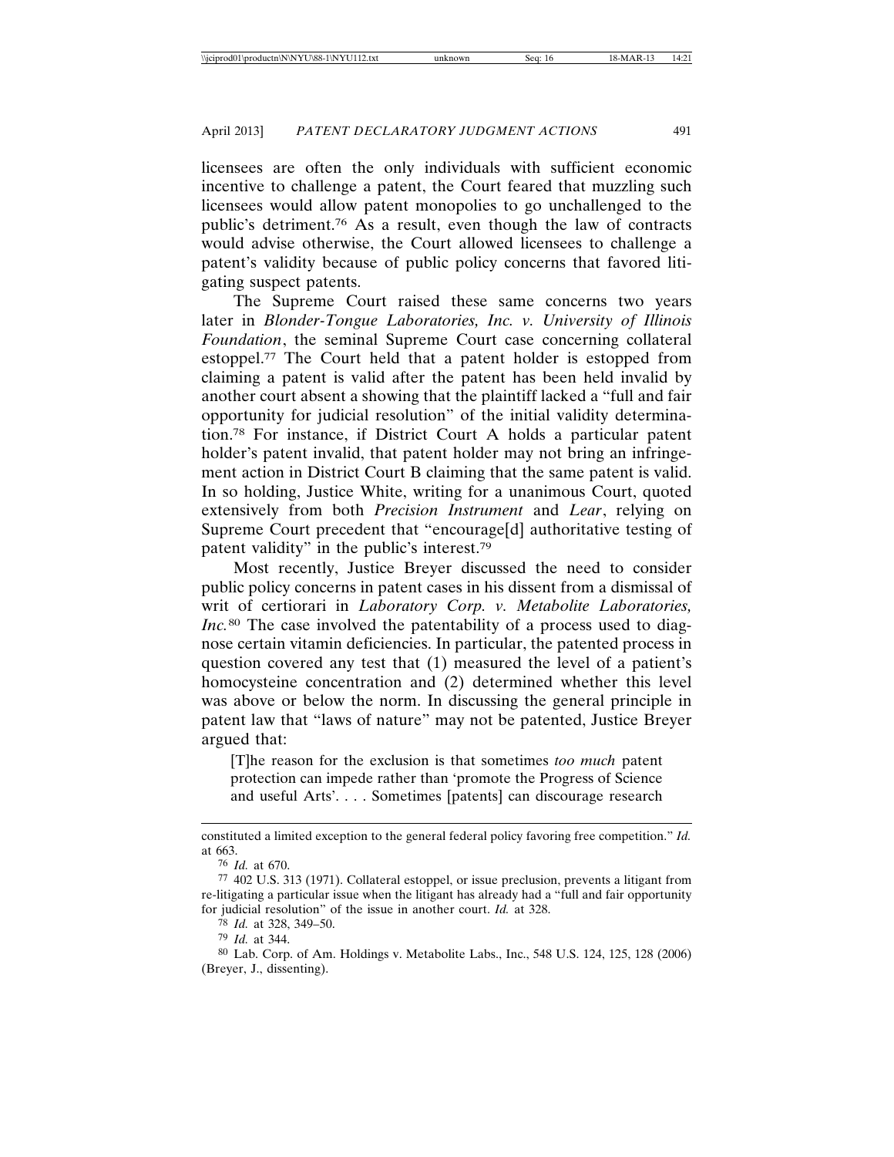licensees are often the only individuals with sufficient economic incentive to challenge a patent, the Court feared that muzzling such licensees would allow patent monopolies to go unchallenged to the public's detriment.76 As a result, even though the law of contracts would advise otherwise, the Court allowed licensees to challenge a patent's validity because of public policy concerns that favored litigating suspect patents.

The Supreme Court raised these same concerns two years later in *Blonder-Tongue Laboratories, Inc. v. University of Illinois Foundation*, the seminal Supreme Court case concerning collateral estoppel.77 The Court held that a patent holder is estopped from claiming a patent is valid after the patent has been held invalid by another court absent a showing that the plaintiff lacked a "full and fair opportunity for judicial resolution" of the initial validity determination.78 For instance, if District Court A holds a particular patent holder's patent invalid, that patent holder may not bring an infringement action in District Court B claiming that the same patent is valid. In so holding, Justice White, writing for a unanimous Court, quoted extensively from both *Precision Instrument* and *Lear*, relying on Supreme Court precedent that "encourage[d] authoritative testing of patent validity" in the public's interest.79

Most recently, Justice Breyer discussed the need to consider public policy concerns in patent cases in his dissent from a dismissal of writ of certiorari in *Laboratory Corp. v. Metabolite Laboratories, Inc.*<sup>80</sup> The case involved the patentability of a process used to diagnose certain vitamin deficiencies. In particular, the patented process in question covered any test that (1) measured the level of a patient's homocysteine concentration and (2) determined whether this level was above or below the norm. In discussing the general principle in patent law that "laws of nature" may not be patented, Justice Breyer argued that:

[T]he reason for the exclusion is that sometimes *too much* patent protection can impede rather than 'promote the Progress of Science and useful Arts'. . . . Sometimes [patents] can discourage research

78 *Id.* at 328, 349–50.

79 *Id.* at 344.

constituted a limited exception to the general federal policy favoring free competition." *Id.* at 663.

<sup>76</sup> *Id.* at 670.

<sup>77</sup> 402 U.S. 313 (1971). Collateral estoppel, or issue preclusion, prevents a litigant from re-litigating a particular issue when the litigant has already had a "full and fair opportunity for judicial resolution" of the issue in another court. *Id.* at 328.

<sup>80</sup> Lab. Corp. of Am. Holdings v. Metabolite Labs., Inc., 548 U.S. 124, 125, 128 (2006) (Breyer, J., dissenting).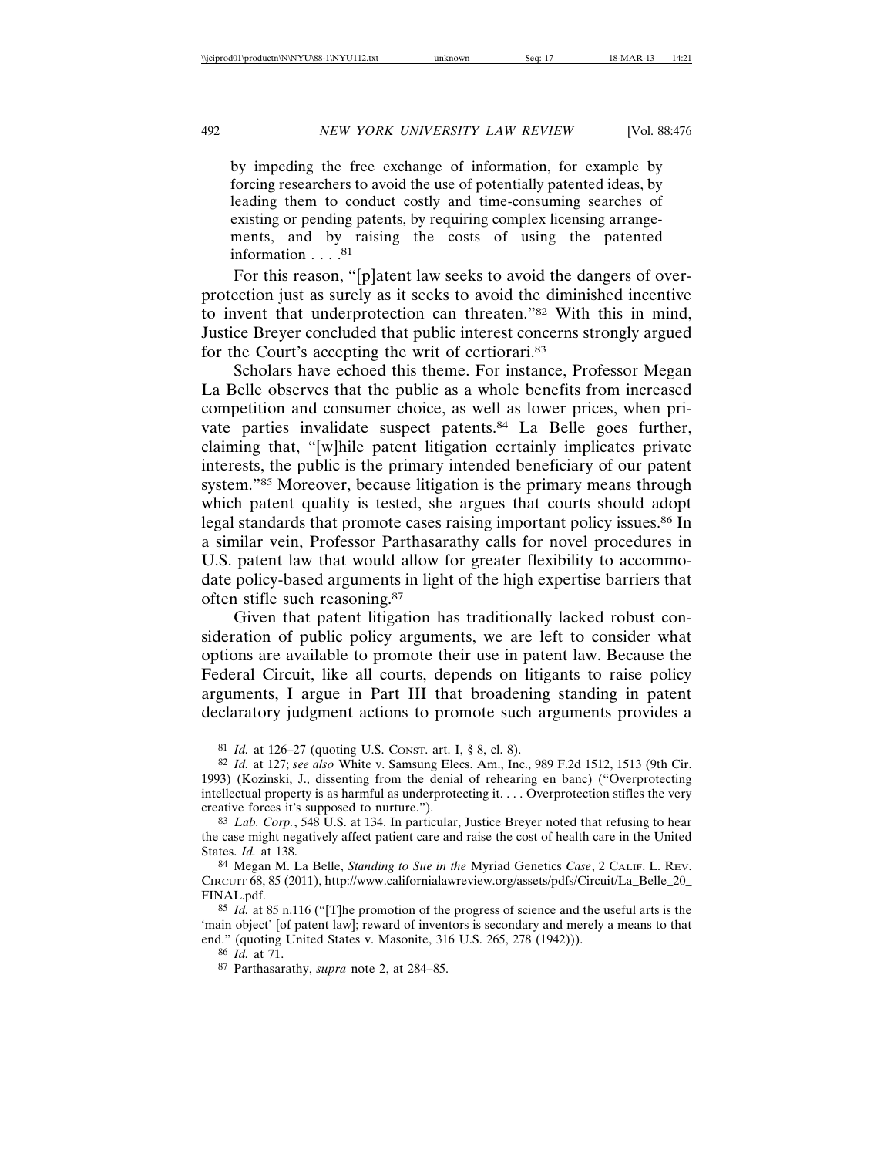by impeding the free exchange of information, for example by forcing researchers to avoid the use of potentially patented ideas, by leading them to conduct costly and time-consuming searches of existing or pending patents, by requiring complex licensing arrangements, and by raising the costs of using the patented information . . . . 81

For this reason, "[p]atent law seeks to avoid the dangers of overprotection just as surely as it seeks to avoid the diminished incentive to invent that underprotection can threaten."82 With this in mind, Justice Breyer concluded that public interest concerns strongly argued for the Court's accepting the writ of certiorari.83

Scholars have echoed this theme. For instance, Professor Megan La Belle observes that the public as a whole benefits from increased competition and consumer choice, as well as lower prices, when private parties invalidate suspect patents.84 La Belle goes further, claiming that, "[w]hile patent litigation certainly implicates private interests, the public is the primary intended beneficiary of our patent system."85 Moreover, because litigation is the primary means through which patent quality is tested, she argues that courts should adopt legal standards that promote cases raising important policy issues.<sup>86</sup> In a similar vein, Professor Parthasarathy calls for novel procedures in U.S. patent law that would allow for greater flexibility to accommodate policy-based arguments in light of the high expertise barriers that often stifle such reasoning.87

Given that patent litigation has traditionally lacked robust consideration of public policy arguments, we are left to consider what options are available to promote their use in patent law. Because the Federal Circuit, like all courts, depends on litigants to raise policy arguments, I argue in Part III that broadening standing in patent declaratory judgment actions to promote such arguments provides a

<sup>81</sup> *Id.* at 126–27 (quoting U.S. CONST. art. I, § 8, cl. 8).

<sup>82</sup> *Id.* at 127; *see also* White v. Samsung Elecs. Am., Inc., 989 F.2d 1512, 1513 (9th Cir. 1993) (Kozinski, J., dissenting from the denial of rehearing en banc) ("Overprotecting intellectual property is as harmful as underprotecting it. . . . Overprotection stifles the very creative forces it's supposed to nurture.").

<sup>83</sup> *Lab. Corp.*, 548 U.S. at 134. In particular, Justice Breyer noted that refusing to hear the case might negatively affect patient care and raise the cost of health care in the United States. *Id.* at 138.

<sup>84</sup> Megan M. La Belle, *Standing to Sue in the* Myriad Genetics *Case*, 2 CALIF. L. REV. CIRCUIT 68, 85 (2011), http://www.californialawreview.org/assets/pdfs/Circuit/La\_Belle\_20\_ FINAL.pdf.

<sup>85</sup> *Id.* at 85 n.116 ("[T]he promotion of the progress of science and the useful arts is the 'main object' [of patent law]; reward of inventors is secondary and merely a means to that end." (quoting United States v. Masonite, 316 U.S. 265, 278 (1942))).

<sup>86</sup> *Id.* at 71.

<sup>87</sup> Parthasarathy, *supra* note 2, at 284–85.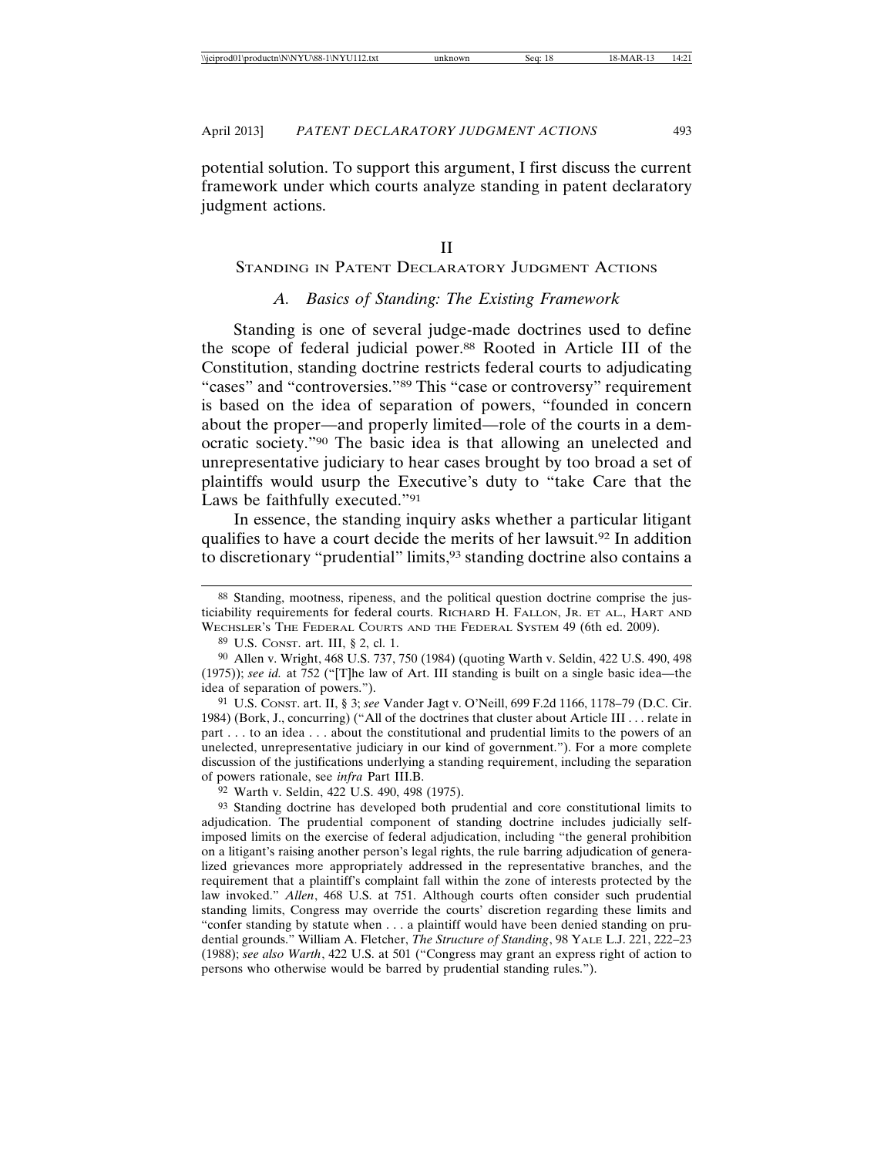potential solution. To support this argument, I first discuss the current framework under which courts analyze standing in patent declaratory judgment actions.

#### STANDING IN PATENT DECLARATORY JUDGMENT ACTIONS

#### *A. Basics of Standing: The Existing Framework*

Standing is one of several judge-made doctrines used to define the scope of federal judicial power.88 Rooted in Article III of the Constitution, standing doctrine restricts federal courts to adjudicating "cases" and "controversies."89 This "case or controversy" requirement is based on the idea of separation of powers, "founded in concern about the proper—and properly limited—role of the courts in a democratic society."90 The basic idea is that allowing an unelected and unrepresentative judiciary to hear cases brought by too broad a set of plaintiffs would usurp the Executive's duty to "take Care that the Laws be faithfully executed."91

In essence, the standing inquiry asks whether a particular litigant qualifies to have a court decide the merits of her lawsuit.92 In addition to discretionary "prudential" limits,<sup>93</sup> standing doctrine also contains a

91 U.S. CONST. art. II, § 3; *see* Vander Jagt v. O'Neill, 699 F.2d 1166, 1178–79 (D.C. Cir. 1984) (Bork, J., concurring) ("All of the doctrines that cluster about Article III . . . relate in part . . . to an idea . . . about the constitutional and prudential limits to the powers of an unelected, unrepresentative judiciary in our kind of government."). For a more complete discussion of the justifications underlying a standing requirement, including the separation of powers rationale, see *infra* Part III.B.

92 Warth v. Seldin, 422 U.S. 490, 498 (1975).

93 Standing doctrine has developed both prudential and core constitutional limits to adjudication. The prudential component of standing doctrine includes judicially selfimposed limits on the exercise of federal adjudication, including "the general prohibition on a litigant's raising another person's legal rights, the rule barring adjudication of generalized grievances more appropriately addressed in the representative branches, and the requirement that a plaintiff's complaint fall within the zone of interests protected by the law invoked." *Allen*, 468 U.S. at 751. Although courts often consider such prudential standing limits, Congress may override the courts' discretion regarding these limits and "confer standing by statute when . . . a plaintiff would have been denied standing on prudential grounds." William A. Fletcher, *The Structure of Standing*, 98 YALE L.J. 221, 222–23 (1988); *see also Warth*, 422 U.S. at 501 ("Congress may grant an express right of action to persons who otherwise would be barred by prudential standing rules.").

<sup>88</sup> Standing, mootness, ripeness, and the political question doctrine comprise the justiciability requirements for federal courts. RICHARD H. FALLON, JR. ET AL., HART AND WECHSLER'S THE FEDERAL COURTS AND THE FEDERAL SYSTEM 49 (6th ed. 2009).

<sup>89</sup> U.S. CONST. art. III, § 2, cl. 1.

<sup>90</sup> Allen v. Wright, 468 U.S. 737, 750 (1984) (quoting Warth v. Seldin, 422 U.S. 490, 498 (1975)); *see id.* at 752 ("[T]he law of Art. III standing is built on a single basic idea—the idea of separation of powers.").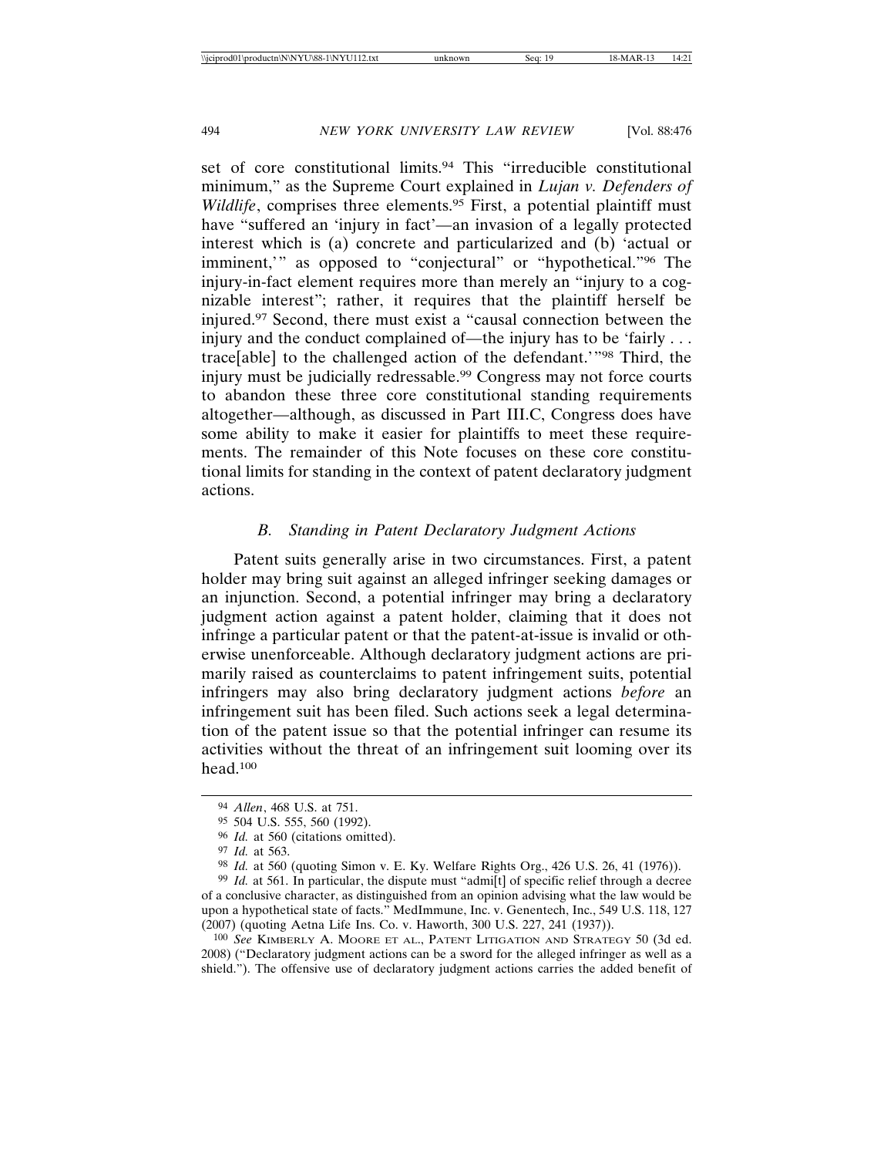set of core constitutional limits.<sup>94</sup> This "irreducible constitutional minimum," as the Supreme Court explained in *Lujan v. Defenders of Wildlife*, comprises three elements.<sup>95</sup> First, a potential plaintiff must have "suffered an 'injury in fact'—an invasion of a legally protected interest which is (a) concrete and particularized and (b) 'actual or imminent," as opposed to "conjectural" or "hypothetical."<sup>96</sup> The injury-in-fact element requires more than merely an "injury to a cognizable interest"; rather, it requires that the plaintiff herself be injured.97 Second, there must exist a "causal connection between the injury and the conduct complained of—the injury has to be 'fairly . . . trace[able] to the challenged action of the defendant.'"98 Third, the injury must be judicially redressable.99 Congress may not force courts to abandon these three core constitutional standing requirements altogether—although, as discussed in Part III.C, Congress does have some ability to make it easier for plaintiffs to meet these requirements. The remainder of this Note focuses on these core constitutional limits for standing in the context of patent declaratory judgment actions.

#### *B. Standing in Patent Declaratory Judgment Actions*

Patent suits generally arise in two circumstances. First, a patent holder may bring suit against an alleged infringer seeking damages or an injunction. Second, a potential infringer may bring a declaratory judgment action against a patent holder, claiming that it does not infringe a particular patent or that the patent-at-issue is invalid or otherwise unenforceable. Although declaratory judgment actions are primarily raised as counterclaims to patent infringement suits, potential infringers may also bring declaratory judgment actions *before* an infringement suit has been filed. Such actions seek a legal determination of the patent issue so that the potential infringer can resume its activities without the threat of an infringement suit looming over its head.100

<sup>94</sup> *Allen*, 468 U.S. at 751.

<sup>95</sup> 504 U.S. 555, 560 (1992).

<sup>96</sup> *Id.* at 560 (citations omitted).

<sup>97</sup> *Id.* at 563.

<sup>98</sup> *Id.* at 560 (quoting Simon v. E. Ky. Welfare Rights Org., 426 U.S. 26, 41 (1976)).

<sup>&</sup>lt;sup>99</sup> *Id.* at 561. In particular, the dispute must "admi[t] of specific relief through a decree of a conclusive character, as distinguished from an opinion advising what the law would be upon a hypothetical state of facts." MedImmune, Inc. v. Genentech, Inc., 549 U.S. 118, 127 (2007) (quoting Aetna Life Ins. Co. v. Haworth, 300 U.S. 227, 241 (1937)).

<sup>100</sup> *See* KIMBERLY A. MOORE ET AL., PATENT LITIGATION AND STRATEGY 50 (3d ed. 2008) ("Declaratory judgment actions can be a sword for the alleged infringer as well as a shield."). The offensive use of declaratory judgment actions carries the added benefit of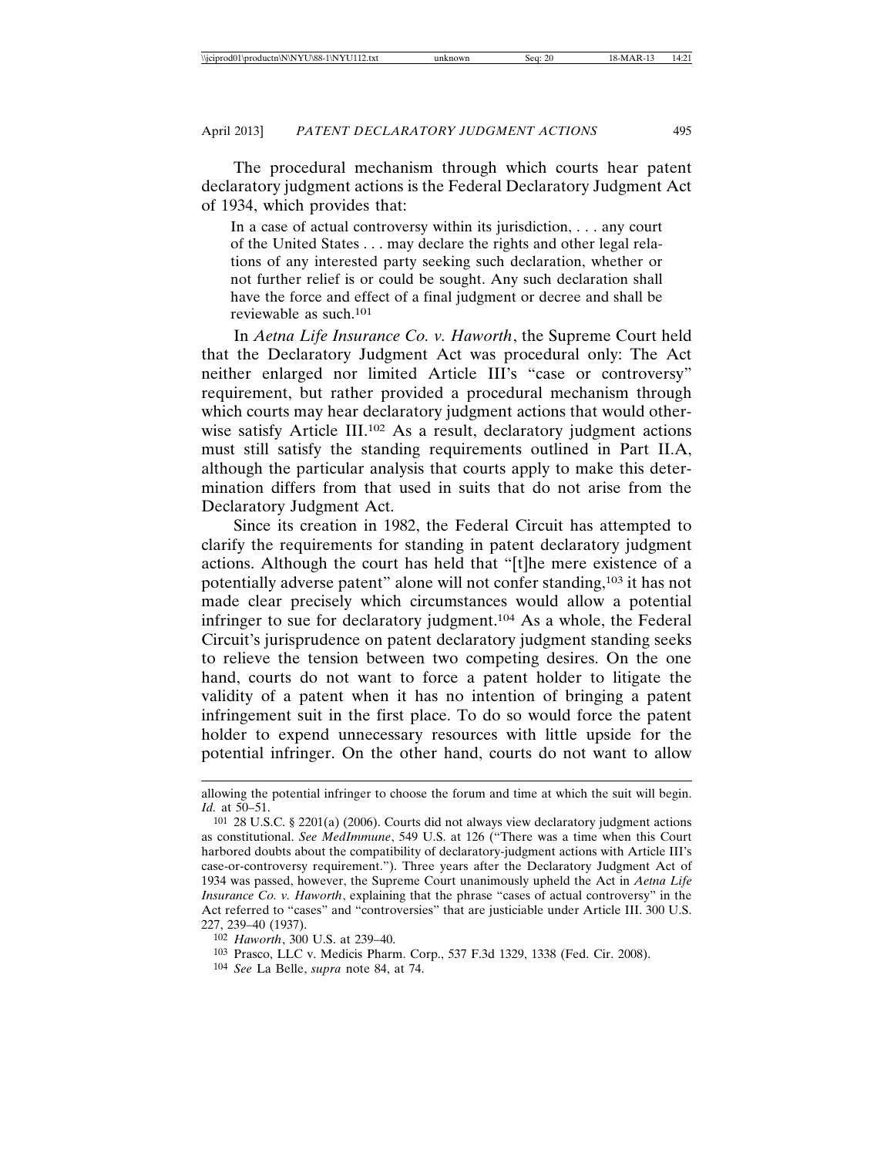The procedural mechanism through which courts hear patent declaratory judgment actions is the Federal Declaratory Judgment Act of 1934, which provides that:

In a case of actual controversy within its jurisdiction, . . . any court of the United States . . . may declare the rights and other legal relations of any interested party seeking such declaration, whether or not further relief is or could be sought. Any such declaration shall have the force and effect of a final judgment or decree and shall be reviewable as such.101

In *Aetna Life Insurance Co. v. Haworth*, the Supreme Court held that the Declaratory Judgment Act was procedural only: The Act neither enlarged nor limited Article III's "case or controversy" requirement, but rather provided a procedural mechanism through which courts may hear declaratory judgment actions that would otherwise satisfy Article III.102 As a result, declaratory judgment actions must still satisfy the standing requirements outlined in Part II.A, although the particular analysis that courts apply to make this determination differs from that used in suits that do not arise from the Declaratory Judgment Act.

Since its creation in 1982, the Federal Circuit has attempted to clarify the requirements for standing in patent declaratory judgment actions. Although the court has held that "[t]he mere existence of a potentially adverse patent" alone will not confer standing,103 it has not made clear precisely which circumstances would allow a potential infringer to sue for declaratory judgment.104 As a whole, the Federal Circuit's jurisprudence on patent declaratory judgment standing seeks to relieve the tension between two competing desires. On the one hand, courts do not want to force a patent holder to litigate the validity of a patent when it has no intention of bringing a patent infringement suit in the first place. To do so would force the patent holder to expend unnecessary resources with little upside for the potential infringer. On the other hand, courts do not want to allow

allowing the potential infringer to choose the forum and time at which the suit will begin. *Id.* at 50–51.

<sup>101</sup> 28 U.S.C. § 2201(a) (2006). Courts did not always view declaratory judgment actions as constitutional. *See MedImmune*, 549 U.S. at 126 ("There was a time when this Court harbored doubts about the compatibility of declaratory-judgment actions with Article III's case-or-controversy requirement."). Three years after the Declaratory Judgment Act of 1934 was passed, however, the Supreme Court unanimously upheld the Act in *Aetna Life Insurance Co. v. Haworth*, explaining that the phrase "cases of actual controversy" in the Act referred to "cases" and "controversies" that are justiciable under Article III. 300 U.S. 227, 239–40 (1937).

<sup>102</sup> *Haworth*, 300 U.S. at 239–40.

<sup>103</sup> Prasco, LLC v. Medicis Pharm. Corp., 537 F.3d 1329, 1338 (Fed. Cir. 2008).

<sup>104</sup> *See* La Belle, *supra* note 84, at 74.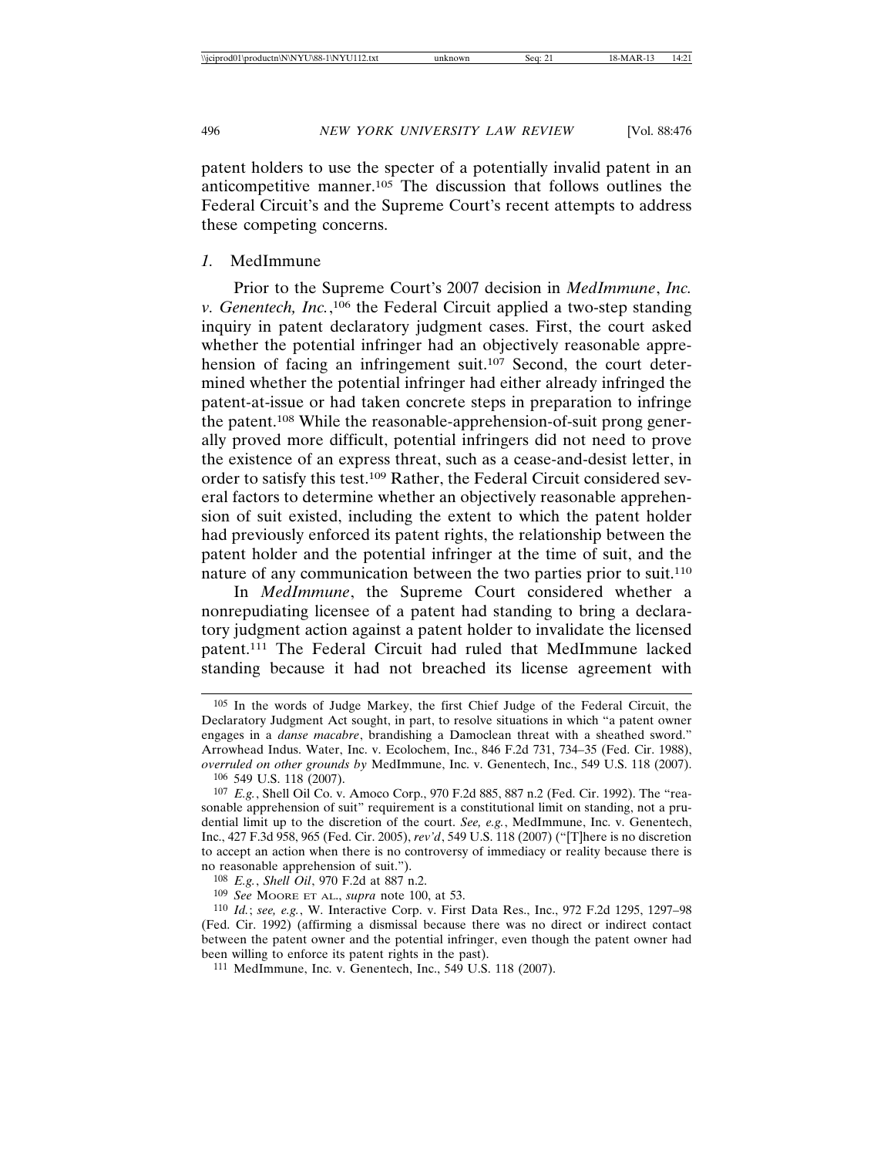patent holders to use the specter of a potentially invalid patent in an anticompetitive manner.105 The discussion that follows outlines the Federal Circuit's and the Supreme Court's recent attempts to address these competing concerns.

#### *1.* MedImmune

Prior to the Supreme Court's 2007 decision in *MedImmune*, *Inc.* v. Genentech, Inc.,<sup>106</sup> the Federal Circuit applied a two-step standing inquiry in patent declaratory judgment cases. First, the court asked whether the potential infringer had an objectively reasonable apprehension of facing an infringement suit.<sup>107</sup> Second, the court determined whether the potential infringer had either already infringed the patent-at-issue or had taken concrete steps in preparation to infringe the patent.108 While the reasonable-apprehension-of-suit prong generally proved more difficult, potential infringers did not need to prove the existence of an express threat, such as a cease-and-desist letter, in order to satisfy this test.109 Rather, the Federal Circuit considered several factors to determine whether an objectively reasonable apprehension of suit existed, including the extent to which the patent holder had previously enforced its patent rights, the relationship between the patent holder and the potential infringer at the time of suit, and the nature of any communication between the two parties prior to suit.110

In *MedImmune*, the Supreme Court considered whether a nonrepudiating licensee of a patent had standing to bring a declaratory judgment action against a patent holder to invalidate the licensed patent.111 The Federal Circuit had ruled that MedImmune lacked standing because it had not breached its license agreement with

109 *See* MOORE ET AL., *supra* note 100, at 53.

<sup>105</sup> In the words of Judge Markey, the first Chief Judge of the Federal Circuit, the Declaratory Judgment Act sought, in part, to resolve situations in which "a patent owner engages in a *danse macabre*, brandishing a Damoclean threat with a sheathed sword." Arrowhead Indus. Water, Inc. v. Ecolochem, Inc., 846 F.2d 731, 734–35 (Fed. Cir. 1988), *overruled on other grounds by* MedImmune, Inc. v. Genentech, Inc., 549 U.S. 118 (2007). 106 549 U.S. 118 (2007).

<sup>107</sup> *E.g.*, Shell Oil Co. v. Amoco Corp., 970 F.2d 885, 887 n.2 (Fed. Cir. 1992). The "reasonable apprehension of suit" requirement is a constitutional limit on standing, not a prudential limit up to the discretion of the court. *See, e.g.*, MedImmune, Inc. v. Genentech, Inc., 427 F.3d 958, 965 (Fed. Cir. 2005), *rev'd*, 549 U.S. 118 (2007) ("[T]here is no discretion to accept an action when there is no controversy of immediacy or reality because there is no reasonable apprehension of suit.").

<sup>108</sup> *E.g.*, *Shell Oil*, 970 F.2d at 887 n.2.

<sup>110</sup> *Id.*; *see, e.g.*, W. Interactive Corp. v. First Data Res., Inc., 972 F.2d 1295, 1297–98 (Fed. Cir. 1992) (affirming a dismissal because there was no direct or indirect contact between the patent owner and the potential infringer, even though the patent owner had been willing to enforce its patent rights in the past).

<sup>111</sup> MedImmune, Inc. v. Genentech, Inc., 549 U.S. 118 (2007).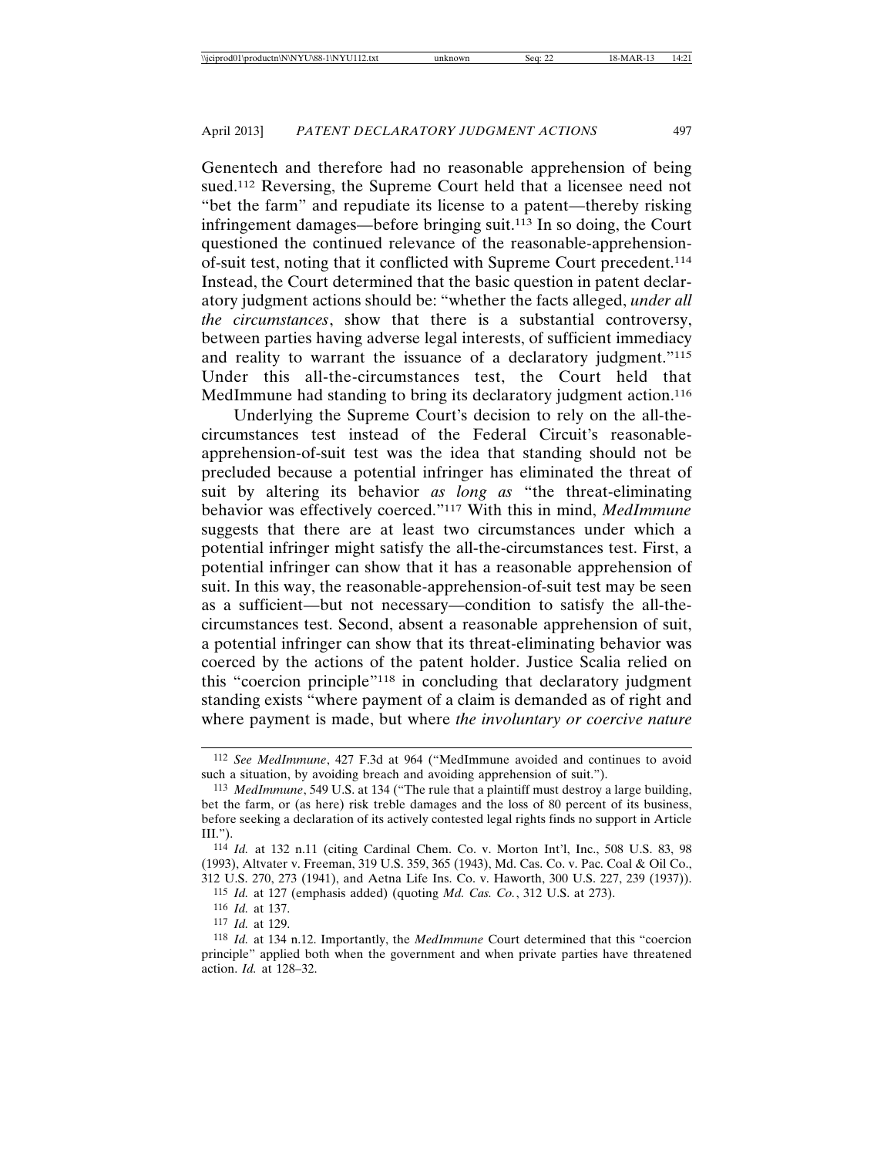Genentech and therefore had no reasonable apprehension of being sued.<sup>112</sup> Reversing, the Supreme Court held that a licensee need not "bet the farm" and repudiate its license to a patent—thereby risking infringement damages—before bringing suit.113 In so doing, the Court questioned the continued relevance of the reasonable-apprehensionof-suit test, noting that it conflicted with Supreme Court precedent.114 Instead, the Court determined that the basic question in patent declaratory judgment actions should be: "whether the facts alleged, *under all the circumstances*, show that there is a substantial controversy, between parties having adverse legal interests, of sufficient immediacy and reality to warrant the issuance of a declaratory judgment."<sup>115</sup> Under this all-the-circumstances test, the Court held that MedImmune had standing to bring its declaratory judgment action.<sup>116</sup>

Underlying the Supreme Court's decision to rely on the all-thecircumstances test instead of the Federal Circuit's reasonableapprehension-of-suit test was the idea that standing should not be precluded because a potential infringer has eliminated the threat of suit by altering its behavior *as long as* "the threat-eliminating behavior was effectively coerced."117 With this in mind, *MedImmune* suggests that there are at least two circumstances under which a potential infringer might satisfy the all-the-circumstances test. First, a potential infringer can show that it has a reasonable apprehension of suit. In this way, the reasonable-apprehension-of-suit test may be seen as a sufficient—but not necessary—condition to satisfy the all-thecircumstances test. Second, absent a reasonable apprehension of suit, a potential infringer can show that its threat-eliminating behavior was coerced by the actions of the patent holder. Justice Scalia relied on this "coercion principle"118 in concluding that declaratory judgment standing exists "where payment of a claim is demanded as of right and where payment is made, but where *the involuntary or coercive nature*

<sup>112</sup> *See MedImmune*, 427 F.3d at 964 ("MedImmune avoided and continues to avoid such a situation, by avoiding breach and avoiding apprehension of suit.").

<sup>113</sup> *MedImmune*, 549 U.S. at 134 ("The rule that a plaintiff must destroy a large building, bet the farm, or (as here) risk treble damages and the loss of 80 percent of its business, before seeking a declaration of its actively contested legal rights finds no support in Article III.").

<sup>114</sup> *Id.* at 132 n.11 (citing Cardinal Chem. Co. v. Morton Int'l, Inc., 508 U.S. 83, 98 (1993), Altvater v. Freeman, 319 U.S. 359, 365 (1943), Md. Cas. Co. v. Pac. Coal & Oil Co., 312 U.S. 270, 273 (1941), and Aetna Life Ins. Co. v. Haworth, 300 U.S. 227, 239 (1937)).

<sup>115</sup> *Id.* at 127 (emphasis added) (quoting *Md. Cas. Co.*, 312 U.S. at 273).

<sup>116</sup> *Id.* at 137.

<sup>117</sup> *Id.* at 129.

<sup>118</sup> *Id.* at 134 n.12. Importantly, the *MedImmune* Court determined that this "coercion principle" applied both when the government and when private parties have threatened action. *Id.* at 128–32.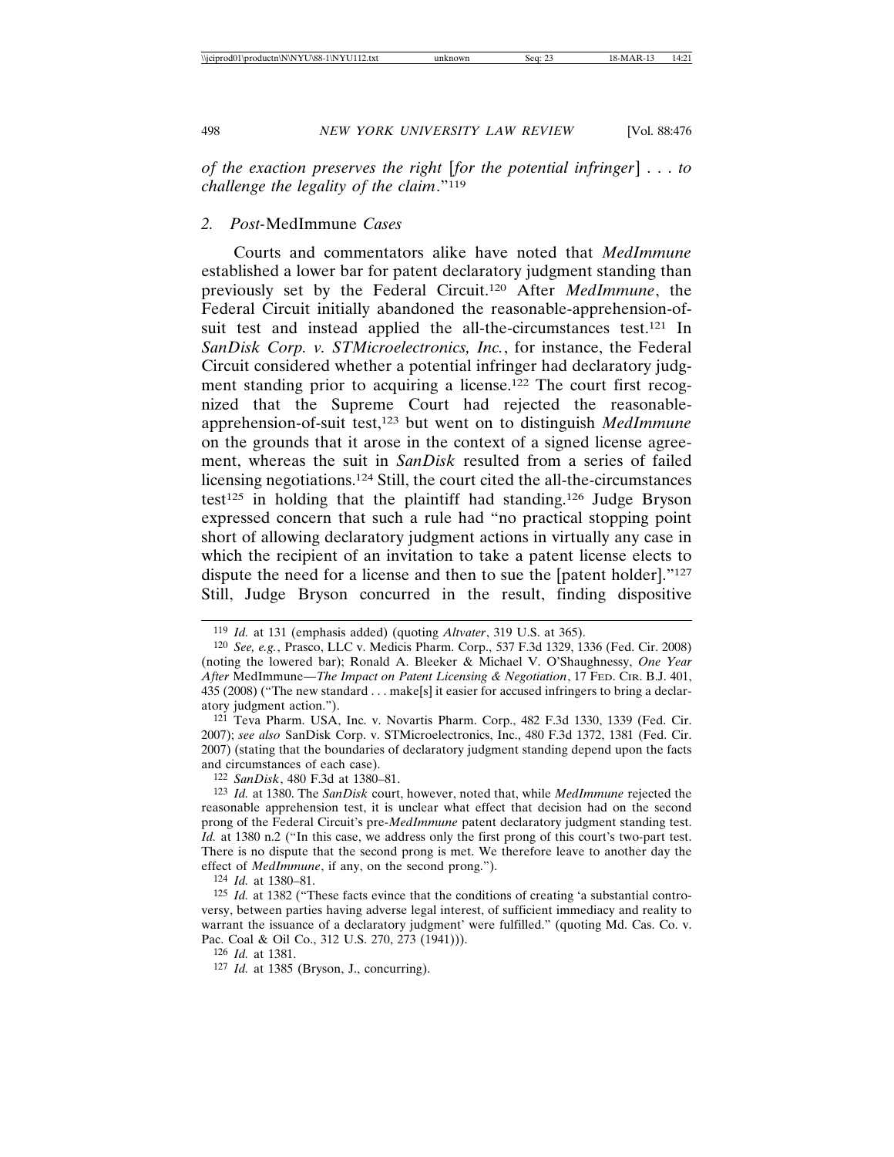*of the exaction preserves the right* [*for the potential infringer*] . . . *to challenge the legality of the claim*."119

#### *2. Post-*MedImmune *Cases*

Courts and commentators alike have noted that *MedImmune* established a lower bar for patent declaratory judgment standing than previously set by the Federal Circuit.120 After *MedImmune*, the Federal Circuit initially abandoned the reasonable-apprehension-ofsuit test and instead applied the all-the-circumstances test.<sup>121</sup> In *SanDisk Corp. v. STMicroelectronics, Inc.*, for instance, the Federal Circuit considered whether a potential infringer had declaratory judgment standing prior to acquiring a license.122 The court first recognized that the Supreme Court had rejected the reasonableapprehension-of-suit test,123 but went on to distinguish *MedImmune* on the grounds that it arose in the context of a signed license agreement, whereas the suit in *SanDisk* resulted from a series of failed licensing negotiations.124 Still, the court cited the all-the-circumstances test<sup>125</sup> in holding that the plaintiff had standing.<sup>126</sup> Judge Bryson expressed concern that such a rule had "no practical stopping point short of allowing declaratory judgment actions in virtually any case in which the recipient of an invitation to take a patent license elects to dispute the need for a license and then to sue the [patent holder]."127 Still, Judge Bryson concurred in the result, finding dispositive

122 *SanDisk*, 480 F.3d at 1380–81.

123 *Id.* at 1380. The *SanDisk* court, however, noted that, while *MedImmune* rejected the reasonable apprehension test, it is unclear what effect that decision had on the second prong of the Federal Circuit's pre-*MedImmune* patent declaratory judgment standing test. *Id.* at 1380 n.2 ("In this case, we address only the first prong of this court's two-part test. There is no dispute that the second prong is met. We therefore leave to another day the effect of *MedImmune*, if any, on the second prong.").

124 *Id.* at 1380–81.

126 *Id.* at 1381.

<sup>119</sup> *Id.* at 131 (emphasis added) (quoting *Altvater*, 319 U.S. at 365).

<sup>120</sup> *See, e.g.*, Prasco, LLC v. Medicis Pharm. Corp., 537 F.3d 1329, 1336 (Fed. Cir. 2008) (noting the lowered bar); Ronald A. Bleeker & Michael V. O'Shaughnessy, *One Year After* MedImmune*—The Impact on Patent Licensing & Negotiation*, 17 FED. CIR. B.J. 401, 435 (2008) ("The new standard . . . make[s] it easier for accused infringers to bring a declaratory judgment action.").

<sup>121</sup> Teva Pharm. USA, Inc. v. Novartis Pharm. Corp., 482 F.3d 1330, 1339 (Fed. Cir. 2007); *see also* SanDisk Corp. v. STMicroelectronics, Inc., 480 F.3d 1372, 1381 (Fed. Cir. 2007) (stating that the boundaries of declaratory judgment standing depend upon the facts and circumstances of each case).

<sup>125</sup> *Id.* at 1382 ("These facts evince that the conditions of creating 'a substantial controversy, between parties having adverse legal interest, of sufficient immediacy and reality to warrant the issuance of a declaratory judgment' were fulfilled." (quoting Md. Cas. Co. v. Pac. Coal & Oil Co., 312 U.S. 270, 273 (1941))).

<sup>127</sup> *Id.* at 1385 (Bryson, J., concurring).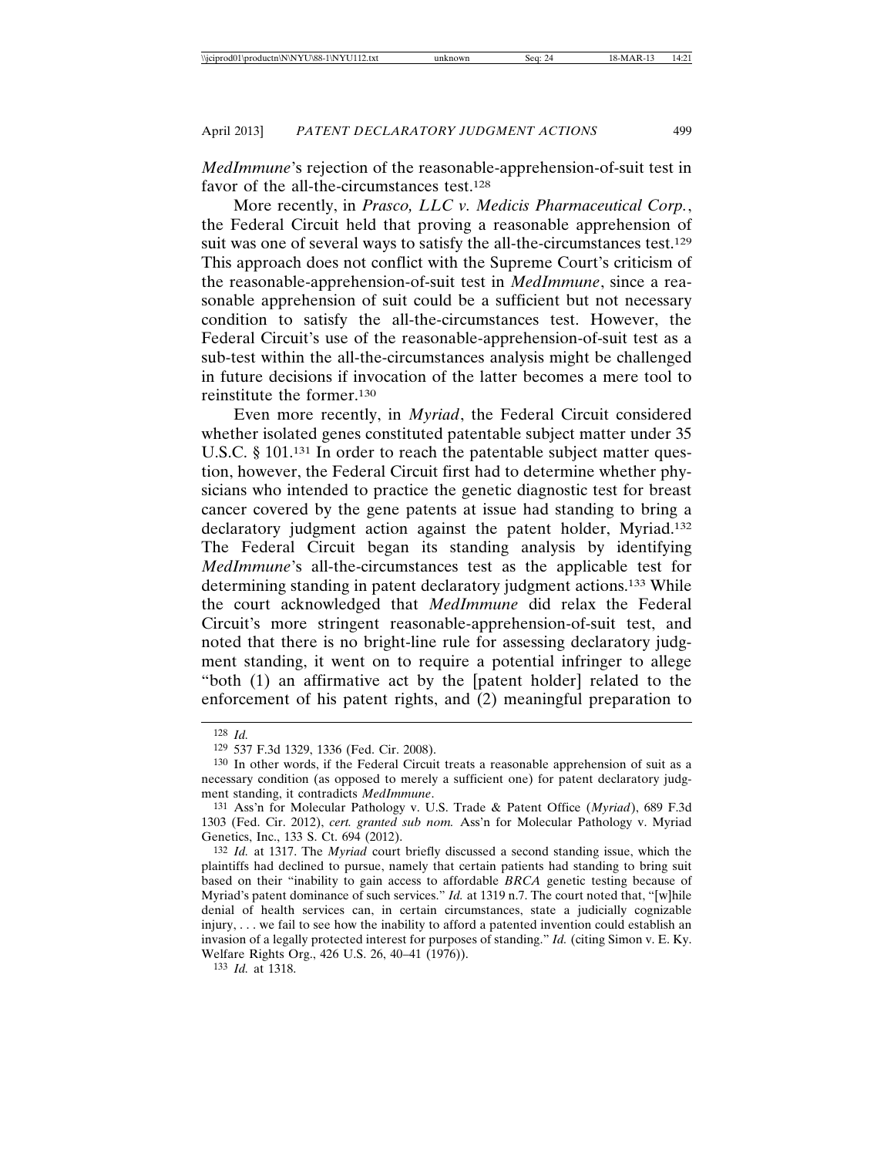*MedImmune*'s rejection of the reasonable-apprehension-of-suit test in favor of the all-the-circumstances test.<sup>128</sup>

More recently, in *Prasco, LLC v. Medicis Pharmaceutical Corp.*, the Federal Circuit held that proving a reasonable apprehension of suit was one of several ways to satisfy the all-the-circumstances test.<sup>129</sup> This approach does not conflict with the Supreme Court's criticism of the reasonable-apprehension-of-suit test in *MedImmune*, since a reasonable apprehension of suit could be a sufficient but not necessary condition to satisfy the all-the-circumstances test. However, the Federal Circuit's use of the reasonable-apprehension-of-suit test as a sub-test within the all-the-circumstances analysis might be challenged in future decisions if invocation of the latter becomes a mere tool to reinstitute the former.130

Even more recently, in *Myriad*, the Federal Circuit considered whether isolated genes constituted patentable subject matter under 35 U.S.C. § 101.<sup>131</sup> In order to reach the patentable subject matter question, however, the Federal Circuit first had to determine whether physicians who intended to practice the genetic diagnostic test for breast cancer covered by the gene patents at issue had standing to bring a declaratory judgment action against the patent holder, Myriad.132 The Federal Circuit began its standing analysis by identifying *MedImmune*'s all-the-circumstances test as the applicable test for determining standing in patent declaratory judgment actions.133 While the court acknowledged that *MedImmune* did relax the Federal Circuit's more stringent reasonable-apprehension-of-suit test, and noted that there is no bright-line rule for assessing declaratory judgment standing, it went on to require a potential infringer to allege "both (1) an affirmative act by the [patent holder] related to the enforcement of his patent rights, and (2) meaningful preparation to

<sup>128</sup> *Id.*

<sup>129</sup> 537 F.3d 1329, 1336 (Fed. Cir. 2008).

<sup>130</sup> In other words, if the Federal Circuit treats a reasonable apprehension of suit as a necessary condition (as opposed to merely a sufficient one) for patent declaratory judgment standing, it contradicts *MedImmune*.

<sup>131</sup> Ass'n for Molecular Pathology v. U.S. Trade & Patent Office (*Myriad*), 689 F.3d 1303 (Fed. Cir. 2012), *cert. granted sub nom.* Ass'n for Molecular Pathology v. Myriad Genetics, Inc., 133 S. Ct. 694 (2012).

<sup>132</sup> *Id.* at 1317. The *Myriad* court briefly discussed a second standing issue, which the plaintiffs had declined to pursue, namely that certain patients had standing to bring suit based on their "inability to gain access to affordable *BRCA* genetic testing because of Myriad's patent dominance of such services." *Id.* at 1319 n.7. The court noted that, "[w]hile denial of health services can, in certain circumstances, state a judicially cognizable injury, . . . we fail to see how the inability to afford a patented invention could establish an invasion of a legally protected interest for purposes of standing." *Id.* (citing Simon v. E. Ky. Welfare Rights Org., 426 U.S. 26, 40–41 (1976)).

<sup>133</sup> *Id.* at 1318.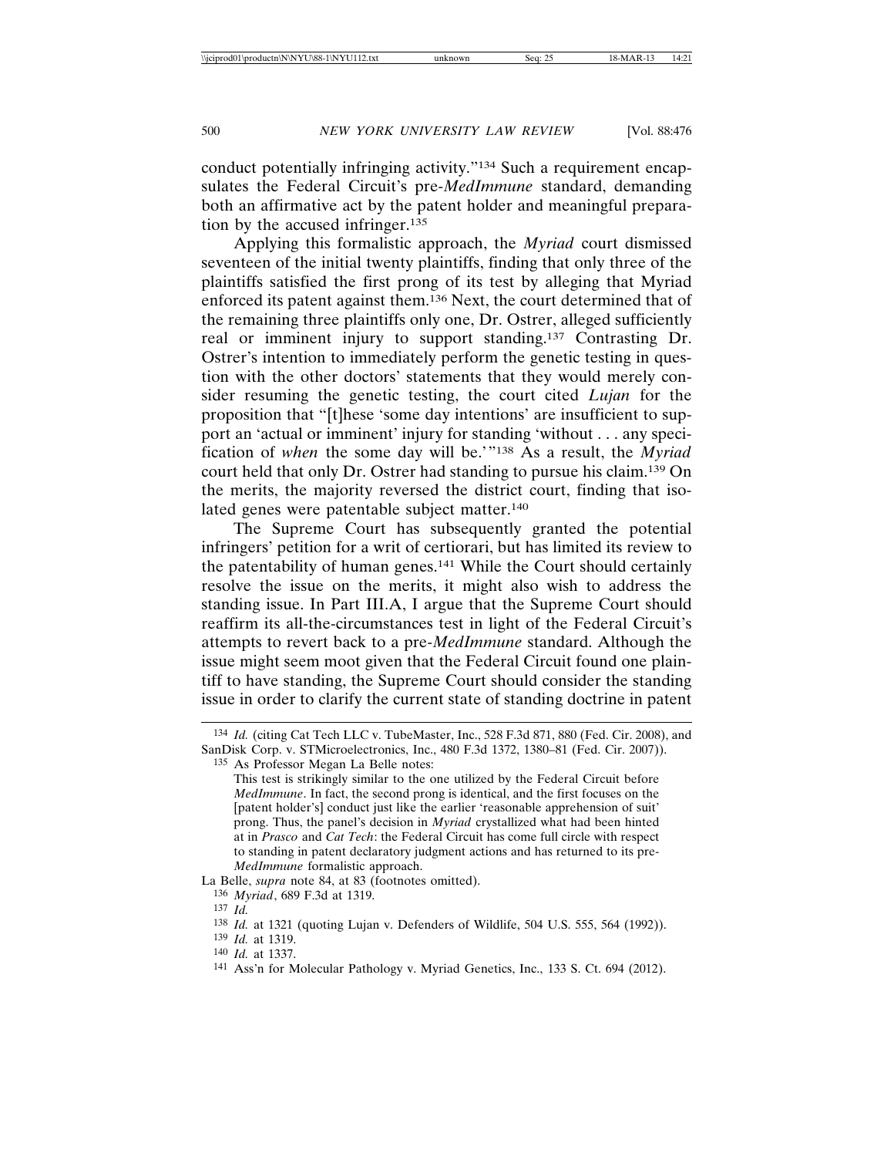conduct potentially infringing activity."134 Such a requirement encapsulates the Federal Circuit's pre-*MedImmune* standard, demanding both an affirmative act by the patent holder and meaningful preparation by the accused infringer.135

Applying this formalistic approach, the *Myriad* court dismissed seventeen of the initial twenty plaintiffs, finding that only three of the plaintiffs satisfied the first prong of its test by alleging that Myriad enforced its patent against them.136 Next, the court determined that of the remaining three plaintiffs only one, Dr. Ostrer, alleged sufficiently real or imminent injury to support standing.137 Contrasting Dr. Ostrer's intention to immediately perform the genetic testing in question with the other doctors' statements that they would merely consider resuming the genetic testing, the court cited *Lujan* for the proposition that "[t]hese 'some day intentions' are insufficient to support an 'actual or imminent' injury for standing 'without . . . any specification of *when* the some day will be.'"138 As a result, the *Myriad* court held that only Dr. Ostrer had standing to pursue his claim.139 On the merits, the majority reversed the district court, finding that isolated genes were patentable subject matter.140

The Supreme Court has subsequently granted the potential infringers' petition for a writ of certiorari, but has limited its review to the patentability of human genes.141 While the Court should certainly resolve the issue on the merits, it might also wish to address the standing issue. In Part III.A, I argue that the Supreme Court should reaffirm its all-the-circumstances test in light of the Federal Circuit's attempts to revert back to a pre-*MedImmune* standard. Although the issue might seem moot given that the Federal Circuit found one plaintiff to have standing, the Supreme Court should consider the standing issue in order to clarify the current state of standing doctrine in patent

La Belle, *supra* note 84, at 83 (footnotes omitted).

136 *Myriad*, 689 F.3d at 1319.

- 139 *Id.* at 1319.
- 140 *Id.* at 1337.

<sup>134</sup> *Id.* (citing Cat Tech LLC v. TubeMaster, Inc., 528 F.3d 871, 880 (Fed. Cir. 2008), and SanDisk Corp. v. STMicroelectronics, Inc., 480 F.3d 1372, 1380–81 (Fed. Cir. 2007)).

<sup>135</sup> As Professor Megan La Belle notes:

This test is strikingly similar to the one utilized by the Federal Circuit before *MedImmune*. In fact, the second prong is identical, and the first focuses on the [patent holder's] conduct just like the earlier 'reasonable apprehension of suit' prong. Thus, the panel's decision in *Myriad* crystallized what had been hinted at in *Prasco* and *Cat Tech*: the Federal Circuit has come full circle with respect to standing in patent declaratory judgment actions and has returned to its pre-*MedImmune* formalistic approach.

<sup>137</sup> *Id.*

<sup>138</sup> *Id.* at 1321 (quoting Lujan v. Defenders of Wildlife, 504 U.S. 555, 564 (1992)).

<sup>141</sup> Ass'n for Molecular Pathology v. Myriad Genetics, Inc., 133 S. Ct. 694 (2012).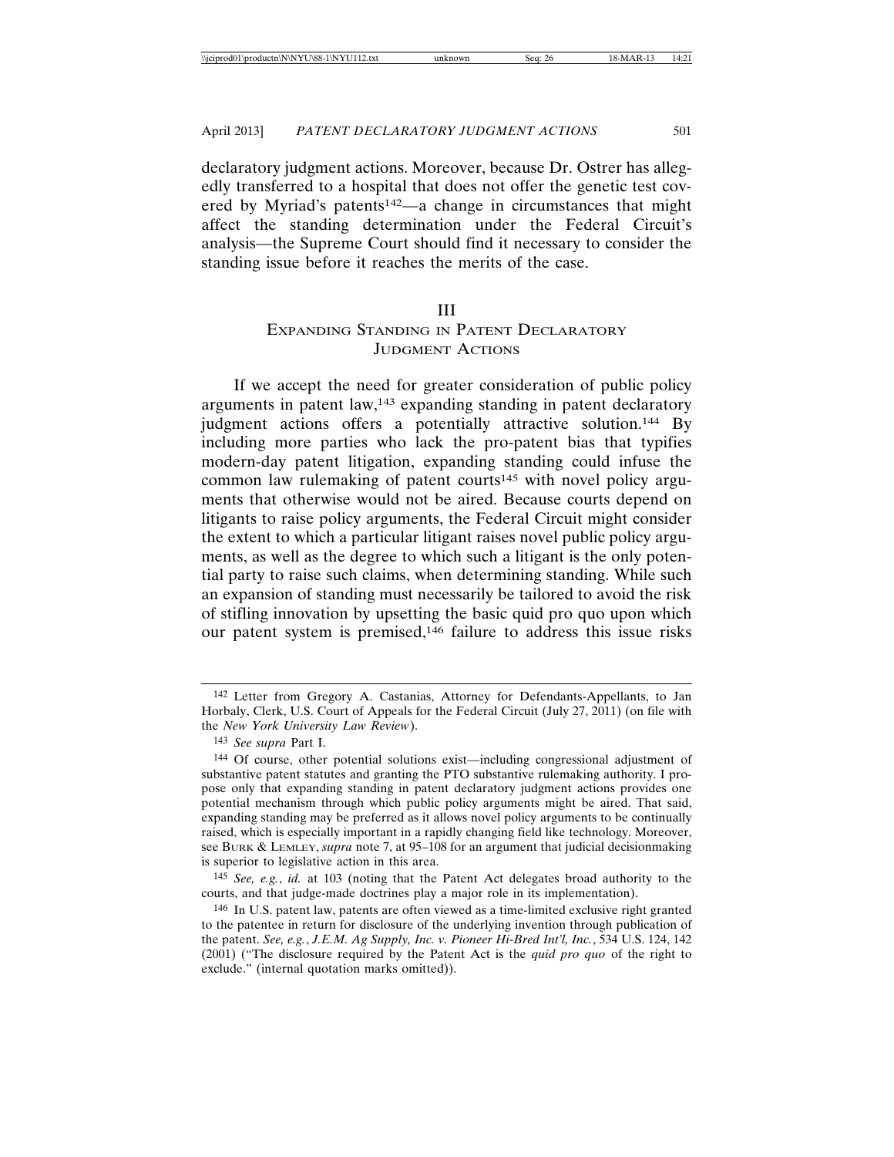declaratory judgment actions. Moreover, because Dr. Ostrer has allegedly transferred to a hospital that does not offer the genetic test covered by Myriad's patents142—a change in circumstances that might affect the standing determination under the Federal Circuit's analysis—the Supreme Court should find it necessary to consider the standing issue before it reaches the merits of the case.

#### III

# EXPANDING STANDING IN PATENT DECLARATORY JUDGMENT ACTIONS

If we accept the need for greater consideration of public policy arguments in patent law,143 expanding standing in patent declaratory judgment actions offers a potentially attractive solution.<sup>144</sup> By including more parties who lack the pro-patent bias that typifies modern-day patent litigation, expanding standing could infuse the common law rulemaking of patent courts<sup>145</sup> with novel policy arguments that otherwise would not be aired. Because courts depend on litigants to raise policy arguments, the Federal Circuit might consider the extent to which a particular litigant raises novel public policy arguments, as well as the degree to which such a litigant is the only potential party to raise such claims, when determining standing. While such an expansion of standing must necessarily be tailored to avoid the risk of stifling innovation by upsetting the basic quid pro quo upon which our patent system is premised,146 failure to address this issue risks

<sup>142</sup> Letter from Gregory A. Castanias, Attorney for Defendants-Appellants, to Jan Horbaly, Clerk, U.S. Court of Appeals for the Federal Circuit (July 27, 2011) (on file with the *New York University Law Review*).

<sup>143</sup> *See supra* Part I.

<sup>144</sup> Of course, other potential solutions exist—including congressional adjustment of substantive patent statutes and granting the PTO substantive rulemaking authority. I propose only that expanding standing in patent declaratory judgment actions provides one potential mechanism through which public policy arguments might be aired. That said, expanding standing may be preferred as it allows novel policy arguments to be continually raised, which is especially important in a rapidly changing field like technology. Moreover, see BURK & LEMLEY, *supra* note 7, at 95–108 for an argument that judicial decisionmaking is superior to legislative action in this area.

<sup>145</sup> *See, e.g.*, *id.* at 103 (noting that the Patent Act delegates broad authority to the courts, and that judge-made doctrines play a major role in its implementation).

<sup>146</sup> In U.S. patent law, patents are often viewed as a time-limited exclusive right granted to the patentee in return for disclosure of the underlying invention through publication of the patent. *See, e.g.*, *J.E.M. Ag Supply, Inc. v. Pioneer Hi-Bred Int'l, Inc.*, 534 U.S. 124, 142 (2001) ("The disclosure required by the Patent Act is the *quid pro quo* of the right to exclude." (internal quotation marks omitted)).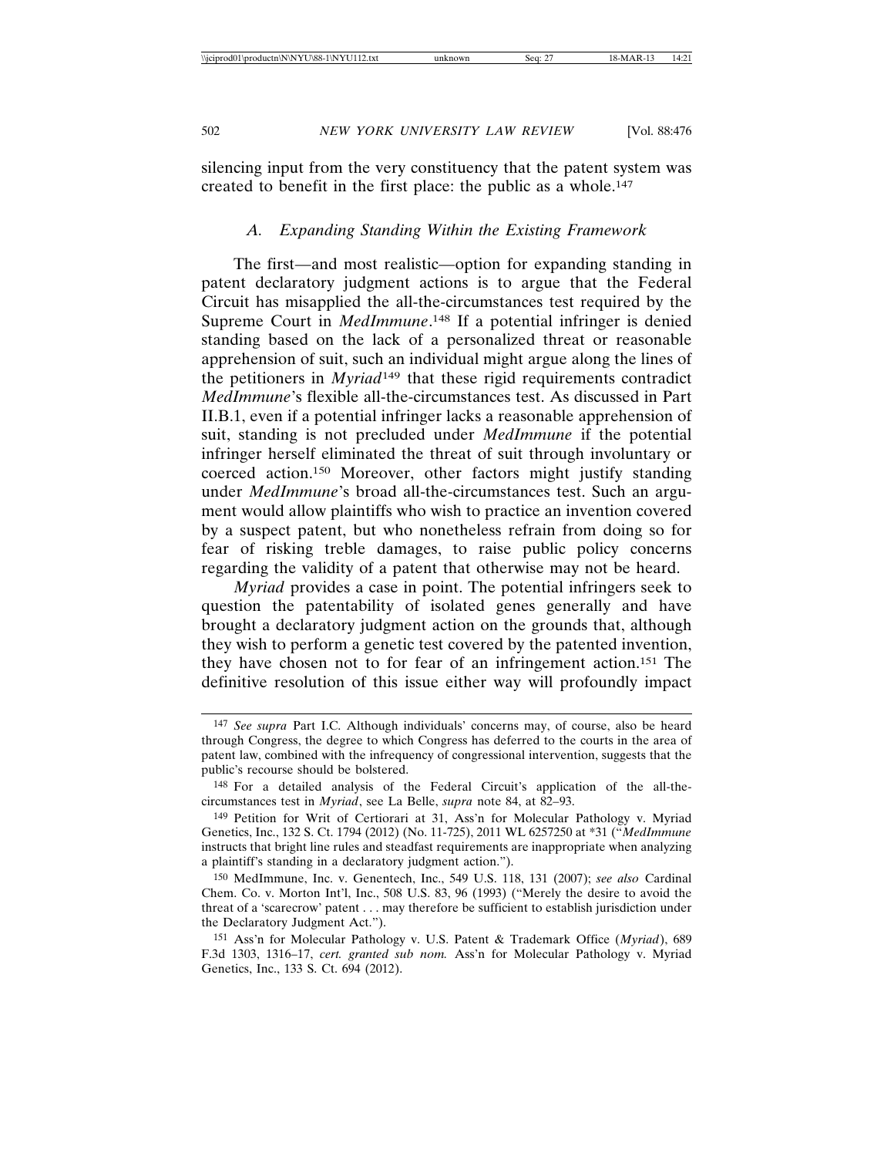silencing input from the very constituency that the patent system was created to benefit in the first place: the public as a whole.147

### *A. Expanding Standing Within the Existing Framework*

The first—and most realistic—option for expanding standing in patent declaratory judgment actions is to argue that the Federal Circuit has misapplied the all-the-circumstances test required by the Supreme Court in *MedImmune*. 148 If a potential infringer is denied standing based on the lack of a personalized threat or reasonable apprehension of suit, such an individual might argue along the lines of the petitioners in *Myriad*149 that these rigid requirements contradict *MedImmune*'s flexible all-the-circumstances test. As discussed in Part II.B.1, even if a potential infringer lacks a reasonable apprehension of suit, standing is not precluded under *MedImmune* if the potential infringer herself eliminated the threat of suit through involuntary or coerced action.150 Moreover, other factors might justify standing under *MedImmune*'s broad all-the-circumstances test. Such an argument would allow plaintiffs who wish to practice an invention covered by a suspect patent, but who nonetheless refrain from doing so for fear of risking treble damages, to raise public policy concerns regarding the validity of a patent that otherwise may not be heard.

*Myriad* provides a case in point. The potential infringers seek to question the patentability of isolated genes generally and have brought a declaratory judgment action on the grounds that, although they wish to perform a genetic test covered by the patented invention, they have chosen not to for fear of an infringement action.151 The definitive resolution of this issue either way will profoundly impact

<sup>147</sup> *See supra* Part I.C. Although individuals' concerns may, of course, also be heard through Congress, the degree to which Congress has deferred to the courts in the area of patent law, combined with the infrequency of congressional intervention, suggests that the public's recourse should be bolstered.

<sup>148</sup> For a detailed analysis of the Federal Circuit's application of the all-thecircumstances test in *Myriad*, see La Belle, *supra* note 84, at 82–93.

<sup>149</sup> Petition for Writ of Certiorari at 31, Ass'n for Molecular Pathology v. Myriad Genetics, Inc., 132 S. Ct. 1794 (2012) (No. 11-725), 2011 WL 6257250 at \*31 ("*MedImmune* instructs that bright line rules and steadfast requirements are inappropriate when analyzing a plaintiff's standing in a declaratory judgment action.").

<sup>150</sup> MedImmune, Inc. v. Genentech, Inc., 549 U.S. 118, 131 (2007); *see also* Cardinal Chem. Co. v. Morton Int'l, Inc., 508 U.S. 83, 96 (1993) ("Merely the desire to avoid the threat of a 'scarecrow' patent . . . may therefore be sufficient to establish jurisdiction under the Declaratory Judgment Act.").

<sup>151</sup> Ass'n for Molecular Pathology v. U.S. Patent & Trademark Office (*Myriad*), 689 F.3d 1303, 1316–17, *cert. granted sub nom.* Ass'n for Molecular Pathology v. Myriad Genetics, Inc., 133 S. Ct. 694 (2012).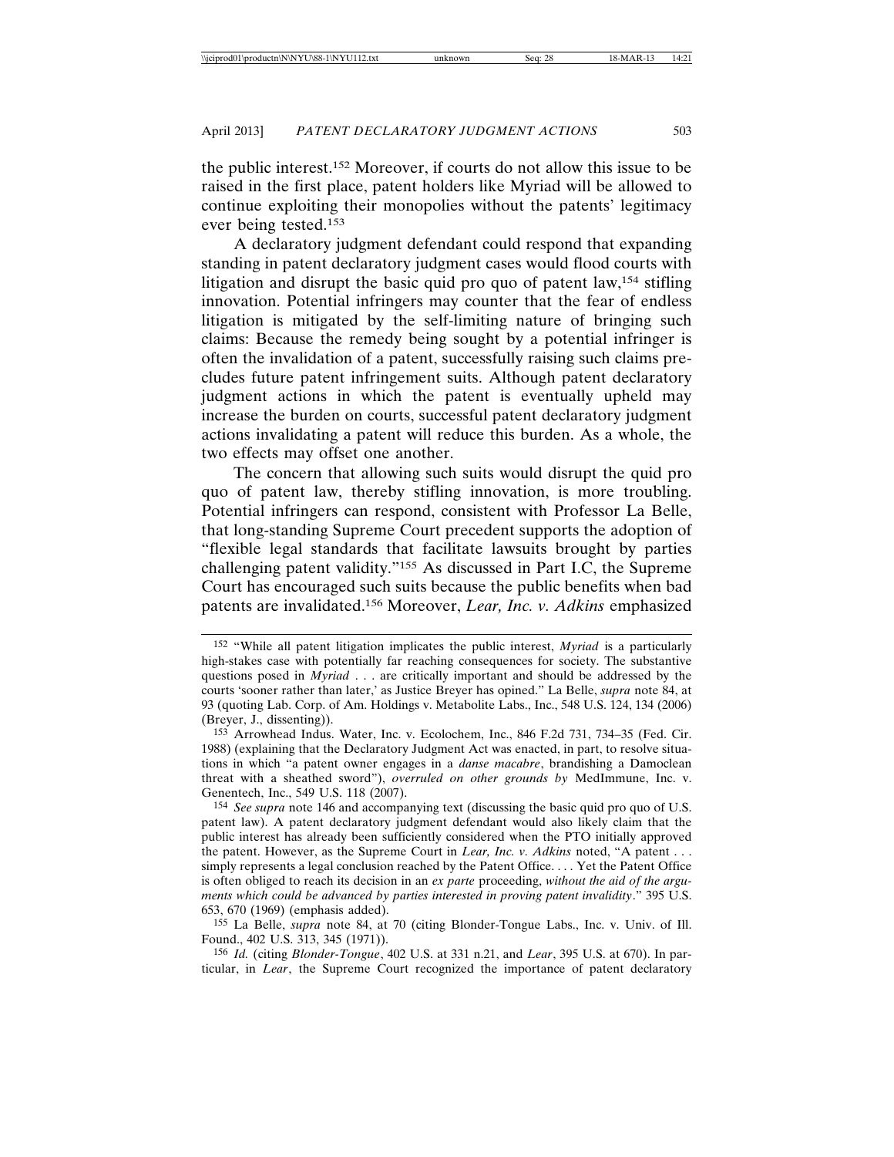the public interest.152 Moreover, if courts do not allow this issue to be raised in the first place, patent holders like Myriad will be allowed to continue exploiting their monopolies without the patents' legitimacy ever being tested.153

A declaratory judgment defendant could respond that expanding standing in patent declaratory judgment cases would flood courts with litigation and disrupt the basic quid pro quo of patent law,154 stifling innovation. Potential infringers may counter that the fear of endless litigation is mitigated by the self-limiting nature of bringing such claims: Because the remedy being sought by a potential infringer is often the invalidation of a patent, successfully raising such claims precludes future patent infringement suits. Although patent declaratory judgment actions in which the patent is eventually upheld may increase the burden on courts, successful patent declaratory judgment actions invalidating a patent will reduce this burden. As a whole, the two effects may offset one another.

The concern that allowing such suits would disrupt the quid pro quo of patent law, thereby stifling innovation, is more troubling. Potential infringers can respond, consistent with Professor La Belle, that long-standing Supreme Court precedent supports the adoption of "flexible legal standards that facilitate lawsuits brought by parties challenging patent validity."155 As discussed in Part I.C, the Supreme Court has encouraged such suits because the public benefits when bad patents are invalidated.156 Moreover, *Lear, Inc. v. Adkins* emphasized

<sup>152</sup> "While all patent litigation implicates the public interest, *Myriad* is a particularly high-stakes case with potentially far reaching consequences for society. The substantive questions posed in *Myriad* . . . are critically important and should be addressed by the courts 'sooner rather than later,' as Justice Breyer has opined." La Belle, *supra* note 84, at 93 (quoting Lab. Corp. of Am. Holdings v. Metabolite Labs., Inc., 548 U.S. 124, 134 (2006) (Breyer, J., dissenting)).

<sup>153</sup> Arrowhead Indus. Water, Inc. v. Ecolochem, Inc., 846 F.2d 731, 734–35 (Fed. Cir. 1988) (explaining that the Declaratory Judgment Act was enacted, in part, to resolve situations in which "a patent owner engages in a *danse macabre*, brandishing a Damoclean threat with a sheathed sword"), *overruled on other grounds by* MedImmune, Inc. v. Genentech, Inc., 549 U.S. 118 (2007).

<sup>154</sup> *See supra* note 146 and accompanying text (discussing the basic quid pro quo of U.S. patent law). A patent declaratory judgment defendant would also likely claim that the public interest has already been sufficiently considered when the PTO initially approved the patent. However, as the Supreme Court in *Lear, Inc. v. Adkins* noted, "A patent . . . simply represents a legal conclusion reached by the Patent Office. . . . Yet the Patent Office is often obliged to reach its decision in an *ex parte* proceeding, *without the aid of the arguments which could be advanced by parties interested in proving patent invalidity*." 395 U.S. 653, 670 (1969) (emphasis added).

<sup>155</sup> La Belle, *supra* note 84, at 70 (citing Blonder-Tongue Labs., Inc. v. Univ. of Ill. Found., 402 U.S. 313, 345 (1971)).

<sup>156</sup> *Id.* (citing *Blonder-Tongue*, 402 U.S. at 331 n.21, and *Lear*, 395 U.S. at 670). In particular, in *Lear*, the Supreme Court recognized the importance of patent declaratory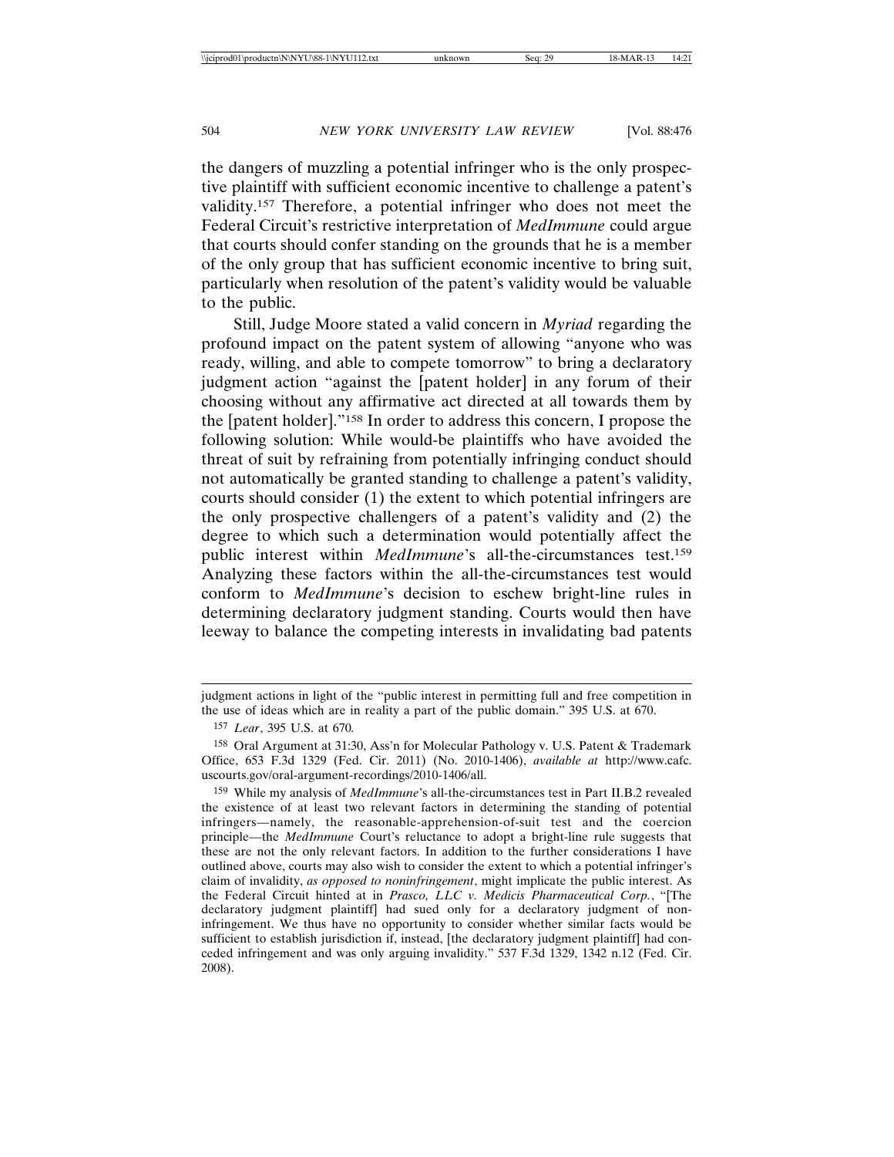the dangers of muzzling a potential infringer who is the only prospective plaintiff with sufficient economic incentive to challenge a patent's validity.157 Therefore, a potential infringer who does not meet the Federal Circuit's restrictive interpretation of *MedImmune* could argue that courts should confer standing on the grounds that he is a member of the only group that has sufficient economic incentive to bring suit, particularly when resolution of the patent's validity would be valuable to the public.

Still, Judge Moore stated a valid concern in *Myriad* regarding the profound impact on the patent system of allowing "anyone who was ready, willing, and able to compete tomorrow" to bring a declaratory judgment action "against the [patent holder] in any forum of their choosing without any affirmative act directed at all towards them by the [patent holder]."158 In order to address this concern, I propose the following solution: While would-be plaintiffs who have avoided the threat of suit by refraining from potentially infringing conduct should not automatically be granted standing to challenge a patent's validity, courts should consider (1) the extent to which potential infringers are the only prospective challengers of a patent's validity and (2) the degree to which such a determination would potentially affect the public interest within *MedImmune*'s all-the-circumstances test.159 Analyzing these factors within the all-the-circumstances test would conform to *MedImmune*'s decision to eschew bright-line rules in determining declaratory judgment standing. Courts would then have leeway to balance the competing interests in invalidating bad patents

judgment actions in light of the "public interest in permitting full and free competition in the use of ideas which are in reality a part of the public domain." 395 U.S. at 670.

<sup>157</sup> *Lear*, 395 U.S. at 670*.*

<sup>158</sup> Oral Argument at 31:30, Ass'n for Molecular Pathology v. U.S. Patent & Trademark Office, 653 F.3d 1329 (Fed. Cir. 2011) (No. 2010-1406), *available at* http://www.cafc. uscourts.gov/oral-argument-recordings/2010-1406/all.

<sup>159</sup> While my analysis of *MedImmune*'s all-the-circumstances test in Part II.B.2 revealed the existence of at least two relevant factors in determining the standing of potential infringers—namely, the reasonable-apprehension-of-suit test and the coercion principle—the *MedImmune* Court's reluctance to adopt a bright-line rule suggests that these are not the only relevant factors. In addition to the further considerations I have outlined above, courts may also wish to consider the extent to which a potential infringer's claim of invalidity, *as opposed to noninfringement*, might implicate the public interest. As the Federal Circuit hinted at in *Prasco, LLC v. Medicis Pharmaceutical Corp.*, "[The declaratory judgment plaintiff] had sued only for a declaratory judgment of noninfringement. We thus have no opportunity to consider whether similar facts would be sufficient to establish jurisdiction if, instead, [the declaratory judgment plaintiff] had conceded infringement and was only arguing invalidity." 537 F.3d 1329, 1342 n.12 (Fed. Cir. 2008).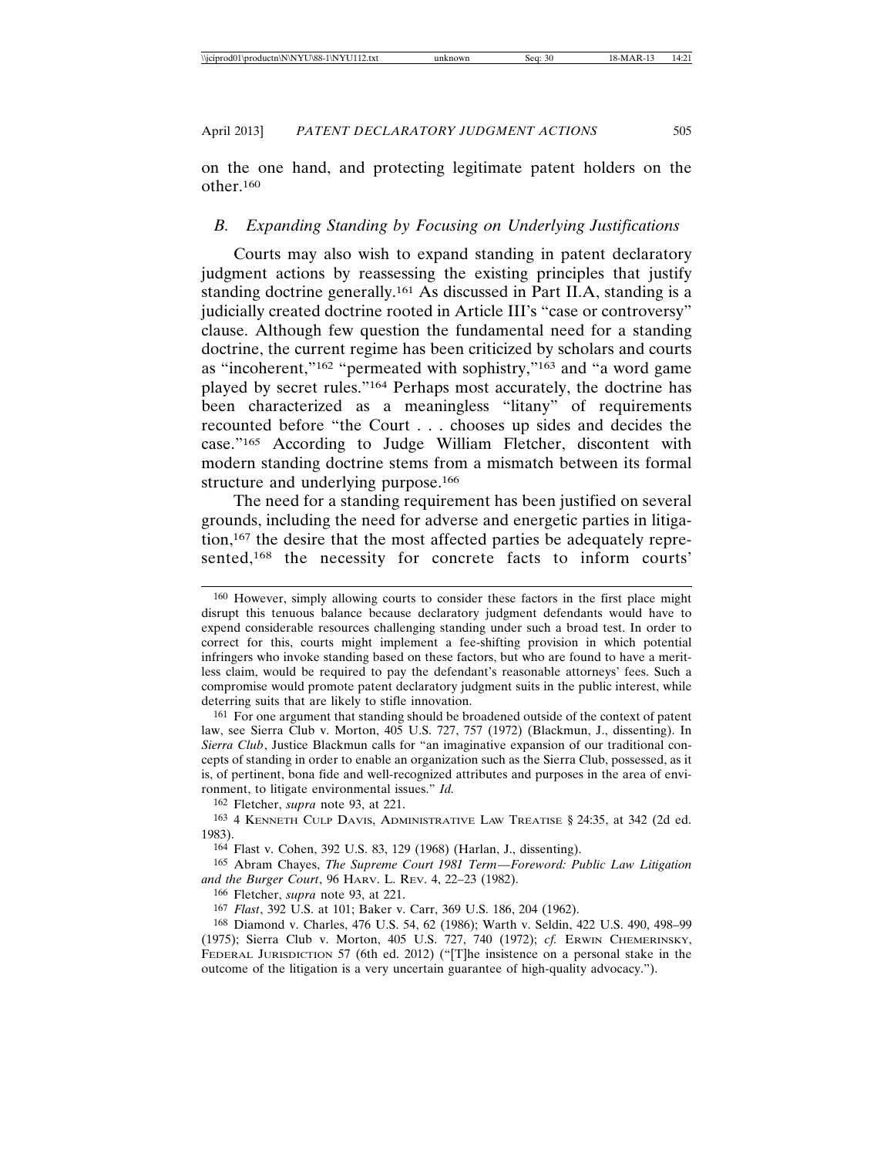on the one hand, and protecting legitimate patent holders on the other.160

#### *B. Expanding Standing by Focusing on Underlying Justifications*

Courts may also wish to expand standing in patent declaratory judgment actions by reassessing the existing principles that justify standing doctrine generally.161 As discussed in Part II.A, standing is a judicially created doctrine rooted in Article III's "case or controversy" clause. Although few question the fundamental need for a standing doctrine, the current regime has been criticized by scholars and courts as "incoherent,"162 "permeated with sophistry,"163 and "a word game played by secret rules."164 Perhaps most accurately, the doctrine has been characterized as a meaningless "litany" of requirements recounted before "the Court . . . chooses up sides and decides the case."165 According to Judge William Fletcher, discontent with modern standing doctrine stems from a mismatch between its formal structure and underlying purpose.<sup>166</sup>

The need for a standing requirement has been justified on several grounds, including the need for adverse and energetic parties in litigation,167 the desire that the most affected parties be adequately represented,168 the necessity for concrete facts to inform courts'

162 Fletcher, *supra* note 93, at 221.

<sup>160</sup> However, simply allowing courts to consider these factors in the first place might disrupt this tenuous balance because declaratory judgment defendants would have to expend considerable resources challenging standing under such a broad test. In order to correct for this, courts might implement a fee-shifting provision in which potential infringers who invoke standing based on these factors, but who are found to have a meritless claim, would be required to pay the defendant's reasonable attorneys' fees. Such a compromise would promote patent declaratory judgment suits in the public interest, while deterring suits that are likely to stifle innovation.

<sup>161</sup> For one argument that standing should be broadened outside of the context of patent law, see Sierra Club v. Morton, 405 U.S. 727, 757 (1972) (Blackmun, J., dissenting). In *Sierra Club*, Justice Blackmun calls for "an imaginative expansion of our traditional concepts of standing in order to enable an organization such as the Sierra Club, possessed, as it is, of pertinent, bona fide and well-recognized attributes and purposes in the area of environment, to litigate environmental issues." *Id.*

<sup>163</sup> 4 KENNETH CULP DAVIS, ADMINISTRATIVE LAW TREATISE § 24:35, at 342 (2d ed. 1983).

<sup>164</sup> Flast v. Cohen, 392 U.S. 83, 129 (1968) (Harlan, J., dissenting).

<sup>165</sup> Abram Chayes, *The Supreme Court 1981 Term*—*Foreword: Public Law Litigation and the Burger Court*, 96 HARV. L. REV. 4, 22–23 (1982).

<sup>166</sup> Fletcher, *supra* note 93, at 221.

<sup>167</sup> *Flast*, 392 U.S. at 101; Baker v. Carr, 369 U.S. 186, 204 (1962).

<sup>168</sup> Diamond v. Charles, 476 U.S. 54, 62 (1986); Warth v. Seldin, 422 U.S. 490, 498–99 (1975); Sierra Club v. Morton, 405 U.S. 727, 740 (1972); *cf.* ERWIN CHEMERINSKY, FEDERAL JURISDICTION 57 (6th ed. 2012) ("[T]he insistence on a personal stake in the outcome of the litigation is a very uncertain guarantee of high-quality advocacy.").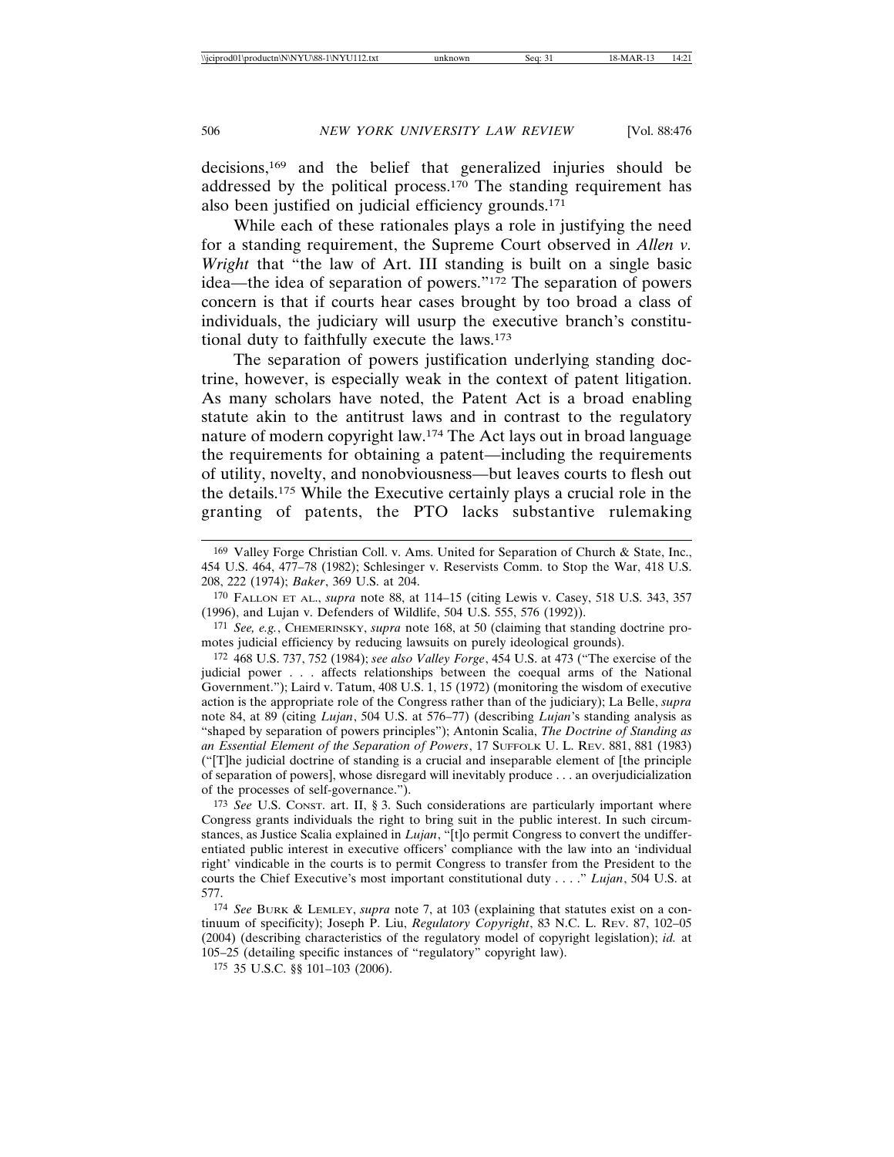decisions,169 and the belief that generalized injuries should be addressed by the political process.<sup>170</sup> The standing requirement has also been justified on judicial efficiency grounds.171

While each of these rationales plays a role in justifying the need for a standing requirement, the Supreme Court observed in *Allen v. Wright* that "the law of Art. III standing is built on a single basic idea—the idea of separation of powers."172 The separation of powers concern is that if courts hear cases brought by too broad a class of individuals, the judiciary will usurp the executive branch's constitutional duty to faithfully execute the laws.173

The separation of powers justification underlying standing doctrine, however, is especially weak in the context of patent litigation. As many scholars have noted, the Patent Act is a broad enabling statute akin to the antitrust laws and in contrast to the regulatory nature of modern copyright law.174 The Act lays out in broad language the requirements for obtaining a patent—including the requirements of utility, novelty, and nonobviousness—but leaves courts to flesh out the details.175 While the Executive certainly plays a crucial role in the granting of patents, the PTO lacks substantive rulemaking

<sup>169</sup> Valley Forge Christian Coll. v. Ams. United for Separation of Church & State, Inc., 454 U.S. 464, 477–78 (1982); Schlesinger v. Reservists Comm. to Stop the War, 418 U.S. 208, 222 (1974); *Baker*, 369 U.S. at 204.

<sup>170</sup> FALLON ET AL., *supra* note 88, at 114–15 (citing Lewis v. Casey, 518 U.S. 343, 357 (1996), and Lujan v. Defenders of Wildlife, 504 U.S. 555, 576 (1992)).

<sup>171</sup> *See, e.g.*, CHEMERINSKY, *supra* note 168, at 50 (claiming that standing doctrine promotes judicial efficiency by reducing lawsuits on purely ideological grounds).

<sup>172</sup> 468 U.S. 737, 752 (1984); *see also Valley Forge*, 454 U.S. at 473 ("The exercise of the judicial power . . . affects relationships between the coequal arms of the National Government."); Laird v. Tatum, 408 U.S. 1, 15 (1972) (monitoring the wisdom of executive action is the appropriate role of the Congress rather than of the judiciary); La Belle, *supra* note 84, at 89 (citing *Lujan*, 504 U.S. at 576–77) (describing *Lujan*'s standing analysis as "shaped by separation of powers principles"); Antonin Scalia, *The Doctrine of Standing as an Essential Element of the Separation of Powers*, 17 SUFFOLK U. L. REV. 881, 881 (1983) ("[T]he judicial doctrine of standing is a crucial and inseparable element of [the principle of separation of powers], whose disregard will inevitably produce . . . an overjudicialization of the processes of self-governance.").

<sup>173</sup> *See* U.S. CONST. art. II, § 3. Such considerations are particularly important where Congress grants individuals the right to bring suit in the public interest. In such circumstances, as Justice Scalia explained in *Lujan*, "[t]o permit Congress to convert the undifferentiated public interest in executive officers' compliance with the law into an 'individual right' vindicable in the courts is to permit Congress to transfer from the President to the courts the Chief Executive's most important constitutional duty . . . ." *Lujan*, 504 U.S. at 577.

<sup>174</sup> *See* BURK & LEMLEY, *supra* note 7, at 103 (explaining that statutes exist on a continuum of specificity); Joseph P. Liu, *Regulatory Copyright*, 83 N.C. L. REV. 87, 102–05 (2004) (describing characteristics of the regulatory model of copyright legislation); *id.* at 105–25 (detailing specific instances of "regulatory" copyright law).

<sup>175</sup> 35 U.S.C. §§ 101–103 (2006).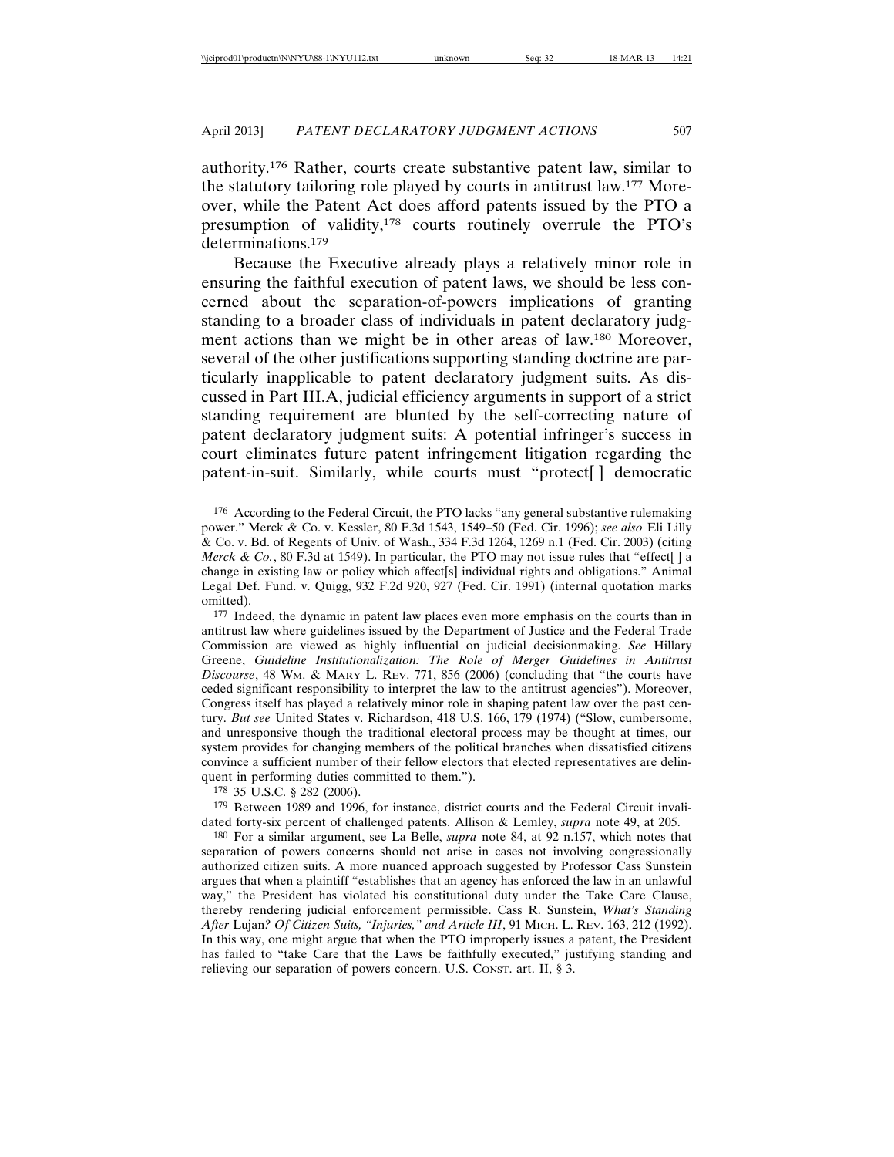authority.176 Rather, courts create substantive patent law, similar to the statutory tailoring role played by courts in antitrust law.177 Moreover, while the Patent Act does afford patents issued by the PTO a presumption of validity,178 courts routinely overrule the PTO's determinations.179

Because the Executive already plays a relatively minor role in ensuring the faithful execution of patent laws, we should be less concerned about the separation-of-powers implications of granting standing to a broader class of individuals in patent declaratory judgment actions than we might be in other areas of law.180 Moreover, several of the other justifications supporting standing doctrine are particularly inapplicable to patent declaratory judgment suits. As discussed in Part III.A, judicial efficiency arguments in support of a strict standing requirement are blunted by the self-correcting nature of patent declaratory judgment suits: A potential infringer's success in court eliminates future patent infringement litigation regarding the patent-in-suit. Similarly, while courts must "protect[ ] democratic

177 Indeed, the dynamic in patent law places even more emphasis on the courts than in antitrust law where guidelines issued by the Department of Justice and the Federal Trade Commission are viewed as highly influential on judicial decisionmaking. *See* Hillary Greene, *Guideline Institutionalization: The Role of Merger Guidelines in Antitrust Discourse*, 48 WM. & MARY L. REV. 771, 856 (2006) (concluding that "the courts have ceded significant responsibility to interpret the law to the antitrust agencies"). Moreover, Congress itself has played a relatively minor role in shaping patent law over the past century. *But see* United States v. Richardson, 418 U.S. 166, 179 (1974) ("Slow, cumbersome, and unresponsive though the traditional electoral process may be thought at times, our system provides for changing members of the political branches when dissatisfied citizens convince a sufficient number of their fellow electors that elected representatives are delinquent in performing duties committed to them.").

178 35 U.S.C. § 282 (2006).

179 Between 1989 and 1996, for instance, district courts and the Federal Circuit invalidated forty-six percent of challenged patents. Allison & Lemley, *supra* note 49, at 205.

180 For a similar argument, see La Belle, *supra* note 84, at 92 n.157, which notes that separation of powers concerns should not arise in cases not involving congressionally authorized citizen suits. A more nuanced approach suggested by Professor Cass Sunstein argues that when a plaintiff "establishes that an agency has enforced the law in an unlawful way," the President has violated his constitutional duty under the Take Care Clause, thereby rendering judicial enforcement permissible. Cass R. Sunstein, *What's Standing After* Lujan*? Of Citizen Suits, "Injuries," and Article III*, 91 MICH. L. REV. 163, 212 (1992). In this way, one might argue that when the PTO improperly issues a patent, the President has failed to "take Care that the Laws be faithfully executed," justifying standing and relieving our separation of powers concern. U.S. CONST. art. II, § 3.

<sup>176</sup> According to the Federal Circuit, the PTO lacks "any general substantive rulemaking power." Merck & Co. v. Kessler, 80 F.3d 1543, 1549–50 (Fed. Cir. 1996); *see also* Eli Lilly & Co. v. Bd. of Regents of Univ. of Wash., 334 F.3d 1264, 1269 n.1 (Fed. Cir. 2003) (citing *Merck & Co.*, 80 F.3d at 1549). In particular, the PTO may not issue rules that "effect[] a change in existing law or policy which affect[s] individual rights and obligations." Animal Legal Def. Fund. v. Quigg, 932 F.2d 920, 927 (Fed. Cir. 1991) (internal quotation marks omitted).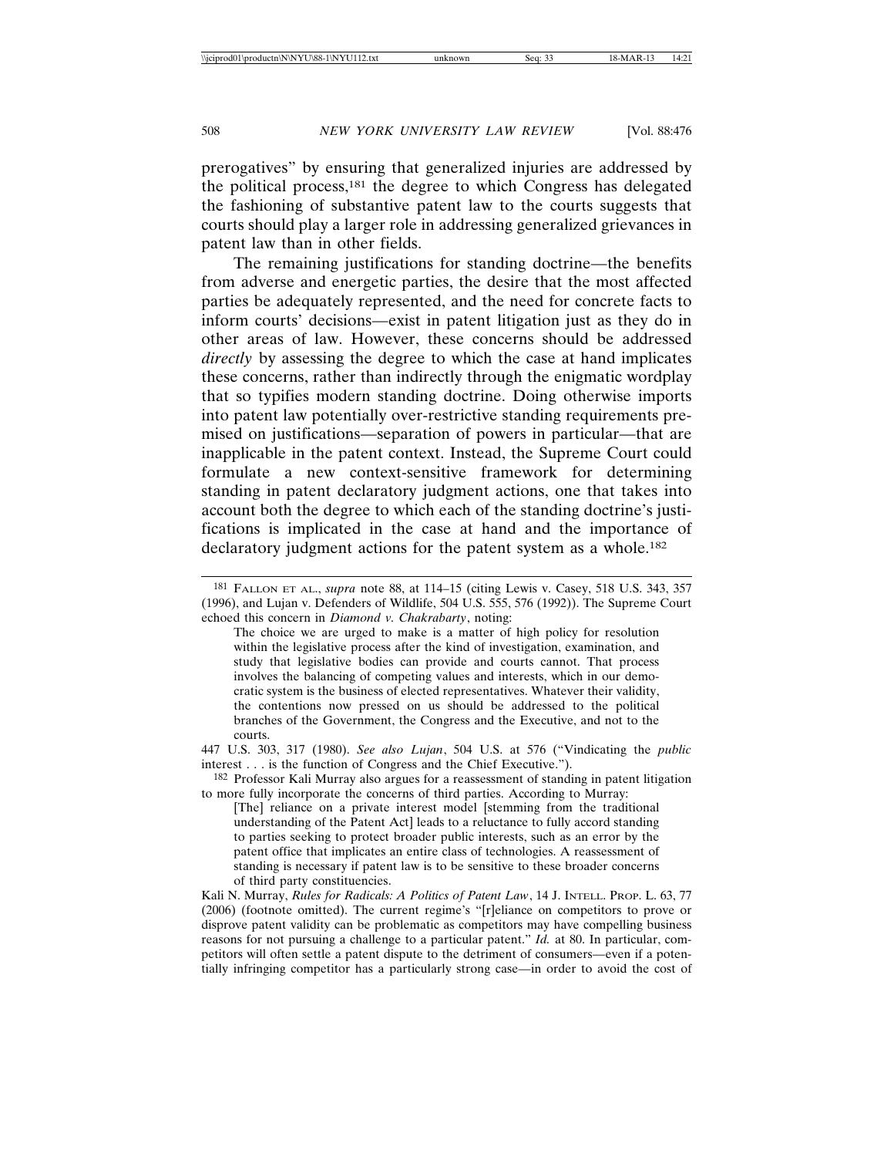prerogatives" by ensuring that generalized injuries are addressed by the political process,181 the degree to which Congress has delegated the fashioning of substantive patent law to the courts suggests that courts should play a larger role in addressing generalized grievances in patent law than in other fields.

The remaining justifications for standing doctrine—the benefits from adverse and energetic parties, the desire that the most affected parties be adequately represented, and the need for concrete facts to inform courts' decisions—exist in patent litigation just as they do in other areas of law. However, these concerns should be addressed *directly* by assessing the degree to which the case at hand implicates these concerns, rather than indirectly through the enigmatic wordplay that so typifies modern standing doctrine. Doing otherwise imports into patent law potentially over-restrictive standing requirements premised on justifications—separation of powers in particular—that are inapplicable in the patent context. Instead, the Supreme Court could formulate a new context-sensitive framework for determining standing in patent declaratory judgment actions, one that takes into account both the degree to which each of the standing doctrine's justifications is implicated in the case at hand and the importance of declaratory judgment actions for the patent system as a whole.<sup>182</sup>

447 U.S. 303, 317 (1980). *See also Lujan*, 504 U.S. at 576 ("Vindicating the *public* interest . . . is the function of Congress and the Chief Executive.").

182 Professor Kali Murray also argues for a reassessment of standing in patent litigation to more fully incorporate the concerns of third parties. According to Murray:

[The] reliance on a private interest model [stemming from the traditional understanding of the Patent Act] leads to a reluctance to fully accord standing to parties seeking to protect broader public interests, such as an error by the patent office that implicates an entire class of technologies. A reassessment of standing is necessary if patent law is to be sensitive to these broader concerns of third party constituencies.

<sup>181</sup> FALLON ET AL., *supra* note 88, at 114–15 (citing Lewis v. Casey, 518 U.S. 343, 357 (1996), and Lujan v. Defenders of Wildlife, 504 U.S. 555, 576 (1992)). The Supreme Court echoed this concern in *Diamond v. Chakrabarty*, noting:

The choice we are urged to make is a matter of high policy for resolution within the legislative process after the kind of investigation, examination, and study that legislative bodies can provide and courts cannot. That process involves the balancing of competing values and interests, which in our democratic system is the business of elected representatives. Whatever their validity, the contentions now pressed on us should be addressed to the political branches of the Government, the Congress and the Executive, and not to the courts.

Kali N. Murray, *Rules for Radicals: A Politics of Patent Law*, 14 J. INTELL. PROP. L. 63, 77 (2006) (footnote omitted). The current regime's "[r]eliance on competitors to prove or disprove patent validity can be problematic as competitors may have compelling business reasons for not pursuing a challenge to a particular patent." *Id.* at 80. In particular, competitors will often settle a patent dispute to the detriment of consumers—even if a potentially infringing competitor has a particularly strong case—in order to avoid the cost of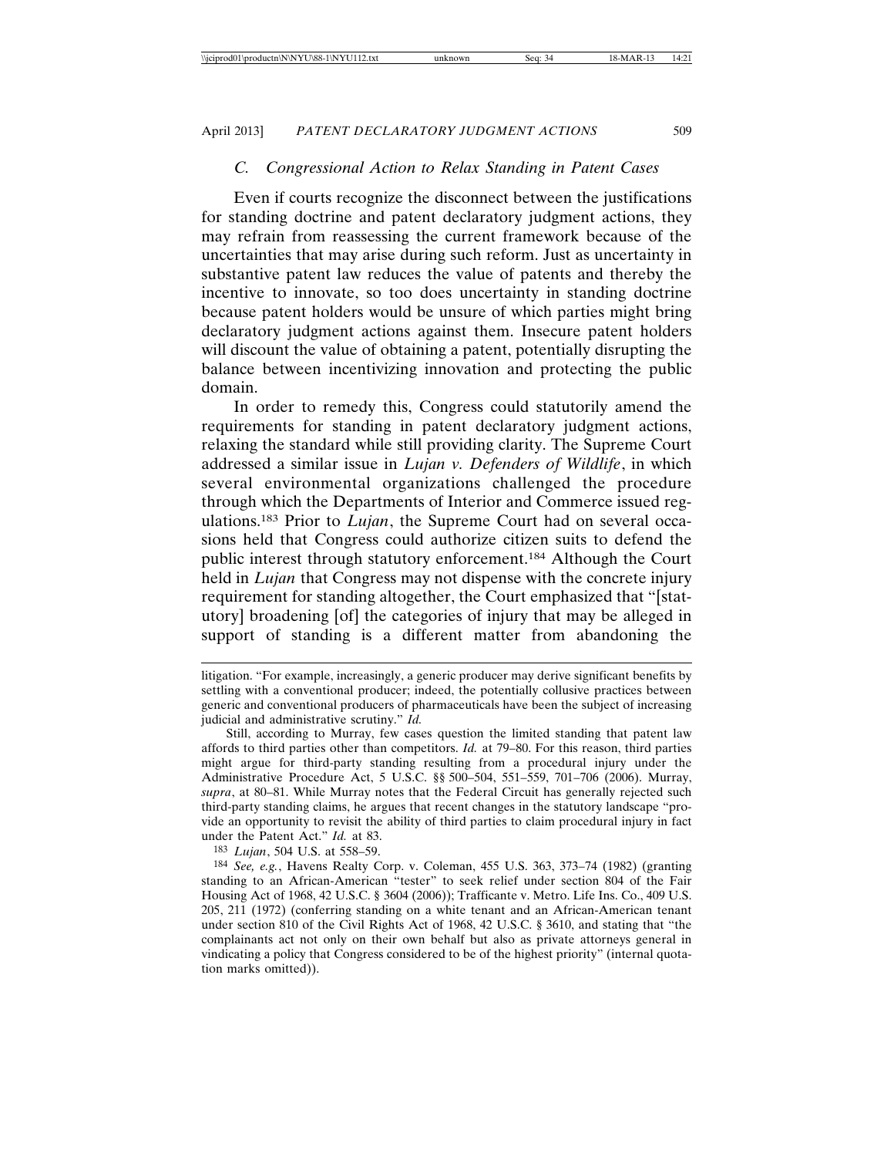#### *C. Congressional Action to Relax Standing in Patent Cases*

Even if courts recognize the disconnect between the justifications for standing doctrine and patent declaratory judgment actions, they may refrain from reassessing the current framework because of the uncertainties that may arise during such reform. Just as uncertainty in substantive patent law reduces the value of patents and thereby the incentive to innovate, so too does uncertainty in standing doctrine because patent holders would be unsure of which parties might bring declaratory judgment actions against them. Insecure patent holders will discount the value of obtaining a patent, potentially disrupting the balance between incentivizing innovation and protecting the public domain.

In order to remedy this, Congress could statutorily amend the requirements for standing in patent declaratory judgment actions, relaxing the standard while still providing clarity. The Supreme Court addressed a similar issue in *Lujan v. Defenders of Wildlife*, in which several environmental organizations challenged the procedure through which the Departments of Interior and Commerce issued regulations.183 Prior to *Lujan*, the Supreme Court had on several occasions held that Congress could authorize citizen suits to defend the public interest through statutory enforcement.184 Although the Court held in *Lujan* that Congress may not dispense with the concrete injury requirement for standing altogether, the Court emphasized that "[statutory] broadening [of] the categories of injury that may be alleged in support of standing is a different matter from abandoning the

litigation. "For example, increasingly, a generic producer may derive significant benefits by settling with a conventional producer; indeed, the potentially collusive practices between generic and conventional producers of pharmaceuticals have been the subject of increasing judicial and administrative scrutiny." *Id.*

Still, according to Murray, few cases question the limited standing that patent law affords to third parties other than competitors. *Id.* at 79–80. For this reason, third parties might argue for third-party standing resulting from a procedural injury under the Administrative Procedure Act, 5 U.S.C. §§ 500–504, 551–559, 701–706 (2006). Murray, *supra*, at 80–81. While Murray notes that the Federal Circuit has generally rejected such third-party standing claims, he argues that recent changes in the statutory landscape "provide an opportunity to revisit the ability of third parties to claim procedural injury in fact under the Patent Act." *Id.* at 83.

<sup>183</sup> *Lujan*, 504 U.S. at 558–59.

<sup>184</sup> *See, e.g.*, Havens Realty Corp. v. Coleman, 455 U.S. 363, 373–74 (1982) (granting standing to an African-American "tester" to seek relief under section 804 of the Fair Housing Act of 1968, 42 U.S.C. § 3604 (2006)); Trafficante v. Metro. Life Ins. Co., 409 U.S. 205, 211 (1972) (conferring standing on a white tenant and an African-American tenant under section 810 of the Civil Rights Act of 1968, 42 U.S.C. § 3610, and stating that "the complainants act not only on their own behalf but also as private attorneys general in vindicating a policy that Congress considered to be of the highest priority" (internal quotation marks omitted)).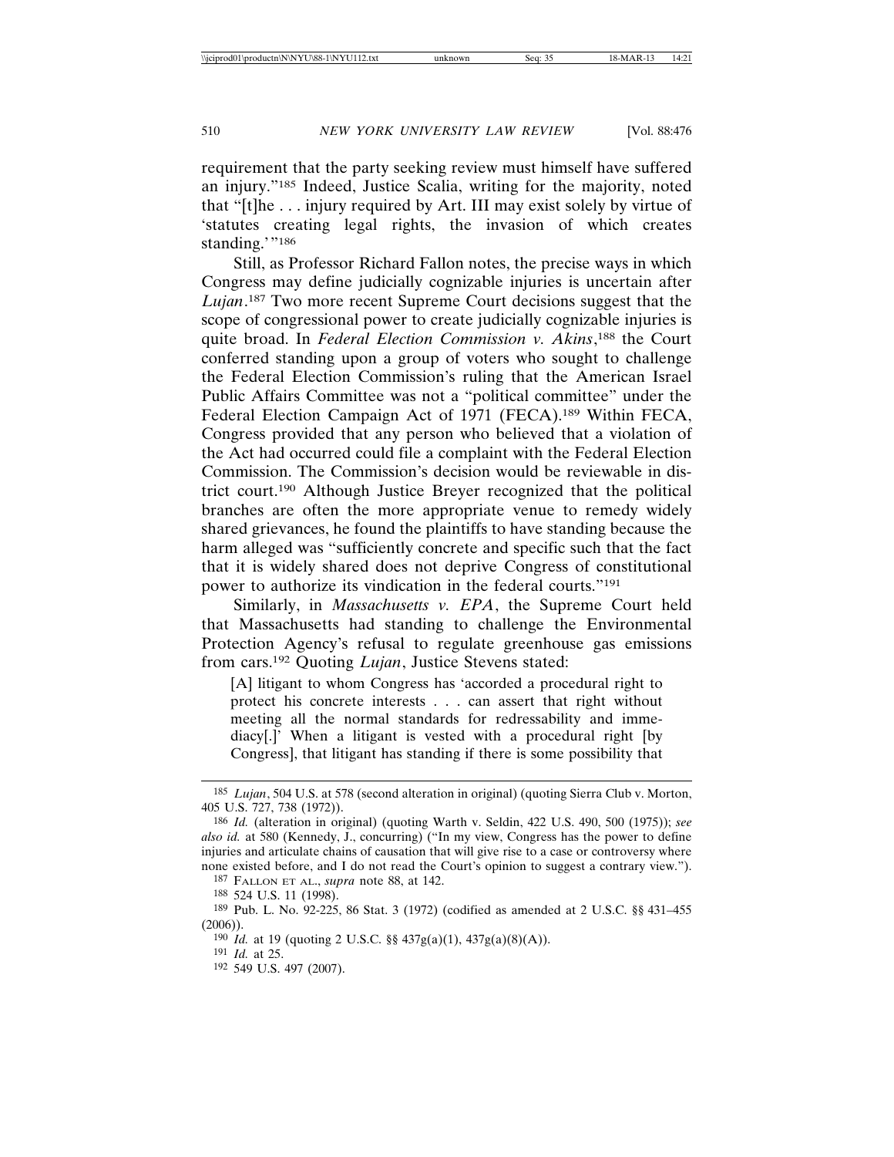requirement that the party seeking review must himself have suffered an injury."185 Indeed, Justice Scalia, writing for the majority, noted that "[t]he . . . injury required by Art. III may exist solely by virtue of 'statutes creating legal rights, the invasion of which creates standing.'"186

Still, as Professor Richard Fallon notes, the precise ways in which Congress may define judicially cognizable injuries is uncertain after *Lujan*. 187 Two more recent Supreme Court decisions suggest that the scope of congressional power to create judicially cognizable injuries is quite broad. In *Federal Election Commission v. Akins*, 188 the Court conferred standing upon a group of voters who sought to challenge the Federal Election Commission's ruling that the American Israel Public Affairs Committee was not a "political committee" under the Federal Election Campaign Act of 1971 (FECA).<sup>189</sup> Within FECA, Congress provided that any person who believed that a violation of the Act had occurred could file a complaint with the Federal Election Commission. The Commission's decision would be reviewable in district court.190 Although Justice Breyer recognized that the political branches are often the more appropriate venue to remedy widely shared grievances, he found the plaintiffs to have standing because the harm alleged was "sufficiently concrete and specific such that the fact that it is widely shared does not deprive Congress of constitutional power to authorize its vindication in the federal courts."191

Similarly, in *Massachusetts v. EPA*, the Supreme Court held that Massachusetts had standing to challenge the Environmental Protection Agency's refusal to regulate greenhouse gas emissions from cars.192 Quoting *Lujan*, Justice Stevens stated:

[A] litigant to whom Congress has 'accorded a procedural right to protect his concrete interests . . . can assert that right without meeting all the normal standards for redressability and immediacy[.]' When a litigant is vested with a procedural right [by Congress], that litigant has standing if there is some possibility that

<sup>185</sup> *Lujan*, 504 U.S. at 578 (second alteration in original) (quoting Sierra Club v. Morton, 405 U.S. 727, 738 (1972)).

<sup>186</sup> *Id.* (alteration in original) (quoting Warth v. Seldin, 422 U.S. 490, 500 (1975)); *see also id.* at 580 (Kennedy, J., concurring) ("In my view, Congress has the power to define injuries and articulate chains of causation that will give rise to a case or controversy where none existed before, and I do not read the Court's opinion to suggest a contrary view.").

<sup>187</sup> FALLON ET AL., *supra* note 88, at 142.

<sup>188</sup> 524 U.S. 11 (1998).

<sup>189</sup> Pub. L. No. 92-225, 86 Stat. 3 (1972) (codified as amended at 2 U.S.C. §§ 431–455  $(2006)$ ).

<sup>190</sup> *Id.* at 19 (quoting 2 U.S.C. §§ 437g(a)(1), 437g(a)(8)(A)).

<sup>191</sup> *Id.* at 25.

<sup>192</sup> 549 U.S. 497 (2007).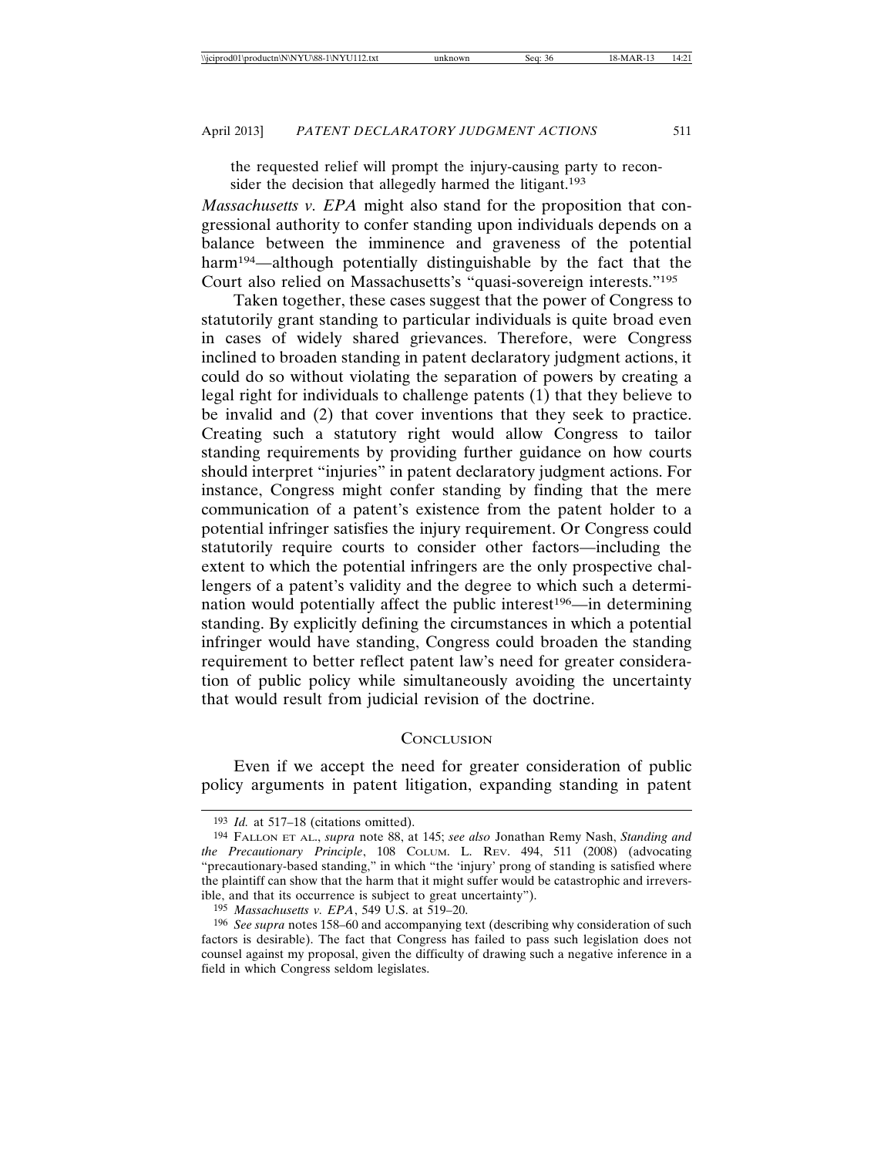the requested relief will prompt the injury-causing party to reconsider the decision that allegedly harmed the litigant.<sup>193</sup>

*Massachusetts v. EPA* might also stand for the proposition that congressional authority to confer standing upon individuals depends on a balance between the imminence and graveness of the potential harm<sup>194</sup>—although potentially distinguishable by the fact that the Court also relied on Massachusetts's "quasi-sovereign interests."195

Taken together, these cases suggest that the power of Congress to statutorily grant standing to particular individuals is quite broad even in cases of widely shared grievances. Therefore, were Congress inclined to broaden standing in patent declaratory judgment actions, it could do so without violating the separation of powers by creating a legal right for individuals to challenge patents  $(1)$  that they believe to be invalid and (2) that cover inventions that they seek to practice. Creating such a statutory right would allow Congress to tailor standing requirements by providing further guidance on how courts should interpret "injuries" in patent declaratory judgment actions. For instance, Congress might confer standing by finding that the mere communication of a patent's existence from the patent holder to a potential infringer satisfies the injury requirement. Or Congress could statutorily require courts to consider other factors—including the extent to which the potential infringers are the only prospective challengers of a patent's validity and the degree to which such a determination would potentially affect the public interest<sup>196</sup>—in determining standing. By explicitly defining the circumstances in which a potential infringer would have standing, Congress could broaden the standing requirement to better reflect patent law's need for greater consideration of public policy while simultaneously avoiding the uncertainty that would result from judicial revision of the doctrine.

#### **CONCLUSION**

Even if we accept the need for greater consideration of public policy arguments in patent litigation, expanding standing in patent

<sup>193</sup> *Id.* at 517–18 (citations omitted).

<sup>194</sup> FALLON ET AL., *supra* note 88, at 145; *see also* Jonathan Remy Nash, *Standing and the Precautionary Principle*, 108 COLUM. L. REV. 494, 511 (2008) (advocating "precautionary-based standing," in which "the 'injury' prong of standing is satisfied where the plaintiff can show that the harm that it might suffer would be catastrophic and irreversible, and that its occurrence is subject to great uncertainty").

<sup>195</sup> *Massachusetts v. EPA*, 549 U.S. at 519–20.

<sup>196</sup> *See supra* notes 158–60 and accompanying text (describing why consideration of such factors is desirable). The fact that Congress has failed to pass such legislation does not counsel against my proposal, given the difficulty of drawing such a negative inference in a field in which Congress seldom legislates.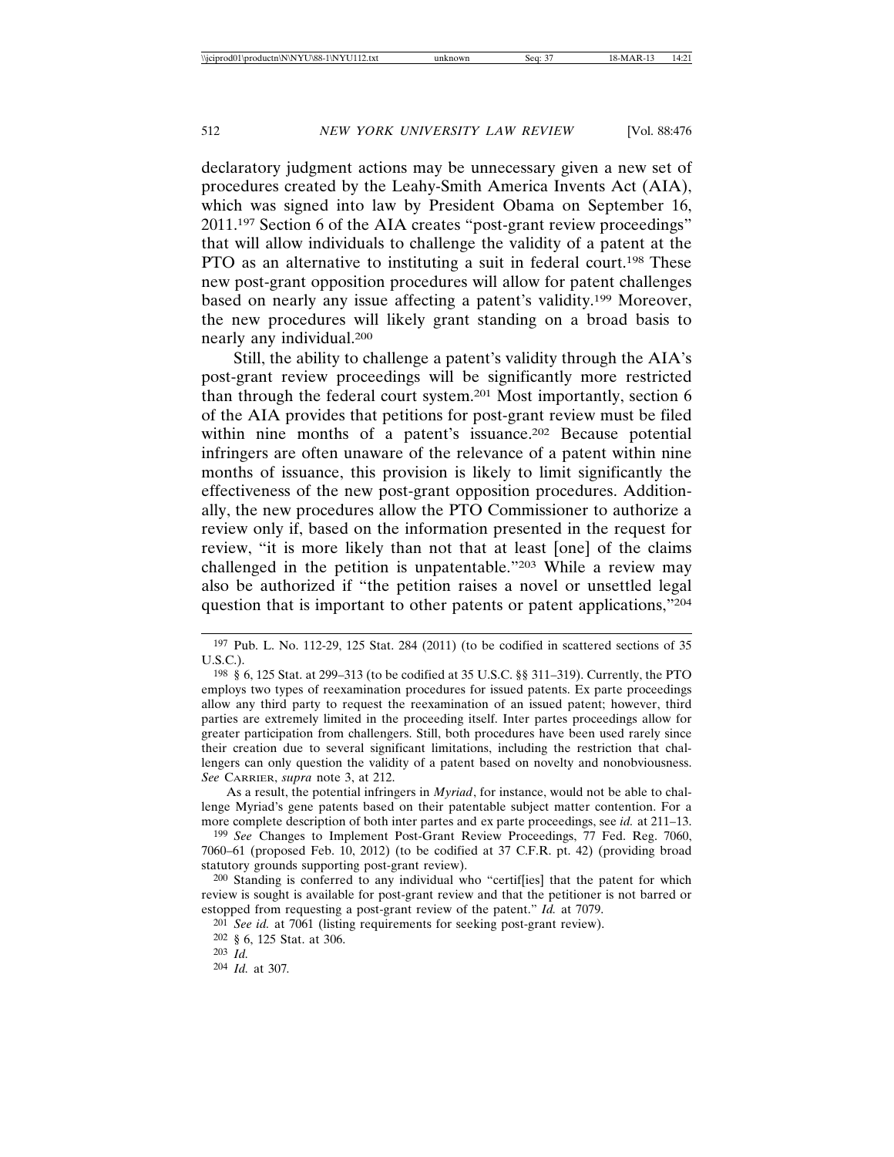declaratory judgment actions may be unnecessary given a new set of procedures created by the Leahy-Smith America Invents Act (AIA), which was signed into law by President Obama on September 16, 2011.197 Section 6 of the AIA creates "post-grant review proceedings" that will allow individuals to challenge the validity of a patent at the PTO as an alternative to instituting a suit in federal court.198 These new post-grant opposition procedures will allow for patent challenges based on nearly any issue affecting a patent's validity.199 Moreover, the new procedures will likely grant standing on a broad basis to nearly any individual.200

Still, the ability to challenge a patent's validity through the AIA's post-grant review proceedings will be significantly more restricted than through the federal court system.201 Most importantly, section 6 of the AIA provides that petitions for post-grant review must be filed within nine months of a patent's issuance.<sup>202</sup> Because potential infringers are often unaware of the relevance of a patent within nine months of issuance, this provision is likely to limit significantly the effectiveness of the new post-grant opposition procedures. Additionally, the new procedures allow the PTO Commissioner to authorize a review only if, based on the information presented in the request for review, "it is more likely than not that at least [one] of the claims challenged in the petition is unpatentable."203 While a review may also be authorized if "the petition raises a novel or unsettled legal question that is important to other patents or patent applications,"204

As a result, the potential infringers in *Myriad*, for instance, would not be able to challenge Myriad's gene patents based on their patentable subject matter contention. For a more complete description of both inter partes and ex parte proceedings, see *id.* at 211–13.

199 *See* Changes to Implement Post-Grant Review Proceedings, 77 Fed. Reg. 7060, 7060–61 (proposed Feb. 10, 2012) (to be codified at 37 C.F.R. pt. 42) (providing broad statutory grounds supporting post-grant review).

200 Standing is conferred to any individual who "certif[ies] that the patent for which review is sought is available for post-grant review and that the petitioner is not barred or estopped from requesting a post-grant review of the patent." *Id.* at 7079.

201 *See id.* at 7061 (listing requirements for seeking post-grant review).

203 *Id.*

<sup>197</sup> Pub. L. No. 112-29, 125 Stat. 284 (2011) (to be codified in scattered sections of 35 U.S.C.).

<sup>198</sup> § 6, 125 Stat. at 299–313 (to be codified at 35 U.S.C. §§ 311–319). Currently, the PTO employs two types of reexamination procedures for issued patents. Ex parte proceedings allow any third party to request the reexamination of an issued patent; however, third parties are extremely limited in the proceeding itself. Inter partes proceedings allow for greater participation from challengers. Still, both procedures have been used rarely since their creation due to several significant limitations, including the restriction that challengers can only question the validity of a patent based on novelty and nonobviousness. *See* CARRIER, *supra* note 3, at 212.

<sup>202</sup> § 6, 125 Stat. at 306.

<sup>204</sup> *Id.* at 307*.*